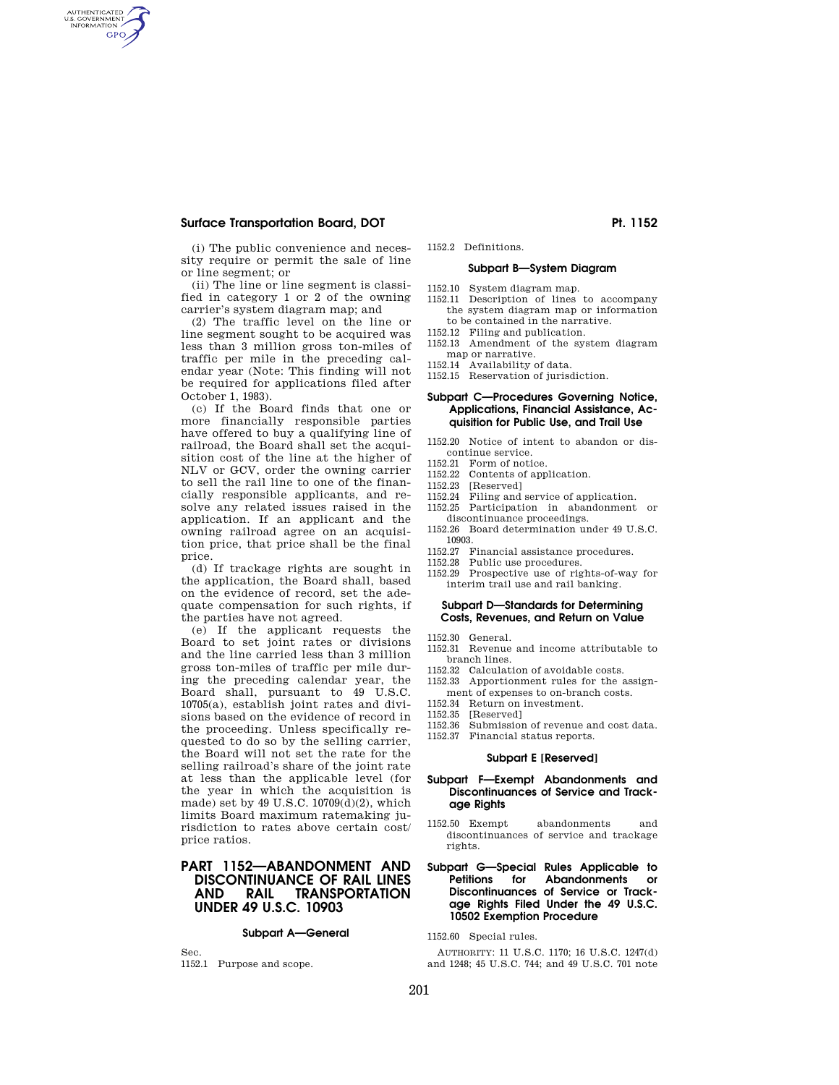## **Surface Transportation Board, DOT Pt. 1152**

AUTHENTICATED<br>U.S. GOVERNMENT<br>INFORMATION **GPO** 

> (i) The public convenience and necessity require or permit the sale of line or line segment; or

> (ii) The line or line segment is classified in category 1 or 2 of the owning carrier's system diagram map; and

> (2) The traffic level on the line or line segment sought to be acquired was less than 3 million gross ton-miles of traffic per mile in the preceding calendar year (Note: This finding will not be required for applications filed after October 1, 1983).

> (c) If the Board finds that one or more financially responsible parties have offered to buy a qualifying line of railroad, the Board shall set the acquisition cost of the line at the higher of NLV or GCV, order the owning carrier to sell the rail line to one of the financially responsible applicants, and resolve any related issues raised in the application. If an applicant and the owning railroad agree on an acquisition price, that price shall be the final price.

> (d) If trackage rights are sought in the application, the Board shall, based on the evidence of record, set the adequate compensation for such rights, if the parties have not agreed.

> (e) If the applicant requests the Board to set joint rates or divisions and the line carried less than 3 million gross ton-miles of traffic per mile during the preceding calendar year, the Board shall, pursuant to 49 U.S.C. 10705(a), establish joint rates and divisions based on the evidence of record in the proceeding. Unless specifically requested to do so by the selling carrier, the Board will not set the rate for the selling railroad's share of the joint rate at less than the applicable level (for the year in which the acquisition is made) set by  $49$  U.S.C.  $10709(d)(2)$ , which limits Board maximum ratemaking jurisdiction to rates above certain cost/ price ratios.

## **PART 1152—ABANDONMENT AND DISCONTINUANCE OF RAIL LINES AND RAIL TRANSPORTATION UNDER 49 U.S.C. 10903**

## **Subpart A—General**

Sec. 1152.1 Purpose and scope.

### 1152.2 Definitions.

### **Subpart B—System Diagram**

- 1152.10 System diagram map.
- 1152.11 Description of lines to accompany the system diagram map or information to be contained in the narrative.
- 1152.12 Filing and publication.
- 1152.13 Amendment of the system diagram map or narrative.
- 1152.14 Availability of data.
- 1152.15 Reservation of jurisdiction.

### **Subpart C—Procedures Governing Notice, Applications, Financial Assistance, Acquisition for Public Use, and Trail Use**

- 1152.20 Notice of intent to abandon or discontinue service.
- 1152.21 Form of notice.<br>1152.22 Contents of any
- Contents of application.
- 1152.23 [Reserved]
- 1152.24 Filing and service of application.
- 1152.25 Participation in abandonment or discontinuance proceedings.
- 1152.26 Board determination under 49 U.S.C. 10903.
- 1152.27 Financial assistance procedures.
- 1152.28 Public use procedures.
- 1152.29 Prospective use of rights-of-way for interim trail use and rail banking.

### **Subpart D—Standards for Determining Costs, Revenues, and Return on Value**

- 1152.30 General.
- 1152.31 Revenue and income attributable to branch lines.
- 1152.32 Calculation of avoidable costs.
- 1152.33 Apportionment rules for the assignment of expenses to on-branch costs.
- 1152.34 Return on investment.
- 1152.35 [Reserved]
- 1152.36 Submission of revenue and cost data.
- 1152.37 Financial status reports.

### **Subpart E [Reserved]**

### **Subpart F—Exempt Abandonments and Discontinuances of Service and Trackage Rights**

- 1152.50 Exempt abandonments and discontinuances of service and trackage rights.
- **Subpart G—Special Rules Applicable to Petitions for Abandonments or Discontinuances of Service or Trackage Rights Filed Under the 49 U.S.C. 10502 Exemption Procedure**

1152.60 Special rules.

AUTHORITY: 11 U.S.C. 1170; 16 U.S.C. 1247(d) and 1248; 45 U.S.C. 744; and 49 U.S.C. 701 note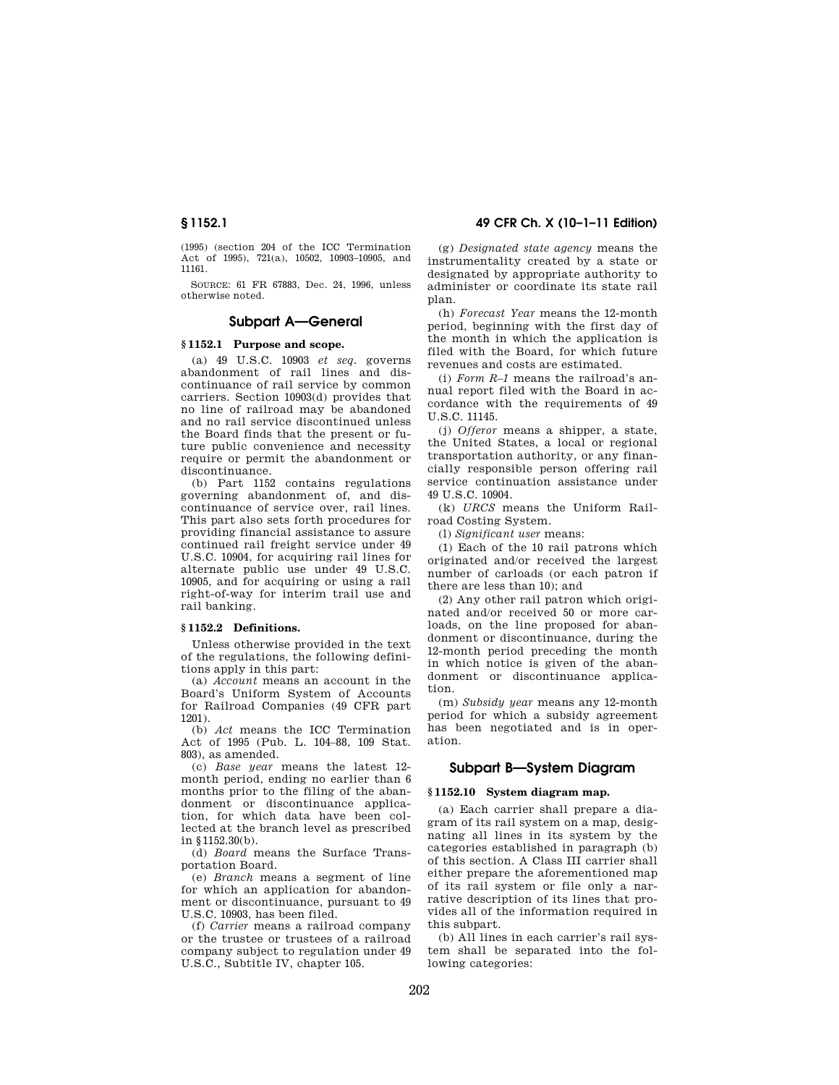(1995) (section 204 of the ICC Termination Act of 1995), 721(a), 10502, 10903–10905, and 11161.

SOURCE: 61 FR 67883, Dec. 24, 1996, unless otherwise noted.

### **Subpart A—General**

### **§ 1152.1 Purpose and scope.**

(a) 49 U.S.C. 10903 *et seq.* governs abandonment of rail lines and discontinuance of rail service by common carriers. Section 10903(d) provides that no line of railroad may be abandoned and no rail service discontinued unless the Board finds that the present or future public convenience and necessity require or permit the abandonment or discontinuance.

(b) Part 1152 contains regulations governing abandonment of, and discontinuance of service over, rail lines. This part also sets forth procedures for providing financial assistance to assure continued rail freight service under 49 U.S.C. 10904, for acquiring rail lines for alternate public use under 49 U.S.C. 10905, and for acquiring or using a rail right-of-way for interim trail use and rail banking.

### **§ 1152.2 Definitions.**

Unless otherwise provided in the text of the regulations, the following definitions apply in this part:

(a) *Account* means an account in the Board's Uniform System of Accounts for Railroad Companies (49 CFR part 1201).

(b) *Act* means the ICC Termination Act of 1995 (Pub. L. 104–88, 109 Stat. 803), as amended.

(c) *Base year* means the latest 12 month period, ending no earlier than 6 months prior to the filing of the abandonment or discontinuance application, for which data have been collected at the branch level as prescribed in §1152.30(b).

(d) *Board* means the Surface Transportation Board.

(e) *Branch* means a segment of line for which an application for abandonment or discontinuance, pursuant to 49 U.S.C. 10903, has been filed.

(f) *Carrier* means a railroad company or the trustee or trustees of a railroad company subject to regulation under 49 U.S.C., Subtitle IV, chapter 105.

**§ 1152.1 49 CFR Ch. X (10–1–11 Edition)** 

(g) *Designated state agency* means the instrumentality created by a state or designated by appropriate authority to administer or coordinate its state rail plan.

(h) *Forecast Year* means the 12-month period, beginning with the first day of the month in which the application is filed with the Board, for which future revenues and costs are estimated.

(i) *Form R–1* means the railroad's annual report filed with the Board in accordance with the requirements of 49 U.S.C. 11145.

(j) *Offeror* means a shipper, a state, the United States, a local or regional transportation authority, or any financially responsible person offering rail service continuation assistance under 49 U.S.C. 10904.

(k) *URCS* means the Uniform Railroad Costing System.

(l) *Significant user* means:

(1) Each of the 10 rail patrons which originated and/or received the largest number of carloads (or each patron if there are less than 10); and

(2) Any other rail patron which originated and/or received 50 or more carloads, on the line proposed for abandonment or discontinuance, during the 12-month period preceding the month in which notice is given of the abandonment or discontinuance application.

(m) *Subsidy year* means any 12-month period for which a subsidy agreement has been negotiated and is in operation.

## **Subpart B—System Diagram**

## **§ 1152.10 System diagram map.**

(a) Each carrier shall prepare a diagram of its rail system on a map, designating all lines in its system by the categories established in paragraph (b) of this section. A Class III carrier shall either prepare the aforementioned map of its rail system or file only a narrative description of its lines that provides all of the information required in this subpart.

(b) All lines in each carrier's rail system shall be separated into the following categories: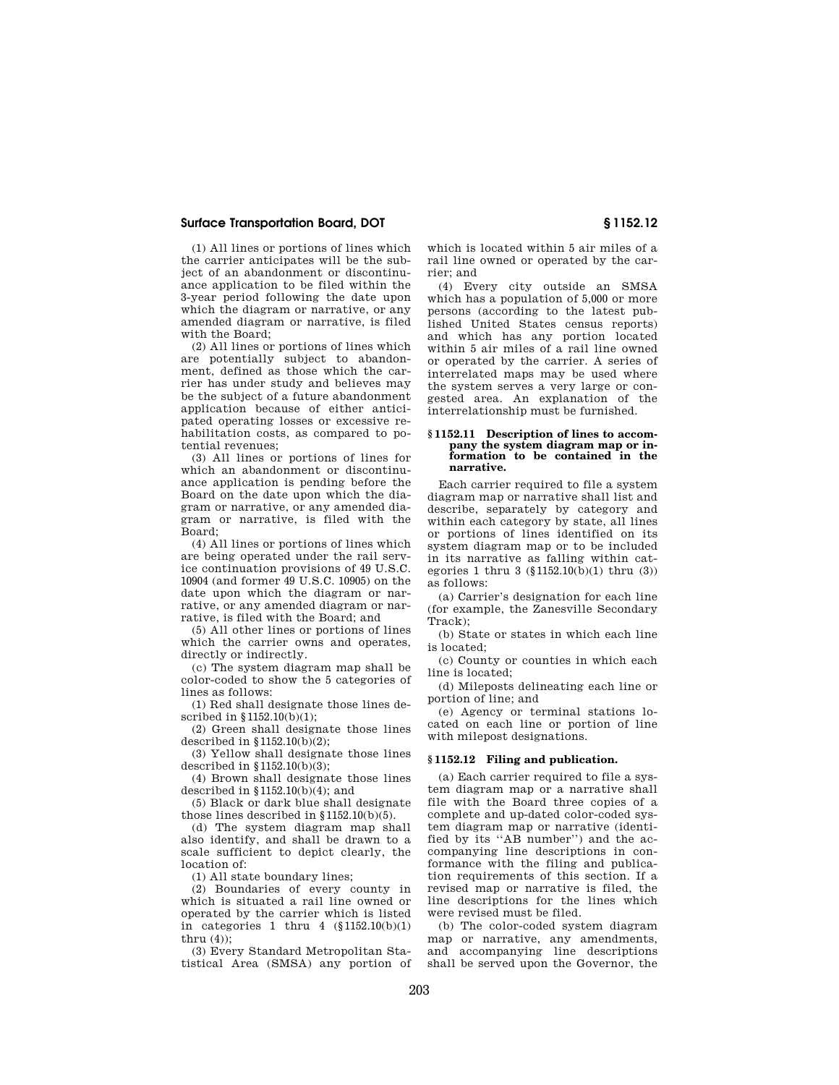(1) All lines or portions of lines which the carrier anticipates will be the subject of an abandonment or discontinuance application to be filed within the 3-year period following the date upon which the diagram or narrative, or any amended diagram or narrative, is filed with the Board;

(2) All lines or portions of lines which are potentially subject to abandonment, defined as those which the carrier has under study and believes may be the subject of a future abandonment application because of either anticipated operating losses or excessive rehabilitation costs, as compared to potential revenues;

(3) All lines or portions of lines for which an abandonment or discontinuance application is pending before the Board on the date upon which the diagram or narrative, or any amended diagram or narrative, is filed with the Board;

(4) All lines or portions of lines which are being operated under the rail service continuation provisions of 49 U.S.C. 10904 (and former 49 U.S.C. 10905) on the date upon which the diagram or narrative, or any amended diagram or narrative, is filed with the Board; and

(5) All other lines or portions of lines which the carrier owns and operates, directly or indirectly.

(c) The system diagram map shall be color-coded to show the 5 categories of lines as follows:

(1) Red shall designate those lines described in §1152.10(b)(1);

(2) Green shall designate those lines described in  $$1152.10(b)(2);$ 

(3) Yellow shall designate those lines described in §1152.10(b)(3);

(4) Brown shall designate those lines described in §1152.10(b)(4); and

(5) Black or dark blue shall designate those lines described in §1152.10(b)(5).

(d) The system diagram map shall also identify, and shall be drawn to a scale sufficient to depict clearly, the location of:

(1) All state boundary lines;

(2) Boundaries of every county in which is situated a rail line owned or operated by the carrier which is listed in categories 1 thru  $4 \left( \frac{\xi}{1152.10(b)(1)} \right)$ thru  $(4)$ ).

(3) Every Standard Metropolitan Statistical Area (SMSA) any portion of

which is located within 5 air miles of a rail line owned or operated by the carrier; and

(4) Every city outside an SMSA which has a population of 5,000 or more persons (according to the latest published United States census reports) and which has any portion located within 5 air miles of a rail line owned or operated by the carrier. A series of interrelated maps may be used where the system serves a very large or congested area. An explanation of the interrelationship must be furnished.

### **§ 1152.11 Description of lines to accompany the system diagram map or information to be contained in the narrative.**

Each carrier required to file a system diagram map or narrative shall list and describe, separately by category and within each category by state, all lines or portions of lines identified on its system diagram map or to be included in its narrative as falling within categories 1 thru 3 (§1152.10(b)(1) thru (3)) as follows:

(a) Carrier's designation for each line (for example, the Zanesville Secondary Track);

(b) State or states in which each line is located;

(c) County or counties in which each line is located;

(d) Mileposts delineating each line or portion of line; and

(e) Agency or terminal stations located on each line or portion of line with milepost designations.

### **§ 1152.12 Filing and publication.**

(a) Each carrier required to file a system diagram map or a narrative shall file with the Board three copies of a complete and up-dated color-coded system diagram map or narrative (identified by its ''AB number'') and the accompanying line descriptions in conformance with the filing and publication requirements of this section. If a revised map or narrative is filed, the line descriptions for the lines which were revised must be filed.

(b) The color-coded system diagram map or narrative, any amendments, and accompanying line descriptions shall be served upon the Governor, the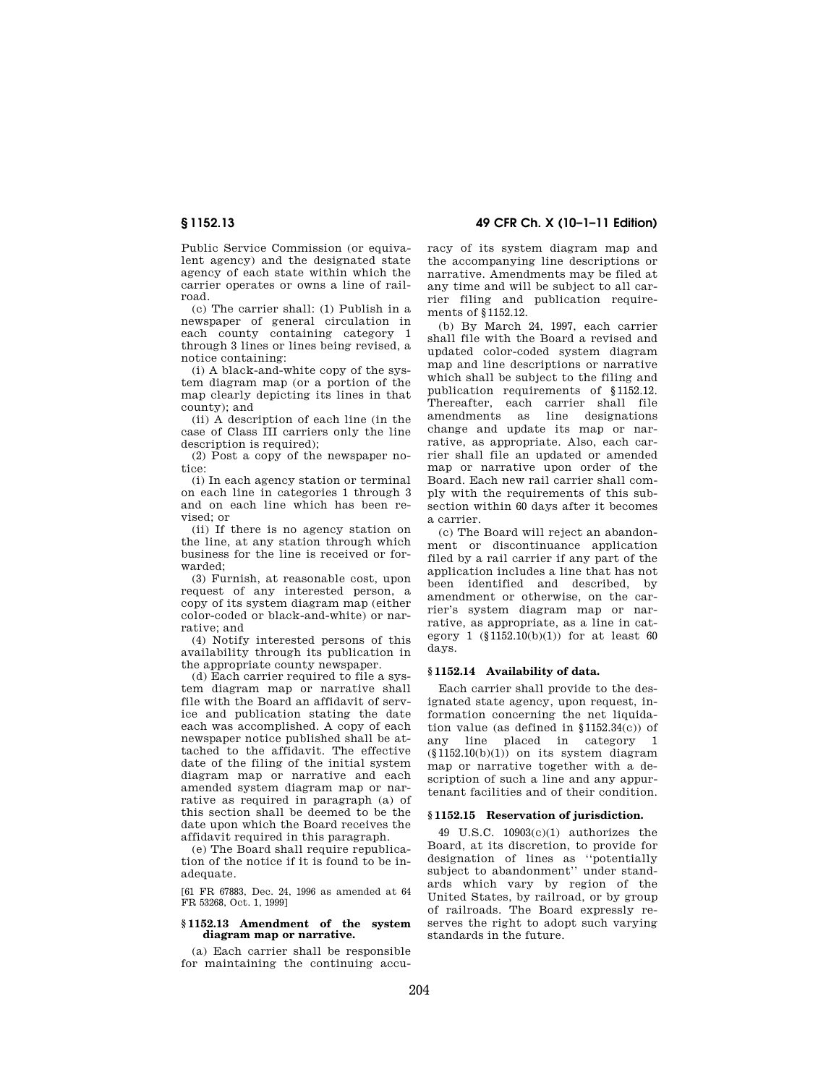Public Service Commission (or equivalent agency) and the designated state agency of each state within which the carrier operates or owns a line of railroad.

(c) The carrier shall: (1) Publish in a newspaper of general circulation in each county containing category 1 through 3 lines or lines being revised, a notice containing:

(i) A black-and-white copy of the system diagram map (or a portion of the map clearly depicting its lines in that county); and

(ii) A description of each line (in the case of Class III carriers only the line description is required);

(2) Post a copy of the newspaper notice:

(i) In each agency station or terminal on each line in categories 1 through 3 and on each line which has been revised; or

(ii) If there is no agency station on the line, at any station through which business for the line is received or forwarded;

(3) Furnish, at reasonable cost, upon request of any interested person, a copy of its system diagram map (either color-coded or black-and-white) or narrative; and

(4) Notify interested persons of this availability through its publication in the appropriate county newspaper.

(d) Each carrier required to file a system diagram map or narrative shall file with the Board an affidavit of service and publication stating the date each was accomplished. A copy of each newspaper notice published shall be attached to the affidavit. The effective date of the filing of the initial system diagram map or narrative and each amended system diagram map or narrative as required in paragraph (a) of this section shall be deemed to be the date upon which the Board receives the affidavit required in this paragraph.

(e) The Board shall require republication of the notice if it is found to be inadequate.

[61 FR 67883, Dec. 24, 1996 as amended at 64 FR 53268, Oct. 1, 1999]

### **§ 1152.13 Amendment of the system diagram map or narrative.**

(a) Each carrier shall be responsible for maintaining the continuing accu-

**§ 1152.13 49 CFR Ch. X (10–1–11 Edition)** 

racy of its system diagram map and the accompanying line descriptions or narrative. Amendments may be filed at any time and will be subject to all carrier filing and publication requirements of §1152.12.

(b) By March 24, 1997, each carrier shall file with the Board a revised and updated color-coded system diagram map and line descriptions or narrative which shall be subject to the filing and publication requirements of §1152.12. Thereafter, each carrier shall file amendments as line designations change and update its map or narrative, as appropriate. Also, each carrier shall file an updated or amended map or narrative upon order of the Board. Each new rail carrier shall comply with the requirements of this subsection within 60 days after it becomes a carrier.

(c) The Board will reject an abandonment or discontinuance application filed by a rail carrier if any part of the application includes a line that has not been identified and described, by amendment or otherwise, on the carrier's system diagram map or narrative, as appropriate, as a line in category 1  $(\{1152.10(b)(1))$  for at least 60 days.

### **§ 1152.14 Availability of data.**

Each carrier shall provide to the designated state agency, upon request, information concerning the net liquidation value (as defined in §1152.34(c)) of any line placed in category 1  $(\S 1152.10(b)(1))$  on its system diagram map or narrative together with a description of such a line and any appurtenant facilities and of their condition.

## **§ 1152.15 Reservation of jurisdiction.**

49 U.S.C. 10903(c)(1) authorizes the Board, at its discretion, to provide for designation of lines as ''potentially subject to abandonment'' under standards which vary by region of the United States, by railroad, or by group of railroads. The Board expressly reserves the right to adopt such varying standards in the future.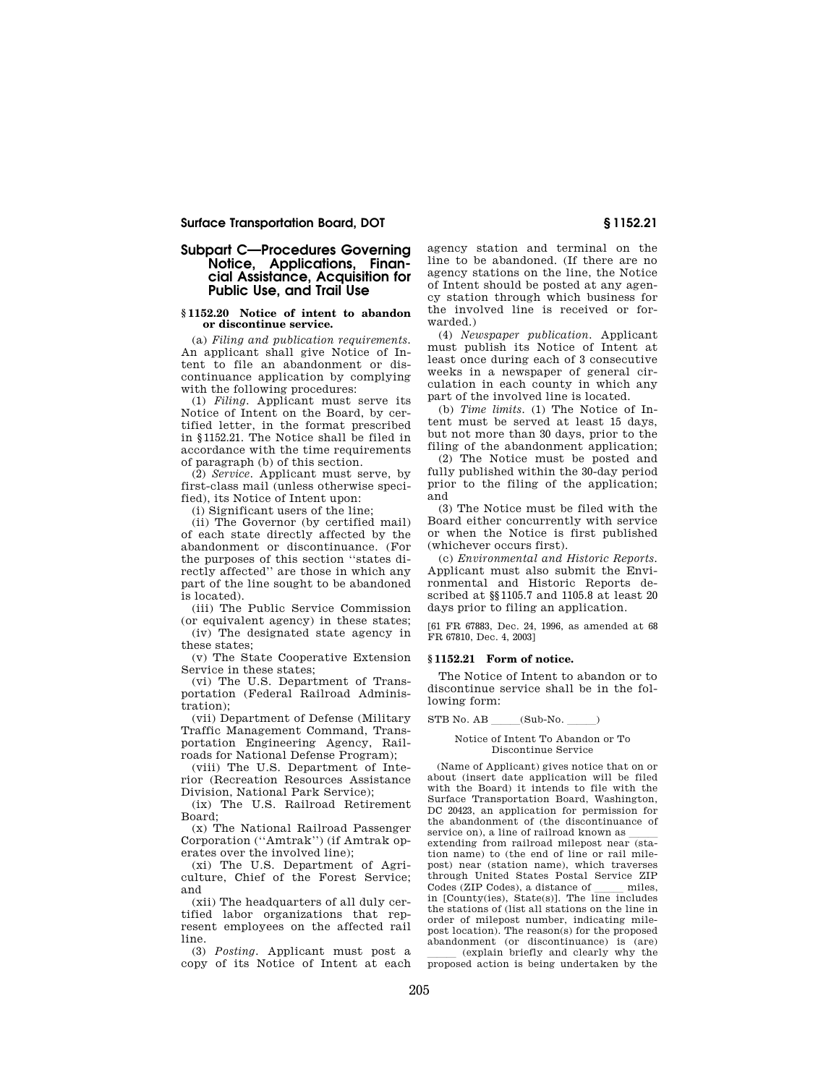## **Subpart C—Procedures Governing Notice, Applications, Financial Assistance, Acquisition for Public Use, and Trail Use**

### **§ 1152.20 Notice of intent to abandon or discontinue service.**

(a) *Filing and publication requirements.*  An applicant shall give Notice of Intent to file an abandonment or discontinuance application by complying with the following procedures:

(1) *Filing.* Applicant must serve its Notice of Intent on the Board, by certified letter, in the format prescribed in §1152.21. The Notice shall be filed in accordance with the time requirements of paragraph (b) of this section.

(2) *Service.* Applicant must serve, by first-class mail (unless otherwise specified), its Notice of Intent upon:

(i) Significant users of the line;

(ii) The Governor (by certified mail) of each state directly affected by the abandonment or discontinuance. (For the purposes of this section ''states directly affected'' are those in which any part of the line sought to be abandoned is located).

(iii) The Public Service Commission (or equivalent agency) in these states;

(iv) The designated state agency in these states;

(v) The State Cooperative Extension Service in these states;

(vi) The U.S. Department of Transportation (Federal Railroad Administration);

(vii) Department of Defense (Military Traffic Management Command, Transportation Engineering Agency, Railroads for National Defense Program);

(viii) The U.S. Department of Interior (Recreation Resources Assistance Division, National Park Service);

(ix) The U.S. Railroad Retirement Board;

(x) The National Railroad Passenger Corporation (''Amtrak'') (if Amtrak operates over the involved line);

(xi) The U.S. Department of Agriculture, Chief of the Forest Service; and

(xii) The headquarters of all duly certified labor organizations that represent employees on the affected rail line.

(3) *Posting.* Applicant must post a copy of its Notice of Intent at each agency station and terminal on the line to be abandoned. (If there are no agency stations on the line, the Notice of Intent should be posted at any agency station through which business for the involved line is received or forwarded.)

(4) *Newspaper publication.* Applicant must publish its Notice of Intent at least once during each of 3 consecutive weeks in a newspaper of general circulation in each county in which any part of the involved line is located.

(b) *Time limits.* (1) The Notice of Intent must be served at least 15 days, but not more than 30 days, prior to the filing of the abandonment application;

(2) The Notice must be posted and fully published within the 30-day period prior to the filing of the application; and

(3) The Notice must be filed with the Board either concurrently with service or when the Notice is first published (whichever occurs first).

(c) *Environmental and Historic Reports.*  Applicant must also submit the Environmental and Historic Reports described at §§1105.7 and 1105.8 at least 20 days prior to filing an application.

[61 FR 67883, Dec. 24, 1996, as amended at 68 FR 67810, Dec. 4, 2003]

### **§ 1152.21 Form of notice.**

The Notice of Intent to abandon or to discontinue service shall be in the following form:

 $STB$  No.  $AB$  (Sub-No.

### Notice of Intent To Abandon or To Discontinue Service

(Name of Applicant) gives notice that on or about (insert date application will be filed with the Board) it intends to file with the Surface Transportation Board, Washington, DC 20423, an application for permission for the abandonment of (the discontinuance of service on), a line of railroad known as lll extending from railroad milepost near (station name) to (the end of line or rail milepost) near (station name), which traverses through United States Postal Service ZIP Codes (ZIP Codes), a distance of  $\_\_\_\$  miles, in [County(ies), State(s)]. The line includes the stations of (list all stations on the line in order of milepost number, indicating milepost location). The reason(s) for the proposed abandonment (or discontinuance) is (are)

(explain briefly and clearly why the proposed action is being undertaken by the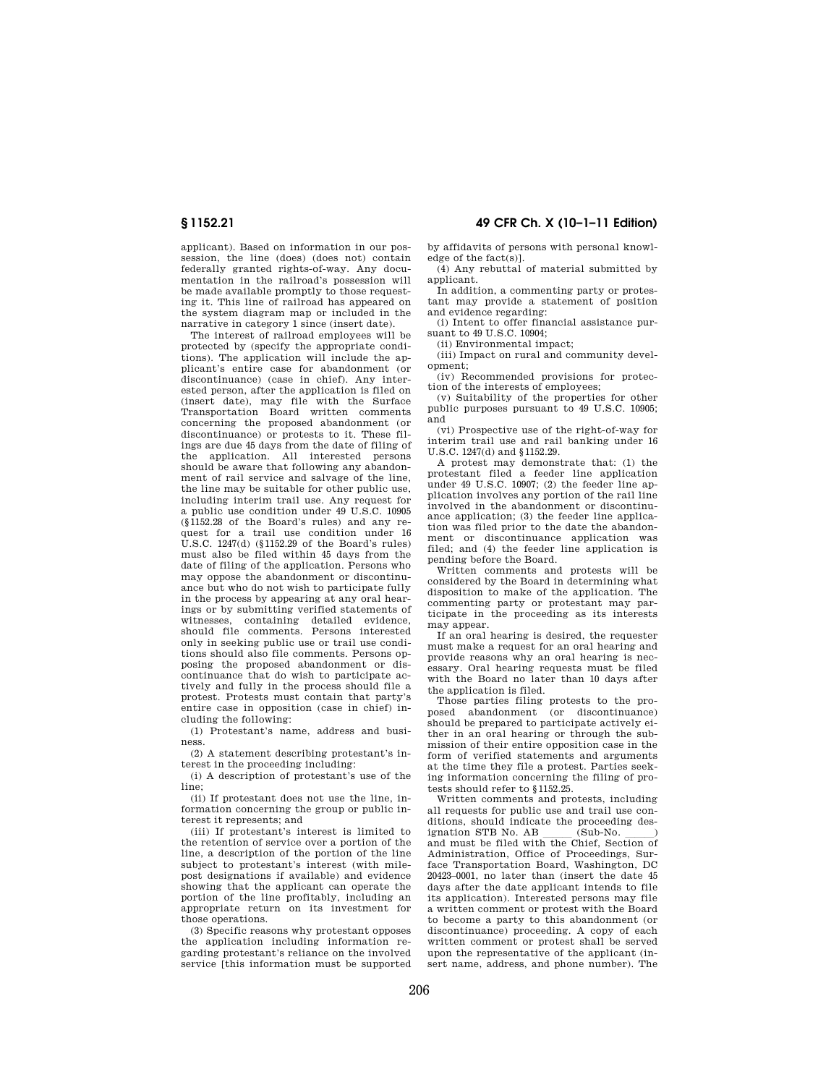applicant). Based on information in our possession, the line (does) (does not) contain federally granted rights-of-way. Any documentation in the railroad's possession will be made available promptly to those requesting it. This line of railroad has appeared on the system diagram map or included in the narrative in category 1 since (insert date).

The interest of railroad employees will be protected by (specify the appropriate conditions). The application will include the applicant's entire case for abandonment (or discontinuance) (case in chief). Any interested person, after the application is filed on (insert date), may file with the Surface Transportation Board written comments concerning the proposed abandonment (or discontinuance) or protests to it. These filings are due 45 days from the date of filing of the application. All interested persons should be aware that following any abandonment of rail service and salvage of the line, the line may be suitable for other public use, including interim trail use. Any request for a public use condition under 49 U.S.C. 10905 (§1152.28 of the Board's rules) and any request for a trail use condition under 16 U.S.C. 1247(d) (§1152.29 of the Board's rules) must also be filed within 45 days from the date of filing of the application. Persons who may oppose the abandonment or discontinuance but who do not wish to participate fully in the process by appearing at any oral hearings or by submitting verified statements of witnesses, containing detailed evidence, should file comments. Persons interested only in seeking public use or trail use conditions should also file comments. Persons opposing the proposed abandonment or discontinuance that do wish to participate actively and fully in the process should file a protest. Protests must contain that party's entire case in opposition (case in chief) including the following:

(1) Protestant's name, address and business.

(2) A statement describing protestant's interest in the proceeding including:

(i) A description of protestant's use of the line;

(ii) If protestant does not use the line, information concerning the group or public interest it represents; and

(iii) If protestant's interest is limited to the retention of service over a portion of the line, a description of the portion of the line subject to protestant's interest (with milepost designations if available) and evidence showing that the applicant can operate the portion of the line profitably, including an appropriate return on its investment for those operations.

(3) Specific reasons why protestant opposes the application including information regarding protestant's reliance on the involved service [this information must be supported

**§ 1152.21 49 CFR Ch. X (10–1–11 Edition)** 

by affidavits of persons with personal knowledge of the fact(s)].

(4) Any rebuttal of material submitted by applicant.

In addition, a commenting party or protestant may provide a statement of position and evidence regarding:

(i) Intent to offer financial assistance pursuant to 49 U.S.C. 10904;

(ii) Environmental impact;

(iii) Impact on rural and community development;

(iv) Recommended provisions for protection of the interests of employees;

(v) Suitability of the properties for other public purposes pursuant to 49 U.S.C. 10905; and

(vi) Prospective use of the right-of-way for interim trail use and rail banking under 16 U.S.C. 1247(d) and §1152.29.

A protest may demonstrate that: (1) the protestant filed a feeder line application under 49 U.S.C. 10907; (2) the feeder line application involves any portion of the rail line involved in the abandonment or discontinuance application; (3) the feeder line application was filed prior to the date the abandonment or discontinuance application was filed; and (4) the feeder line application is pending before the Board.

Written comments and protests will be considered by the Board in determining what disposition to make of the application. The commenting party or protestant may participate in the proceeding as its interests may appear.

If an oral hearing is desired, the requester must make a request for an oral hearing and provide reasons why an oral hearing is necessary. Oral hearing requests must be filed with the Board no later than 10 days after the application is filed.

Those parties filing protests to the proposed abandonment (or discontinuance) should be prepared to participate actively either in an oral hearing or through the submission of their entire opposition case in the form of verified statements and arguments at the time they file a protest. Parties seeking information concerning the filing of protests should refer to §1152.25.

Written comments and protests, including all requests for public use and trail use conditions, should indicate the proceeding des-<br>ignation STB No. AB (Sub-No.) ignation STB No. AB \_\_\_\_\_ (Sub-No. \_\_\_\_\_)<br>and must be filed with the Chief, Section of Administration, Office of Proceedings, Surface Transportation Board, Washington, DC 20423–0001, no later than (insert the date 45 days after the date applicant intends to file its application). Interested persons may file a written comment or protest with the Board to become a party to this abandonment (or discontinuance) proceeding. A copy of each written comment or protest shall be served upon the representative of the applicant (insert name, address, and phone number). The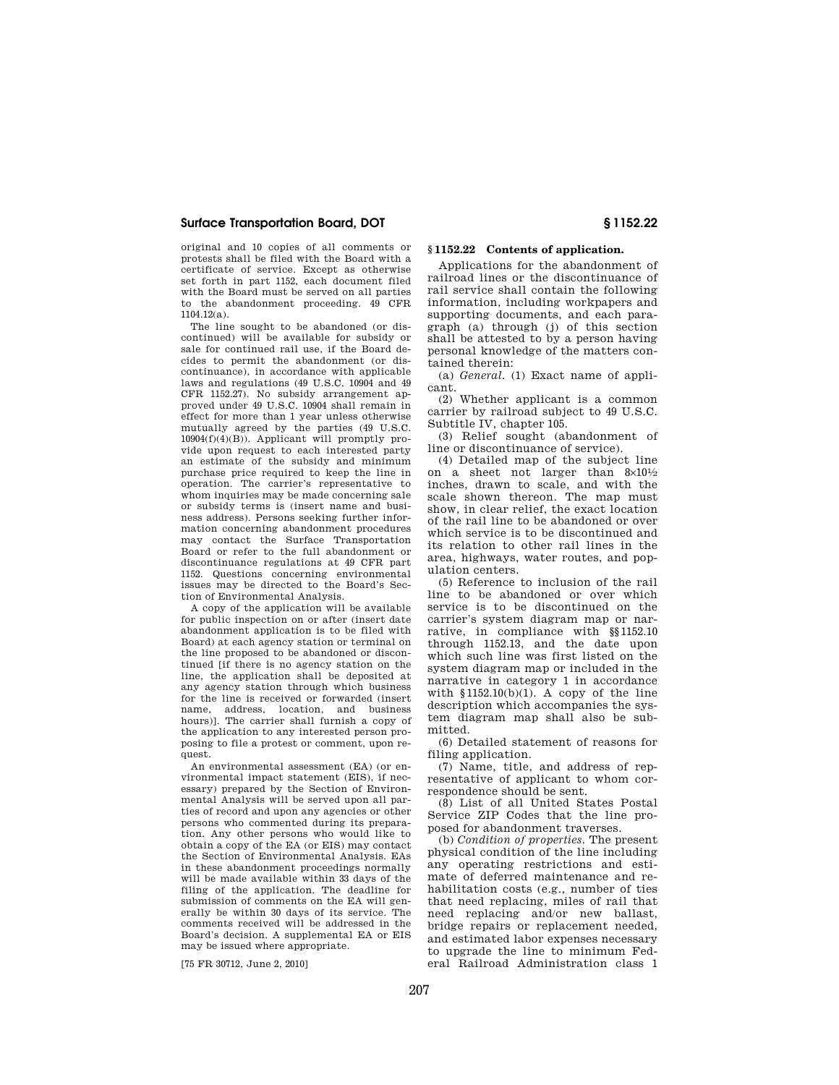original and 10 copies of all comments or protests shall be filed with the Board with a certificate of service. Except as otherwise set forth in part 1152, each document filed with the Board must be served on all parties to the abandonment proceeding. 49 CFR 1104.12(a).

The line sought to be abandoned (or discontinued) will be available for subsidy or sale for continued rail use, if the Board decides to permit the abandonment (or discontinuance), in accordance with applicable laws and regulations (49 U.S.C. 10904 and 49 CFR 1152.27). No subsidy arrangement approved under 49 U.S.C. 10904 shall remain in effect for more than 1 year unless otherwise mutually agreed by the parties (49 U.S.C. 10904(f)(4)(B)). Applicant will promptly provide upon request to each interested party an estimate of the subsidy and minimum purchase price required to keep the line in operation. The carrier's representative to whom inquiries may be made concerning sale or subsidy terms is (insert name and business address). Persons seeking further information concerning abandonment procedures may contact the Surface Transportation Board or refer to the full abandonment or discontinuance regulations at 49 CFR part 1152. Questions concerning environmental issues may be directed to the Board's Section of Environmental Analysis.

A copy of the application will be available for public inspection on or after (insert date abandonment application is to be filed with Board) at each agency station or terminal on the line proposed to be abandoned or discontinued [if there is no agency station on the line, the application shall be deposited at any agency station through which business for the line is received or forwarded (insert name, address, location, and business hours)]. The carrier shall furnish a copy of the application to any interested person proposing to file a protest or comment, upon request.

An environmental assessment (EA) (or environmental impact statement (EIS), if necessary) prepared by the Section of Environmental Analysis will be served upon all parties of record and upon any agencies or other persons who commented during its preparation. Any other persons who would like to obtain a copy of the EA (or EIS) may contact the Section of Environmental Analysis. EAs in these abandonment proceedings normally will be made available within 33 days of the filing of the application. The deadline for submission of comments on the EA will generally be within 30 days of its service. The comments received will be addressed in the Board's decision. A supplemental EA or EIS may be issued where appropriate.

[75 FR 30712, June 2, 2010]

## **§ 1152.22 Contents of application.**

Applications for the abandonment of railroad lines or the discontinuance of rail service shall contain the following information, including workpapers and supporting documents, and each paragraph (a) through (j) of this section shall be attested to by a person having personal knowledge of the matters contained therein:

(a) *General.* (1) Exact name of applicant.

(2) Whether applicant is a common carrier by railroad subject to 49 U.S.C. Subtitle IV, chapter 105.

(3) Relief sought (abandonment of line or discontinuance of service).

(4) Detailed map of the subject line on a sheet not larger than 8×101⁄2 inches, drawn to scale, and with the scale shown thereon. The map must show, in clear relief, the exact location of the rail line to be abandoned or over which service is to be discontinued and its relation to other rail lines in the area, highways, water routes, and population centers.

(5) Reference to inclusion of the rail line to be abandoned or over which service is to be discontinued on the carrier's system diagram map or narrative, in compliance with §§1152.10 through 1152.13, and the date upon which such line was first listed on the system diagram map or included in the narrative in category 1 in accordance with  $$1152.10(b)(1)$ . A copy of the line description which accompanies the system diagram map shall also be submitted.

(6) Detailed statement of reasons for filing application.

(7) Name, title, and address of representative of applicant to whom correspondence should be sent.

(8) List of all United States Postal Service ZIP Codes that the line proposed for abandonment traverses.

(b) *Condition of properties.* The present physical condition of the line including any operating restrictions and estimate of deferred maintenance and rehabilitation costs (e.g., number of ties that need replacing, miles of rail that need replacing and/or new ballast, bridge repairs or replacement needed, and estimated labor expenses necessary to upgrade the line to minimum Federal Railroad Administration class 1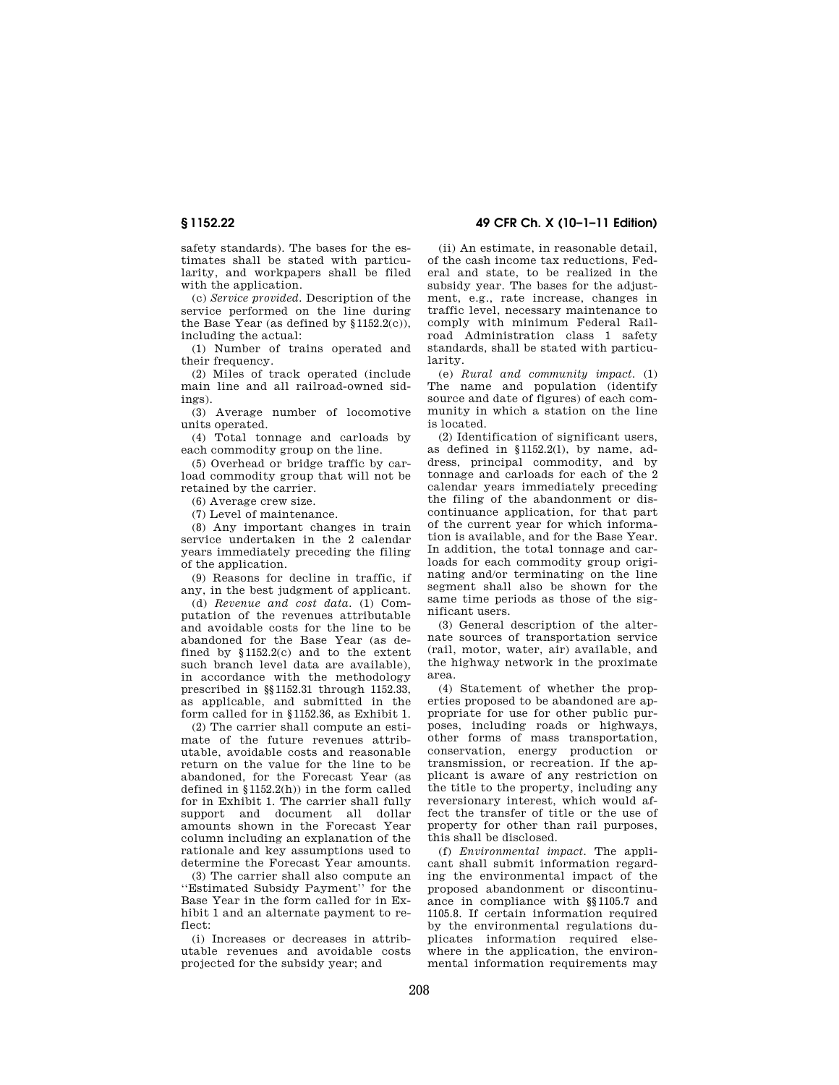safety standards). The bases for the estimates shall be stated with particularity, and workpapers shall be filed with the application.

(c) *Service provided.* Description of the service performed on the line during the Base Year (as defined by §1152.2(c)), including the actual:

(1) Number of trains operated and their frequency.

(2) Miles of track operated (include main line and all railroad-owned sidings).

(3) Average number of locomotive units operated.

(4) Total tonnage and carloads by each commodity group on the line.

(5) Overhead or bridge traffic by carload commodity group that will not be retained by the carrier.

(6) Average crew size.

(7) Level of maintenance.

(8) Any important changes in train service undertaken in the 2 calendar years immediately preceding the filing of the application.

(9) Reasons for decline in traffic, if any, in the best judgment of applicant.

(d) *Revenue and cost data.* (1) Computation of the revenues attributable and avoidable costs for the line to be abandoned for the Base Year (as defined by §1152.2(c) and to the extent such branch level data are available), in accordance with the methodology prescribed in §§1152.31 through 1152.33, as applicable, and submitted in the form called for in §1152.36, as Exhibit 1.

(2) The carrier shall compute an estimate of the future revenues attributable, avoidable costs and reasonable return on the value for the line to be abandoned, for the Forecast Year (as defined in §1152.2(h)) in the form called for in Exhibit 1. The carrier shall fully support and document all dollar amounts shown in the Forecast Year column including an explanation of the rationale and key assumptions used to determine the Forecast Year amounts.

(3) The carrier shall also compute an ''Estimated Subsidy Payment'' for the Base Year in the form called for in Exhibit 1 and an alternate payment to reflect:

(i) Increases or decreases in attributable revenues and avoidable costs projected for the subsidy year; and

**§ 1152.22 49 CFR Ch. X (10–1–11 Edition)** 

(ii) An estimate, in reasonable detail, of the cash income tax reductions, Federal and state, to be realized in the subsidy year. The bases for the adjustment, e.g., rate increase, changes in traffic level, necessary maintenance to comply with minimum Federal Railroad Administration class 1 safety standards, shall be stated with particularity.

(e) *Rural and community impact.* (1) The name and population (identify source and date of figures) of each community in which a station on the line is located.

(2) Identification of significant users, as defined in §1152.2(l), by name, address, principal commodity, and by tonnage and carloads for each of the 2 calendar years immediately preceding the filing of the abandonment or discontinuance application, for that part of the current year for which information is available, and for the Base Year. In addition, the total tonnage and carloads for each commodity group originating and/or terminating on the line segment shall also be shown for the same time periods as those of the significant users.

(3) General description of the alternate sources of transportation service (rail, motor, water, air) available, and the highway network in the proximate area.

(4) Statement of whether the properties proposed to be abandoned are appropriate for use for other public purposes, including roads or highways, other forms of mass transportation, conservation, energy production or transmission, or recreation. If the applicant is aware of any restriction on the title to the property, including any reversionary interest, which would affect the transfer of title or the use of property for other than rail purposes, this shall be disclosed.

(f) *Environmental impact.* The applicant shall submit information regarding the environmental impact of the proposed abandonment or discontinuance in compliance with §§1105.7 and 1105.8. If certain information required by the environmental regulations duplicates information required elsewhere in the application, the environmental information requirements may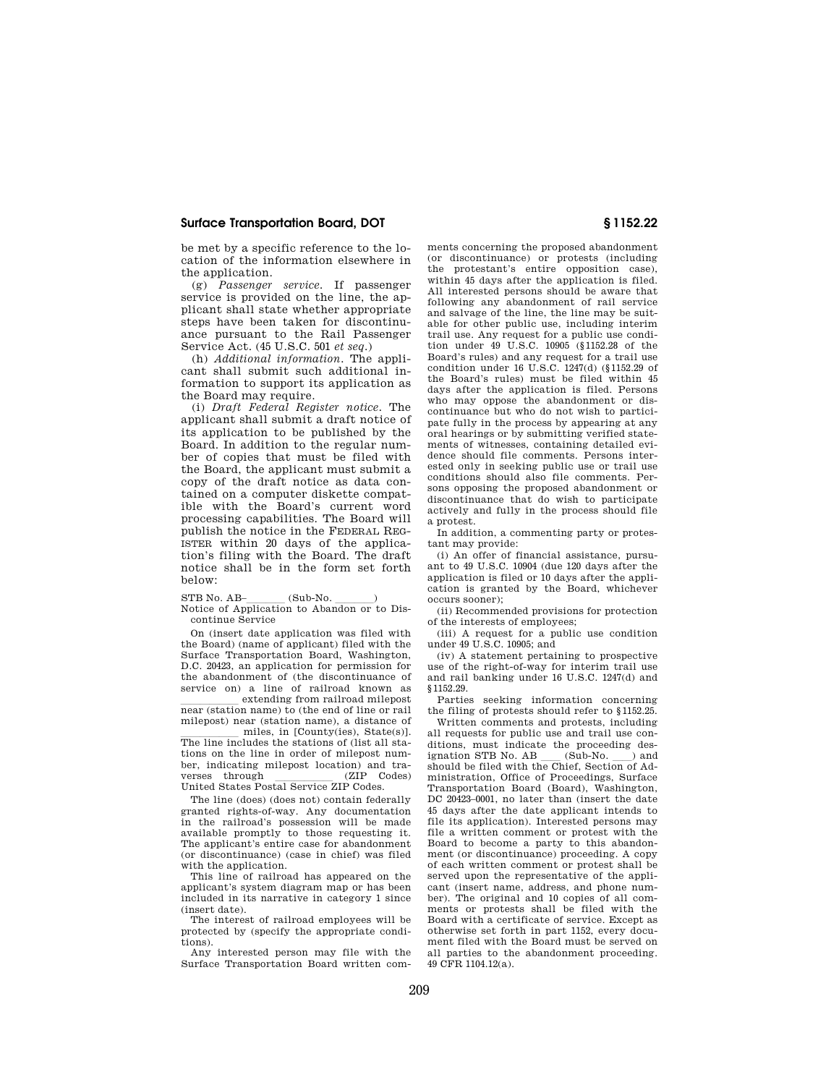be met by a specific reference to the location of the information elsewhere in the application.

(g) *Passenger service.* If passenger service is provided on the line, the applicant shall state whether appropriate steps have been taken for discontinuance pursuant to the Rail Passenger Service Act. (45 U.S.C. 501 *et seq*.)

(h) *Additional information.* The applicant shall submit such additional information to support its application as the Board may require.

(i) *Draft Federal Register notice.* The applicant shall submit a draft notice of its application to be published by the Board. In addition to the regular number of copies that must be filed with the Board, the applicant must submit a copy of the draft notice as data contained on a computer diskette compatible with the Board's current word processing capabilities. The Board will publish the notice in the FEDERAL REG-ISTER within 20 days of the application's filing with the Board. The draft notice shall be in the form set forth below:

STB No. AB—<sub>ll</sub>ll (Sub-No. <u>llell)</u> (Sub-No. let up to Dis-<br>Notice of Application to Abandon or to Discontinue Service

On (insert date application was filed with the Board) (name of applicant) filed with the Surface Transportation Board, Washington, D.C. 20423, an application for permission for the abandonment of (the discontinuance of service on) a line of railroad known as

extending from railroad milepost<br>near (station name) to (the end of line or rail milepost) near (station name), a distance of \_\_\_\_\_\_\_\_\_\_\_ miles, in [County(ies), State(s)].

 $\frac{1}{\text{m}}$  miles, in [County(ies), State(s)]. The line includes the stations of (list all stations on the line in order of milepost number, indicating milepost location) and tra-<br>verses through (ZIP Codes) verses through (ZIP Codes)<br>United States Postal Service ZIP Codes.

The line (does) (does not) contain federally granted rights-of-way. Any documentation in the railroad's possession will be made available promptly to those requesting it. The applicant's entire case for abandonment (or discontinuance) (case in chief) was filed with the application.

This line of railroad has appeared on the applicant's system diagram map or has been included in its narrative in category 1 since (insert date).

The interest of railroad employees will be protected by (specify the appropriate conditions).

Any interested person may file with the Surface Transportation Board written comments concerning the proposed abandonment (or discontinuance) or protests (including the protestant's entire opposition case), within 45 days after the application is filed. All interested persons should be aware that following any abandonment of rail service and salvage of the line, the line may be suitable for other public use, including interim trail use. Any request for a public use condition under 49 U.S.C. 10905 (§1152.28 of the Board's rules) and any request for a trail use condition under 16 U.S.C. 1247(d) (§1152.29 of the Board's rules) must be filed within 45 days after the application is filed. Persons who may oppose the abandonment or discontinuance but who do not wish to participate fully in the process by appearing at any oral hearings or by submitting verified statements of witnesses, containing detailed evidence should file comments. Persons interested only in seeking public use or trail use conditions should also file comments. Persons opposing the proposed abandonment or discontinuance that do wish to participate actively and fully in the process should file a protest.

In addition, a commenting party or protestant may provide:

(i) An offer of financial assistance, pursuant to 49 U.S.C. 10904 (due 120 days after the application is filed or 10 days after the application is granted by the Board, whichever occurs sooner);

(ii) Recommended provisions for protection of the interests of employees;

(iii) A request for a public use condition under 49 U.S.C. 10905; and

(iv) A statement pertaining to prospective use of the right-of-way for interim trail use and rail banking under 16 U.S.C. 1247(d) and §1152.29.

Parties seeking information concerning the filing of protests should refer to §1152.25.

Written comments and protests, including all requests for public use and trail use conditions, must indicate the proceeding designation STB No.  $AB$  \_\_\_\_ (Sub-No. \_\_\_) and ignation STB No. AB \_\_\_ (Sub-No. \_\_) and<br>should be filed with the Chief, Section of Administration, Office of Proceedings, Surface Transportation Board (Board), Washington, DC 20423-0001, no later than (insert the date 45 days after the date applicant intends to file its application). Interested persons may file a written comment or protest with the Board to become a party to this abandonment (or discontinuance) proceeding. A copy of each written comment or protest shall be served upon the representative of the applicant (insert name, address, and phone number). The original and 10 copies of all comments or protests shall be filed with the Board with a certificate of service. Except as otherwise set forth in part 1152, every document filed with the Board must be served on all parties to the abandonment proceeding. 49 CFR 1104.12(a).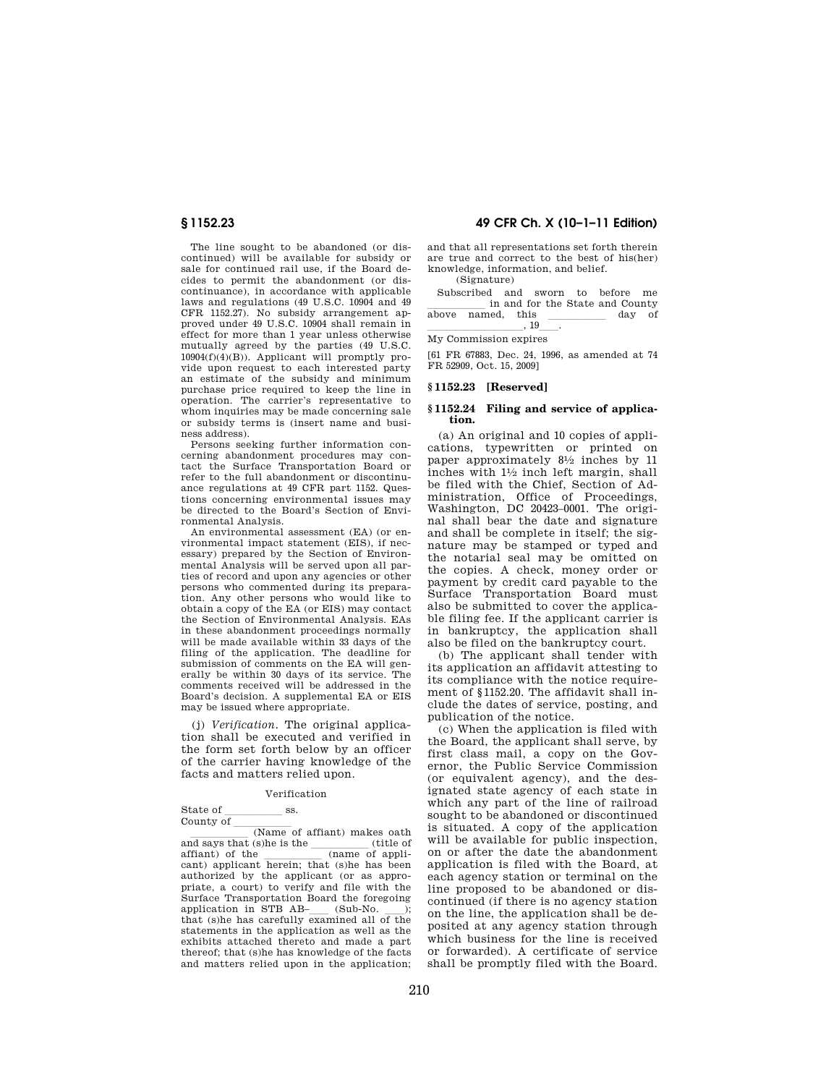The line sought to be abandoned (or discontinued) will be available for subsidy or sale for continued rail use, if the Board decides to permit the abandonment (or discontinuance), in accordance with applicable laws and regulations (49 U.S.C. 10904 and 49 CFR 1152.27). No subsidy arrangement approved under 49 U.S.C. 10904 shall remain in effect for more than 1 year unless otherwise mutually agreed by the parties (49 U.S.C. 10904(f)(4)(B)). Applicant will promptly provide upon request to each interested party an estimate of the subsidy and minimum purchase price required to keep the line in operation. The carrier's representative to whom inquiries may be made concerning sale or subsidy terms is (insert name and business address).

Persons seeking further information concerning abandonment procedures may contact the Surface Transportation Board or refer to the full abandonment or discontinuance regulations at 49 CFR part 1152. Questions concerning environmental issues may be directed to the Board's Section of Environmental Analysis.

An environmental assessment (EA) (or environmental impact statement (EIS), if necessary) prepared by the Section of Environmental Analysis will be served upon all parties of record and upon any agencies or other persons who commented during its preparation. Any other persons who would like to obtain a copy of the EA (or EIS) may contact the Section of Environmental Analysis. EAs in these abandonment proceedings normally will be made available within 33 days of the filing of the application. The deadline for submission of comments on the EA will generally be within 30 days of its service. The comments received will be addressed in the Board's decision. A supplemental EA or EIS may be issued where appropriate.

(j) *Verification.* The original application shall be executed and verified in the form set forth below by an officer of the carrier having knowledge of the facts and matters relied upon.

### Verification

State of  $\frac{\hspace{0.1cm}}{\hspace{0.1cm}}$  ss.

County of  $\frac{1}{\text{Name}}$  $\overline{\text{(Name of affiant)}}$  makes oath (s)he is the (title of and says that (s)he is the  $\frac{\text{title of}}{\text{name of aph}}$ affiant) of the  $\frac{\ }{\ }$  (name of applicant) applicant herein; that (s)he has been authorized by the applicant (or as appropriate, a court) to verify and file with the Surface Transportation Board the foregoing application in STB  $AB$ — (Sub-No.  $\qquad$ ); that (s)he has carefully examined all of the statements in the application as well as the exhibits attached thereto and made a part thereof; that (s)he has knowledge of the facts and matters relied upon in the application;

## **§ 1152.23 49 CFR Ch. X (10–1–11 Edition)**

and that all representations set forth therein are true and correct to the best of his(her) knowledge, information, and belief. (Signature)

Subscribed and sworn to before me in and for the State and County<br>above named, this day of  $\overline{\text{named}}, \quad \text{this} \quad \overline{\text{all}}$ 

why Commission expires.

[61 FR 67883, Dec. 24, 1996, as amended at 74 FR 52909, Oct. 15, 2009]

### **§ 1152.23 [Reserved]**

### **§ 1152.24 Filing and service of application.**

(a) An original and 10 copies of applications, typewritten or printed on paper approximately 81⁄2 inches by 11 inches with 11⁄2 inch left margin, shall be filed with the Chief, Section of Administration, Office of Proceedings, Washington, DC 20423–0001. The original shall bear the date and signature and shall be complete in itself; the signature may be stamped or typed and the notarial seal may be omitted on the copies. A check, money order or payment by credit card payable to the Surface Transportation Board must also be submitted to cover the applicable filing fee. If the applicant carrier is in bankruptcy, the application shall also be filed on the bankruptcy court.

(b) The applicant shall tender with its application an affidavit attesting to its compliance with the notice requirement of §1152.20. The affidavit shall include the dates of service, posting, and publication of the notice.

(c) When the application is filed with the Board, the applicant shall serve, by first class mail, a copy on the Governor, the Public Service Commission (or equivalent agency), and the designated state agency of each state in which any part of the line of railroad sought to be abandoned or discontinued is situated. A copy of the application will be available for public inspection. on or after the date the abandonment application is filed with the Board, at each agency station or terminal on the line proposed to be abandoned or discontinued (if there is no agency station on the line, the application shall be deposited at any agency station through which business for the line is received or forwarded). A certificate of service shall be promptly filed with the Board.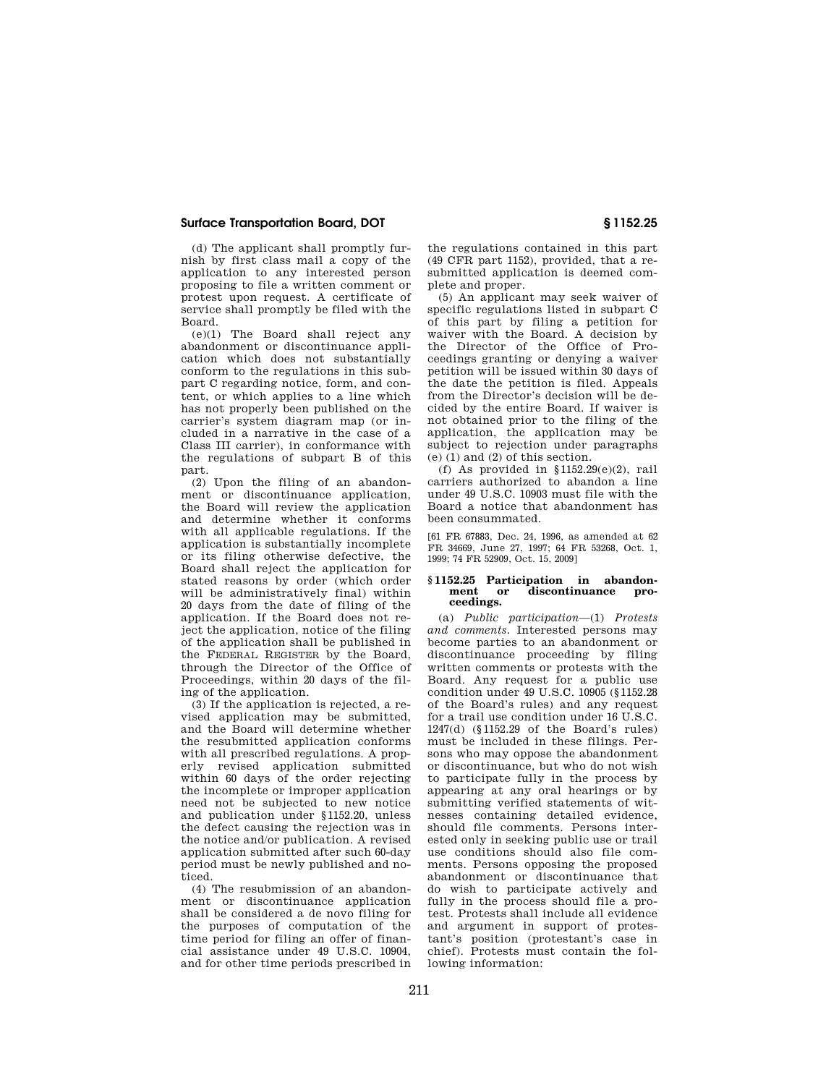(d) The applicant shall promptly furnish by first class mail a copy of the application to any interested person proposing to file a written comment or protest upon request. A certificate of service shall promptly be filed with the Board.

(e)(1) The Board shall reject any abandonment or discontinuance application which does not substantially conform to the regulations in this subpart C regarding notice, form, and content, or which applies to a line which has not properly been published on the carrier's system diagram map (or included in a narrative in the case of a Class III carrier), in conformance with the regulations of subpart B of this part.

 $(2)$  Upon the filing of an abandonment or discontinuance application, the Board will review the application and determine whether it conforms with all applicable regulations. If the application is substantially incomplete or its filing otherwise defective, the Board shall reject the application for stated reasons by order (which order will be administratively final) within 20 days from the date of filing of the application. If the Board does not reject the application, notice of the filing of the application shall be published in the FEDERAL REGISTER by the Board, through the Director of the Office of Proceedings, within 20 days of the filing of the application.

(3) If the application is rejected, a revised application may be submitted, and the Board will determine whether the resubmitted application conforms with all prescribed regulations. A properly revised application submitted within 60 days of the order rejecting the incomplete or improper application need not be subjected to new notice and publication under §1152.20, unless the defect causing the rejection was in the notice and/or publication. A revised application submitted after such 60-day period must be newly published and noticed.

(4) The resubmission of an abandonment or discontinuance application shall be considered a de novo filing for the purposes of computation of the time period for filing an offer of financial assistance under 49 U.S.C. 10904, and for other time periods prescribed in the regulations contained in this part (49 CFR part 1152), provided, that a resubmitted application is deemed complete and proper.

(5) An applicant may seek waiver of specific regulations listed in subpart C of this part by filing a petition for waiver with the Board. A decision by the Director of the Office of Proceedings granting or denying a waiver petition will be issued within 30 days of the date the petition is filed. Appeals from the Director's decision will be decided by the entire Board. If waiver is not obtained prior to the filing of the application, the application may be subject to rejection under paragraphs (e) (1) and (2) of this section.

(f) As provided in  $$1152.29(e)(2)$ , rail carriers authorized to abandon a line under 49 U.S.C. 10903 must file with the Board a notice that abandonment has been consummated.

[61 FR 67883, Dec. 24, 1996, as amended at 62 FR 34669, June 27, 1997; 64 FR 53268, Oct. 1, 1999; 74 FR 52909, Oct. 15, 2009]

### **§ 1152.25 Participation in abandonment or discontinuance proceedings.**

(a) *Public participation*—(1) *Protests and comments.* Interested persons may become parties to an abandonment or discontinuance proceeding by filing written comments or protests with the Board. Any request for a public use condition under 49 U.S.C. 10905 (§1152.28 of the Board's rules) and any request for a trail use condition under 16 U.S.C. 1247(d) (§1152.29 of the Board's rules) must be included in these filings. Persons who may oppose the abandonment or discontinuance, but who do not wish to participate fully in the process by appearing at any oral hearings or by submitting verified statements of witnesses containing detailed evidence, should file comments. Persons interested only in seeking public use or trail use conditions should also file comments. Persons opposing the proposed abandonment or discontinuance that do wish to participate actively and fully in the process should file a protest. Protests shall include all evidence and argument in support of protestant's position (protestant's case in chief). Protests must contain the following information: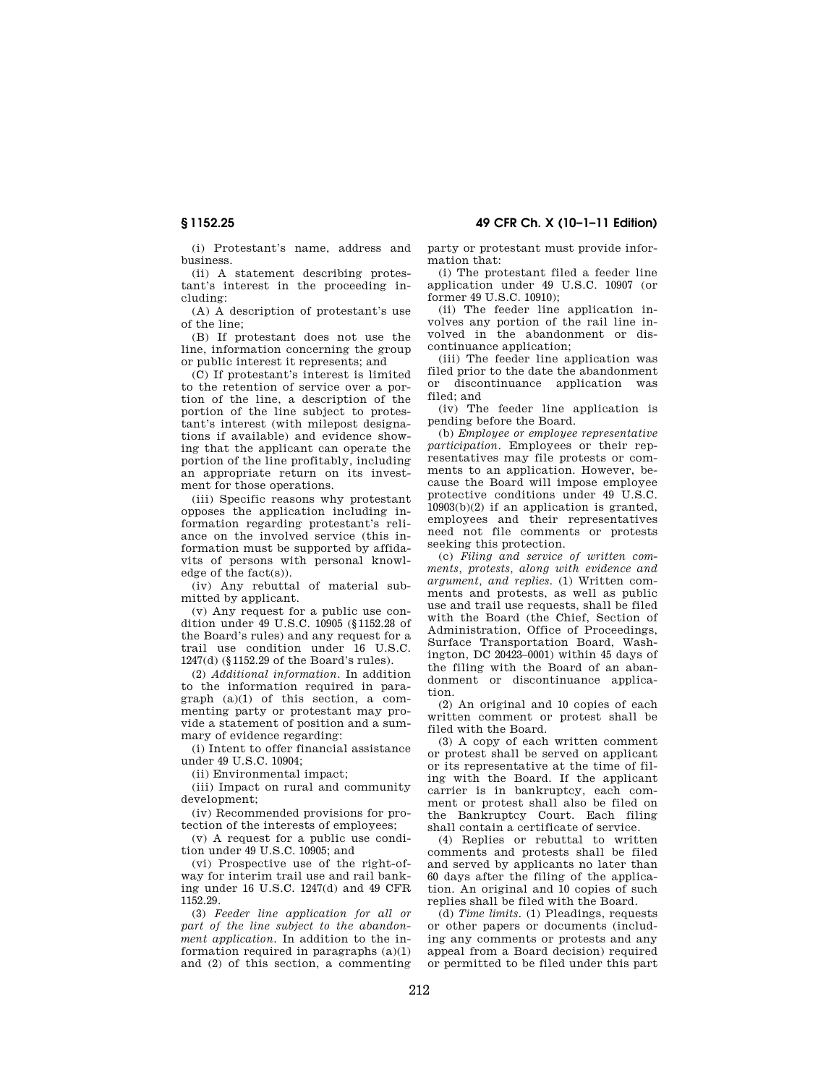(i) Protestant's name, address and business.

(ii) A statement describing protestant's interest in the proceeding including:

(A) A description of protestant's use of the line;

(B) If protestant does not use the line, information concerning the group or public interest it represents; and

(C) If protestant's interest is limited to the retention of service over a portion of the line, a description of the portion of the line subject to protestant's interest (with milepost designations if available) and evidence showing that the applicant can operate the portion of the line profitably, including an appropriate return on its investment for those operations.

(iii) Specific reasons why protestant opposes the application including information regarding protestant's reliance on the involved service (this information must be supported by affidavits of persons with personal knowledge of the fact(s)).

(iv) Any rebuttal of material submitted by applicant.

(v) Any request for a public use condition under 49 U.S.C. 10905 (§1152.28 of the Board's rules) and any request for a trail use condition under 16 U.S.C. 1247(d) (§1152.29 of the Board's rules).

(2) *Additional information.* In addition to the information required in paragraph (a)(1) of this section, a commenting party or protestant may provide a statement of position and a summary of evidence regarding:

(i) Intent to offer financial assistance under 49 U.S.C. 10904;

(ii) Environmental impact;

(iii) Impact on rural and community development;

(iv) Recommended provisions for protection of the interests of employees;

(v) A request for a public use condition under 49 U.S.C. 10905; and

(vi) Prospective use of the right-ofway for interim trail use and rail banking under 16 U.S.C. 1247(d) and 49 CFR 1152.29.

(3) *Feeder line application for all or part of the line subject to the abandonment application.* In addition to the information required in paragraphs  $(a)(1)$ and (2) of this section, a commenting party or protestant must provide information that:

(i) The protestant filed a feeder line application under 49 U.S.C. 10907 (or former 49 U.S.C. 10910);

(ii) The feeder line application involves any portion of the rail line involved in the abandonment or discontinuance application;

(iii) The feeder line application was filed prior to the date the abandonment or discontinuance application was filed; and

(iv) The feeder line application is pending before the Board.

(b) *Employee or employee representative participation.* Employees or their representatives may file protests or comments to an application. However, because the Board will impose employee protective conditions under 49 U.S.C.  $10903(b)(2)$  if an application is granted, employees and their representatives need not file comments or protests seeking this protection.

(c) *Filing and service of written comments, protests, along with evidence and argument, and replies.* (1) Written comments and protests, as well as public use and trail use requests, shall be filed with the Board (the Chief, Section of Administration, Office of Proceedings, Surface Transportation Board, Washington, DC 20423–0001) within 45 days of the filing with the Board of an abandonment or discontinuance application.

(2) An original and 10 copies of each written comment or protest shall be filed with the Board.

(3) A copy of each written comment or protest shall be served on applicant or its representative at the time of filing with the Board. If the applicant carrier is in bankruptcy, each comment or protest shall also be filed on the Bankruptcy Court. Each filing shall contain a certificate of service.

(4) Replies or rebuttal to written comments and protests shall be filed and served by applicants no later than 60 days after the filing of the application. An original and 10 copies of such replies shall be filed with the Board.

(d) *Time limits.* (1) Pleadings, requests or other papers or documents (including any comments or protests and any appeal from a Board decision) required or permitted to be filed under this part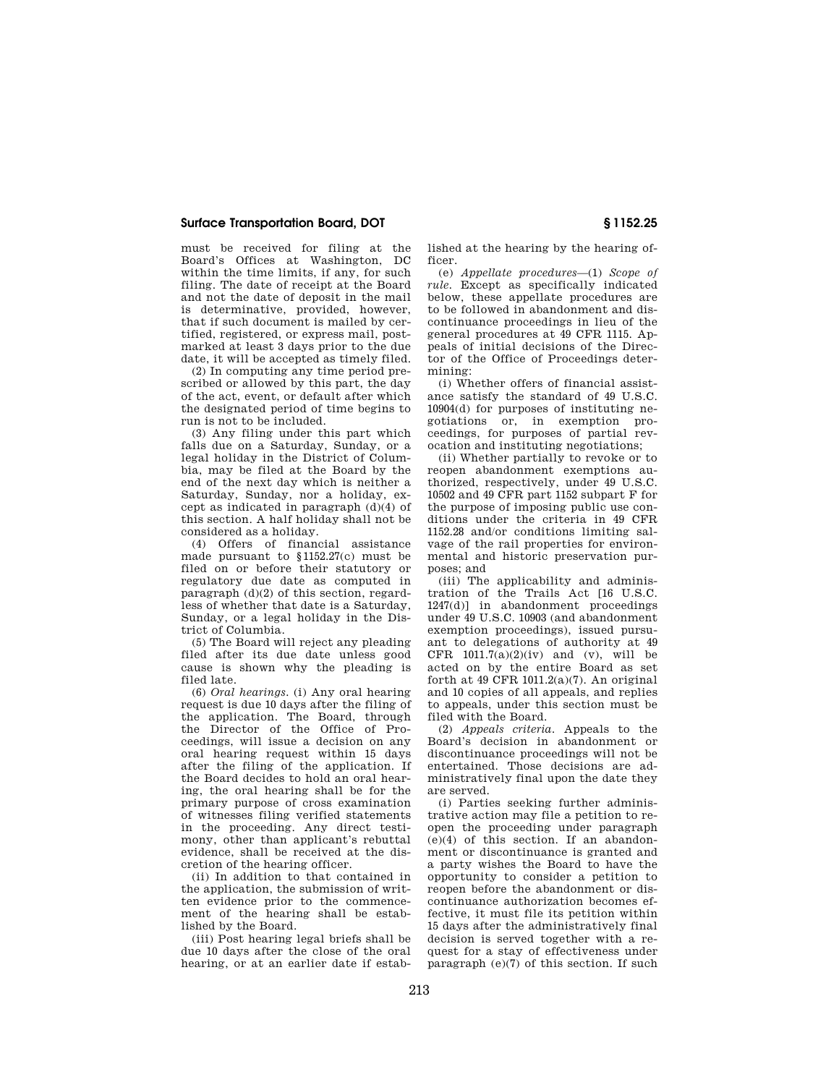must be received for filing at the Board's Offices at Washington, DC within the time limits, if any, for such filing. The date of receipt at the Board and not the date of deposit in the mail is determinative, provided, however, that if such document is mailed by certified, registered, or express mail, postmarked at least 3 days prior to the due date, it will be accepted as timely filed.

(2) In computing any time period prescribed or allowed by this part, the day of the act, event, or default after which the designated period of time begins to run is not to be included.

(3) Any filing under this part which falls due on a Saturday, Sunday, or a legal holiday in the District of Columbia, may be filed at the Board by the end of the next day which is neither a Saturday, Sunday, nor a holiday, except as indicated in paragraph (d)(4) of this section. A half holiday shall not be considered as a holiday.

(4) Offers of financial assistance made pursuant to §1152.27(c) must be filed on or before their statutory or regulatory due date as computed in paragraph (d)(2) of this section, regardless of whether that date is a Saturday, Sunday, or a legal holiday in the District of Columbia.

(5) The Board will reject any pleading filed after its due date unless good cause is shown why the pleading is filed late.

(6) *Oral hearings.* (i) Any oral hearing request is due 10 days after the filing of the application. The Board, through the Director of the Office of Proceedings, will issue a decision on any oral hearing request within 15 days after the filing of the application. If the Board decides to hold an oral hearing, the oral hearing shall be for the primary purpose of cross examination of witnesses filing verified statements in the proceeding. Any direct testimony, other than applicant's rebuttal evidence, shall be received at the discretion of the hearing officer.

(ii) In addition to that contained in the application, the submission of written evidence prior to the commencement of the hearing shall be established by the Board.

(iii) Post hearing legal briefs shall be due 10 days after the close of the oral hearing, or at an earlier date if established at the hearing by the hearing officer.

(e) *Appellate procedures*—(1) *Scope of rule.* Except as specifically indicated below, these appellate procedures are to be followed in abandonment and discontinuance proceedings in lieu of the general procedures at 49 CFR 1115. Appeals of initial decisions of the Director of the Office of Proceedings determining:

(i) Whether offers of financial assistance satisfy the standard of 49 U.S.C. 10904(d) for purposes of instituting negotiations or, in exemption proceedings, for purposes of partial revocation and instituting negotiations;

(ii) Whether partially to revoke or to reopen abandonment exemptions authorized, respectively, under 49 U.S.C. 10502 and 49 CFR part 1152 subpart F for the purpose of imposing public use conditions under the criteria in 49 CFR 1152.28 and/or conditions limiting salvage of the rail properties for environmental and historic preservation purposes; and

(iii) The applicability and administration of the Trails Act [16 U.S.C. 1247(d)] in abandonment proceedings under 49 U.S.C. 10903 (and abandonment exemption proceedings), issued pursuant to delegations of authority at 49 CFR  $1011.7(a)(2)(iv)$  and (v), will be acted on by the entire Board as set forth at  $49$  CFR 1011.2(a)(7). An original and 10 copies of all appeals, and replies to appeals, under this section must be filed with the Board.

(2) *Appeals criteria.* Appeals to the Board's decision in abandonment or discontinuance proceedings will not be entertained. Those decisions are administratively final upon the date they are served.

(i) Parties seeking further administrative action may file a petition to reopen the proceeding under paragraph (e)(4) of this section. If an abandonment or discontinuance is granted and a party wishes the Board to have the opportunity to consider a petition to reopen before the abandonment or discontinuance authorization becomes effective, it must file its petition within 15 days after the administratively final decision is served together with a request for a stay of effectiveness under paragraph (e)(7) of this section. If such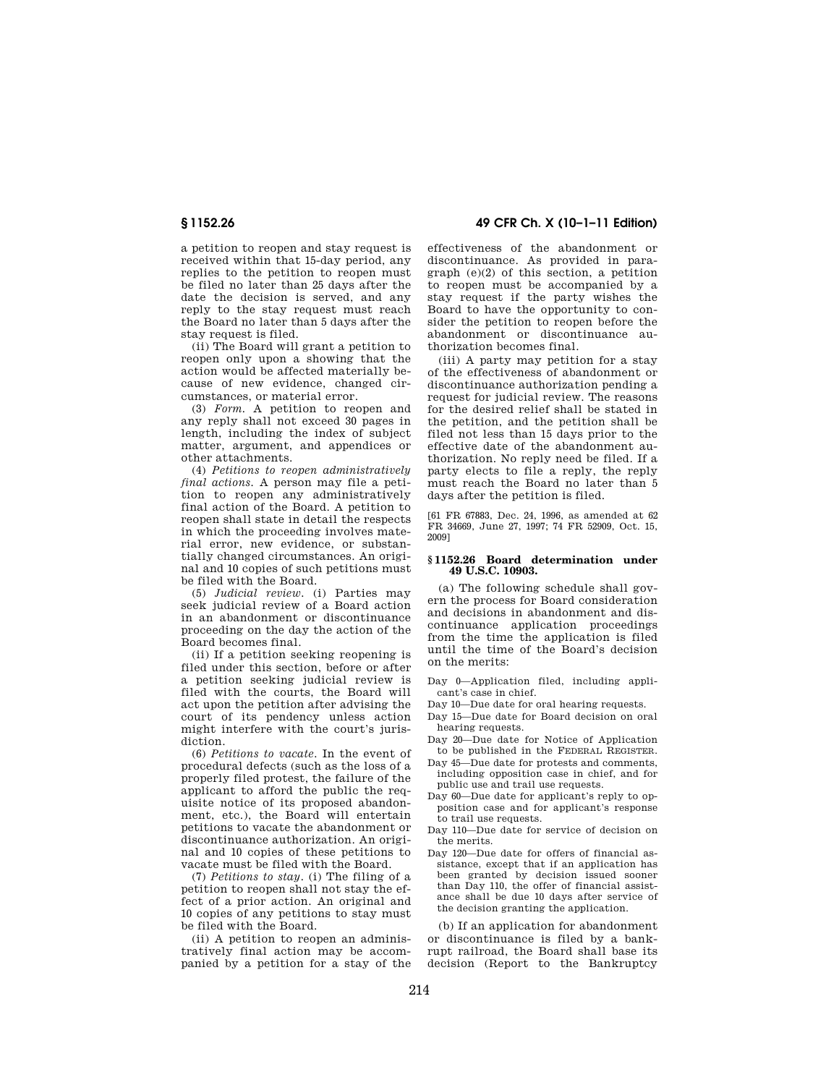a petition to reopen and stay request is received within that 15-day period, any replies to the petition to reopen must be filed no later than 25 days after the date the decision is served, and any reply to the stay request must reach the Board no later than 5 days after the stay request is filed.

(ii) The Board will grant a petition to reopen only upon a showing that the action would be affected materially because of new evidence, changed circumstances, or material error.

(3) *Form.* A petition to reopen and any reply shall not exceed 30 pages in length, including the index of subject matter, argument, and appendices or other attachments.

(4) *Petitions to reopen administratively final actions.* A person may file a petition to reopen any administratively final action of the Board. A petition to reopen shall state in detail the respects in which the proceeding involves material error, new evidence, or substantially changed circumstances. An original and 10 copies of such petitions must be filed with the Board.

(5) *Judicial review.* (i) Parties may seek judicial review of a Board action in an abandonment or discontinuance proceeding on the day the action of the Board becomes final.

(ii) If a petition seeking reopening is filed under this section, before or after a petition seeking judicial review is filed with the courts, the Board will act upon the petition after advising the court of its pendency unless action might interfere with the court's jurisdiction.

(6) *Petitions to vacate.* In the event of procedural defects (such as the loss of a properly filed protest, the failure of the applicant to afford the public the requisite notice of its proposed abandonment, etc.), the Board will entertain petitions to vacate the abandonment or discontinuance authorization. An original and 10 copies of these petitions to vacate must be filed with the Board.

(7) *Petitions to stay.* (i) The filing of a petition to reopen shall not stay the effect of a prior action. An original and 10 copies of any petitions to stay must be filed with the Board.

(ii) A petition to reopen an administratively final action may be accompanied by a petition for a stay of the

## **§ 1152.26 49 CFR Ch. X (10–1–11 Edition)**

effectiveness of the abandonment or discontinuance. As provided in paragraph (e)(2) of this section, a petition to reopen must be accompanied by a stay request if the party wishes the Board to have the opportunity to consider the petition to reopen before the abandonment or discontinuance authorization becomes final.

(iii) A party may petition for a stay of the effectiveness of abandonment or discontinuance authorization pending a request for judicial review. The reasons for the desired relief shall be stated in the petition, and the petition shall be filed not less than 15 days prior to the effective date of the abandonment authorization. No reply need be filed. If a party elects to file a reply, the reply must reach the Board no later than 5 days after the petition is filed.

[61 FR 67883, Dec. 24, 1996, as amended at 62 FR 34669, June 27, 1997; 74 FR 52909, Oct. 15, 2009]

### **§ 1152.26 Board determination under 49 U.S.C. 10903.**

(a) The following schedule shall govern the process for Board consideration and decisions in abandonment and discontinuance application proceedings from the time the application is filed until the time of the Board's decision on the merits:

- Day 0—Application filed, including applicant's case in chief.
- Day 10—Due date for oral hearing requests.
- Day 15—Due date for Board decision on oral hearing requests.
- Day 20—Due date for Notice of Application to be published in the FEDERAL REGISTER.
- Day 45—Due date for protests and comments, including opposition case in chief, and for public use and trail use requests.
- Day 60—Due date for applicant's reply to opposition case and for applicant's response to trail use requests.
- Day 110—Due date for service of decision on the merits.
- Day 120—Due date for offers of financial assistance, except that if an application has been granted by decision issued sooner than Day 110, the offer of financial assistance shall be due 10 days after service of the decision granting the application.

(b) If an application for abandonment or discontinuance is filed by a bankrupt railroad, the Board shall base its decision (Report to the Bankruptcy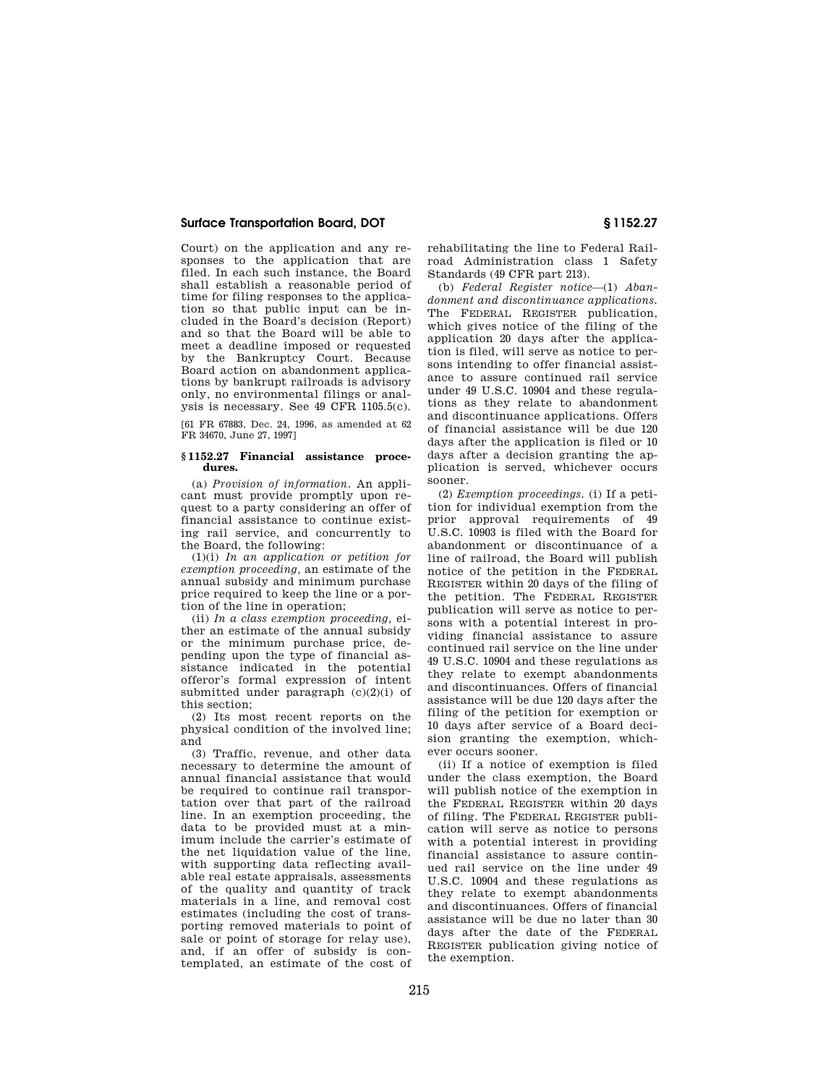Court) on the application and any responses to the application that are filed. In each such instance, the Board shall establish a reasonable period of time for filing responses to the application so that public input can be included in the Board's decision (Report) and so that the Board will be able to meet a deadline imposed or requested by the Bankruptcy Court. Because Board action on abandonment applications by bankrupt railroads is advisory only, no environmental filings or analysis is necessary. See 49 CFR 1105.5(c).

[61 FR 67883, Dec. 24, 1996, as amended at 62 FR 34670, June 27, 1997]

### **§ 1152.27 Financial assistance procedures.**

(a) *Provision of information.* An applicant must provide promptly upon request to a party considering an offer of financial assistance to continue existing rail service, and concurrently to the Board, the following:

(1)(i) *In an application or petition for exemption proceeding,* an estimate of the annual subsidy and minimum purchase price required to keep the line or a portion of the line in operation;

(ii) *In a class exemption proceeding,* either an estimate of the annual subsidy or the minimum purchase price, depending upon the type of financial assistance indicated in the potential offeror's formal expression of intent submitted under paragraph (c)(2)(i) of this section;

(2) Its most recent reports on the physical condition of the involved line; and

(3) Traffic, revenue, and other data necessary to determine the amount of annual financial assistance that would be required to continue rail transportation over that part of the railroad line. In an exemption proceeding, the data to be provided must at a minimum include the carrier's estimate of the net liquidation value of the line, with supporting data reflecting available real estate appraisals, assessments of the quality and quantity of track materials in a line, and removal cost estimates (including the cost of transporting removed materials to point of sale or point of storage for relay use), and, if an offer of subsidy is contemplated, an estimate of the cost of

rehabilitating the line to Federal Railroad Administration class 1 Safety Standards (49 CFR part 213).

(b) *Federal Register notice*—(1) *Abandonment and discontinuance applications.*  The FEDERAL REGISTER publication, which gives notice of the filing of the application 20 days after the application is filed, will serve as notice to persons intending to offer financial assistance to assure continued rail service under 49 U.S.C. 10904 and these regulations as they relate to abandonment and discontinuance applications. Offers of financial assistance will be due 120 days after the application is filed or 10 days after a decision granting the application is served, whichever occurs sooner.

(2) *Exemption proceedings.* (i) If a petition for individual exemption from the prior approval requirements of 49 U.S.C. 10903 is filed with the Board for abandonment or discontinuance of a line of railroad, the Board will publish notice of the petition in the FEDERAL REGISTER within 20 days of the filing of the petition. The FEDERAL REGISTER publication will serve as notice to persons with a potential interest in providing financial assistance to assure continued rail service on the line under 49 U.S.C. 10904 and these regulations as they relate to exempt abandonments and discontinuances. Offers of financial assistance will be due 120 days after the filing of the petition for exemption or 10 days after service of a Board decision granting the exemption, whichever occurs sooner.

(ii) If a notice of exemption is filed under the class exemption, the Board will publish notice of the exemption in the FEDERAL REGISTER within 20 days of filing. The FEDERAL REGISTER publication will serve as notice to persons with a potential interest in providing financial assistance to assure continued rail service on the line under 49 U.S.C. 10904 and these regulations as they relate to exempt abandonments and discontinuances. Offers of financial assistance will be due no later than 30 days after the date of the FEDERAL REGISTER publication giving notice of the exemption.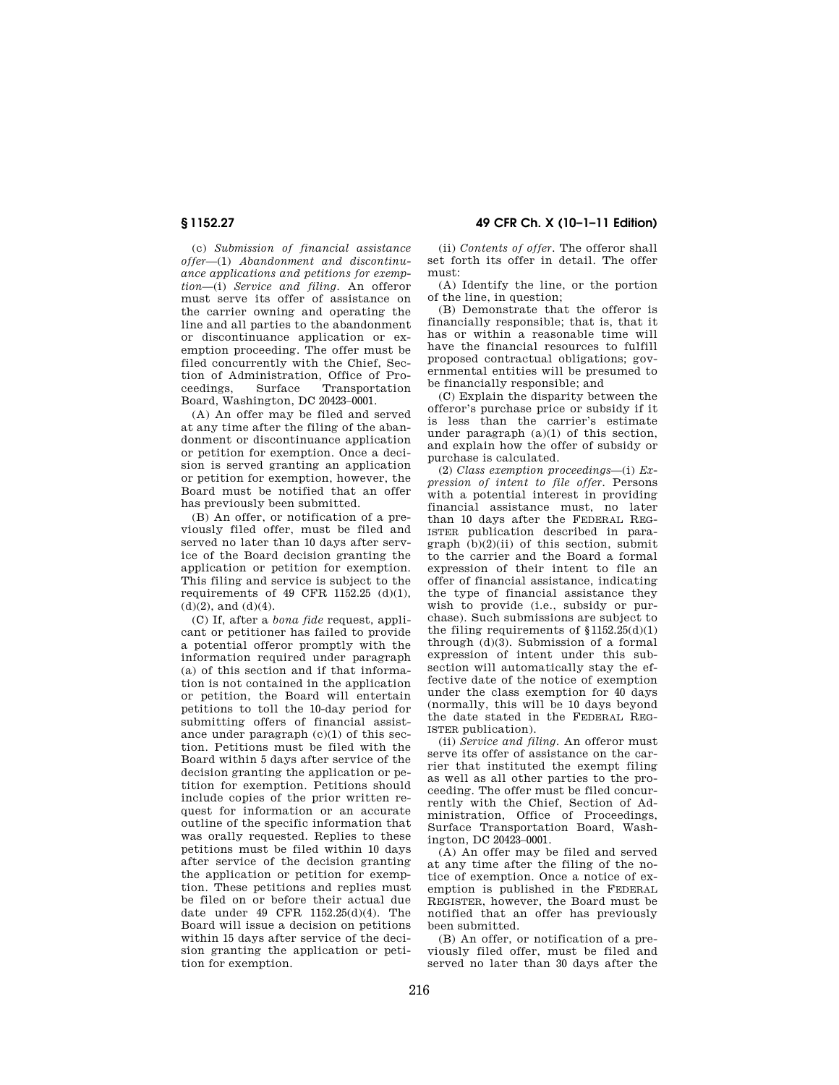(c) *Submission of financial assistance offer*—(1) *Abandonment and discontinuance applications and petitions for exemption*—(i) *Service and filing.* An offeror must serve its offer of assistance on the carrier owning and operating the line and all parties to the abandonment or discontinuance application or exemption proceeding. The offer must be filed concurrently with the Chief, Section of Administration, Office of Proceedings, Surface Transportation Board, Washington, DC 20423–0001.

(A) An offer may be filed and served at any time after the filing of the abandonment or discontinuance application or petition for exemption. Once a decision is served granting an application or petition for exemption, however, the Board must be notified that an offer has previously been submitted.

(B) An offer, or notification of a previously filed offer, must be filed and served no later than 10 days after service of the Board decision granting the application or petition for exemption. This filing and service is subject to the requirements of 49 CFR 1152.25 (d)(1),  $(d)(2)$ , and  $(d)(4)$ .

(C) If, after a *bona fide* request, applicant or petitioner has failed to provide a potential offeror promptly with the information required under paragraph (a) of this section and if that information is not contained in the application or petition, the Board will entertain petitions to toll the 10-day period for submitting offers of financial assistance under paragraph (c)(1) of this section. Petitions must be filed with the Board within 5 days after service of the decision granting the application or petition for exemption. Petitions should include copies of the prior written request for information or an accurate outline of the specific information that was orally requested. Replies to these petitions must be filed within 10 days after service of the decision granting the application or petition for exemption. These petitions and replies must be filed on or before their actual due date under 49 CFR 1152.25(d)(4). The Board will issue a decision on petitions within 15 days after service of the decision granting the application or petition for exemption.

**§ 1152.27 49 CFR Ch. X (10–1–11 Edition)** 

(ii) *Contents of offer.* The offeror shall set forth its offer in detail. The offer must:

(A) Identify the line, or the portion of the line, in question;

(B) Demonstrate that the offeror is financially responsible; that is, that it has or within a reasonable time will have the financial resources to fulfill proposed contractual obligations; governmental entities will be presumed to be financially responsible; and

(C) Explain the disparity between the offeror's purchase price or subsidy if it is less than the carrier's estimate under paragraph  $(a)(1)$  of this section, and explain how the offer of subsidy or purchase is calculated.

(2) *Class exemption proceedings*—(i) *Expression of intent to file offer.* Persons with a potential interest in providing financial assistance must, no later than 10 days after the FEDERAL REG-ISTER publication described in paragraph  $(b)(2)(ii)$  of this section, submit to the carrier and the Board a formal expression of their intent to file an offer of financial assistance, indicating the type of financial assistance they wish to provide (i.e., subsidy or purchase). Such submissions are subject to the filing requirements of  $$1152.25(d)(1)$ through (d)(3). Submission of a formal expression of intent under this subsection will automatically stay the effective date of the notice of exemption under the class exemption for 40 days (normally, this will be 10 days beyond the date stated in the FEDERAL REG-ISTER publication).

(ii) *Service and filing.* An offeror must serve its offer of assistance on the carrier that instituted the exempt filing as well as all other parties to the proceeding. The offer must be filed concurrently with the Chief, Section of Administration, Office of Proceedings Surface Transportation Board, Washington, DC 20423–0001.

(A) An offer may be filed and served at any time after the filing of the notice of exemption. Once a notice of exemption is published in the FEDERAL REGISTER, however, the Board must be notified that an offer has previously been submitted.

(B) An offer, or notification of a previously filed offer, must be filed and served no later than 30 days after the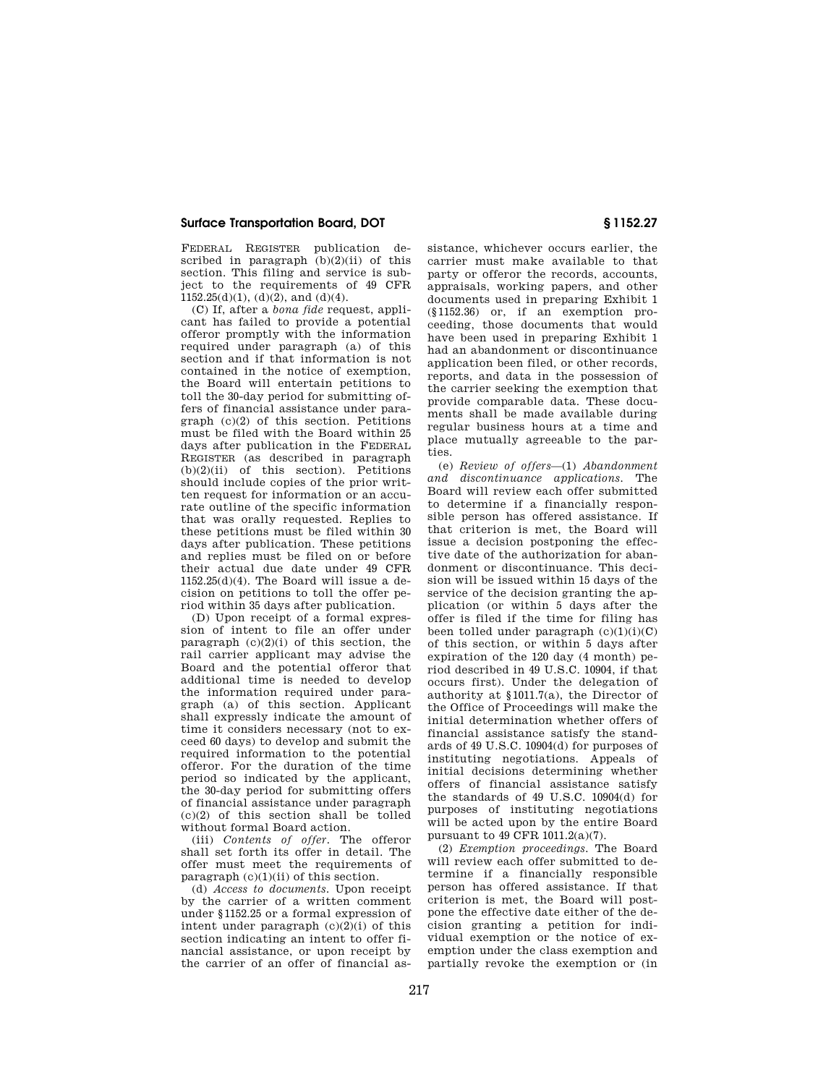FEDERAL REGISTER publication described in paragraph  $(b)(2)(ii)$  of this section. This filing and service is subject to the requirements of 49 CFR  $1152.25(d)(1)$ ,  $(d)(2)$ , and  $(d)(4)$ .

(C) If, after a *bona fide* request, applicant has failed to provide a potential offeror promptly with the information required under paragraph (a) of this section and if that information is not contained in the notice of exemption, the Board will entertain petitions to toll the 30-day period for submitting offers of financial assistance under paragraph (c)(2) of this section. Petitions must be filed with the Board within 25 days after publication in the FEDERAL REGISTER (as described in paragraph  $(b)(2)(ii)$  of this section). Petitions should include copies of the prior written request for information or an accurate outline of the specific information that was orally requested. Replies to these petitions must be filed within 30 days after publication. These petitions and replies must be filed on or before their actual due date under 49 CFR 1152.25(d)(4). The Board will issue a decision on petitions to toll the offer period within 35 days after publication.

(D) Upon receipt of a formal expression of intent to file an offer under paragraph  $(c)(2)(i)$  of this section, the rail carrier applicant may advise the Board and the potential offeror that additional time is needed to develop the information required under paragraph (a) of this section. Applicant shall expressly indicate the amount of time it considers necessary (not to exceed 60 days) to develop and submit the required information to the potential offeror. For the duration of the time period so indicated by the applicant, the 30-day period for submitting offers of financial assistance under paragraph (c)(2) of this section shall be tolled without formal Board action.

(iii) *Contents of offer.* The offeror shall set forth its offer in detail. The offer must meet the requirements of paragraph  $(c)(1)(ii)$  of this section.

(d) *Access to documents.* Upon receipt by the carrier of a written comment under §1152.25 or a formal expression of intent under paragraph  $(c)(2)(i)$  of this section indicating an intent to offer financial assistance, or upon receipt by the carrier of an offer of financial assistance, whichever occurs earlier, the carrier must make available to that party or offeror the records, accounts, appraisals, working papers, and other documents used in preparing Exhibit 1 (§1152.36) or, if an exemption proceeding, those documents that would have been used in preparing Exhibit 1 had an abandonment or discontinuance application been filed, or other records, reports, and data in the possession of the carrier seeking the exemption that provide comparable data. These documents shall be made available during regular business hours at a time and place mutually agreeable to the parties.

(e) *Review of offers*—(1) *Abandonment and discontinuance applications.* The Board will review each offer submitted to determine if a financially responsible person has offered assistance. If that criterion is met, the Board will issue a decision postponing the effective date of the authorization for abandonment or discontinuance. This decision will be issued within 15 days of the service of the decision granting the application (or within 5 days after the offer is filed if the time for filing has been tolled under paragraph  $(c)(1)(i)(C)$ of this section, or within 5 days after expiration of the 120 day (4 month) period described in 49 U.S.C. 10904, if that occurs first). Under the delegation of authority at §1011.7(a), the Director of the Office of Proceedings will make the initial determination whether offers of financial assistance satisfy the standards of 49 U.S.C. 10904(d) for purposes of instituting negotiations. Appeals of initial decisions determining whether offers of financial assistance satisfy the standards of 49 U.S.C. 10904(d) for purposes of instituting negotiations will be acted upon by the entire Board pursuant to 49 CFR 1011.2(a)(7).

(2) *Exemption proceedings.* The Board will review each offer submitted to determine if a financially responsible person has offered assistance. If that criterion is met, the Board will postpone the effective date either of the decision granting a petition for individual exemption or the notice of exemption under the class exemption and partially revoke the exemption or (in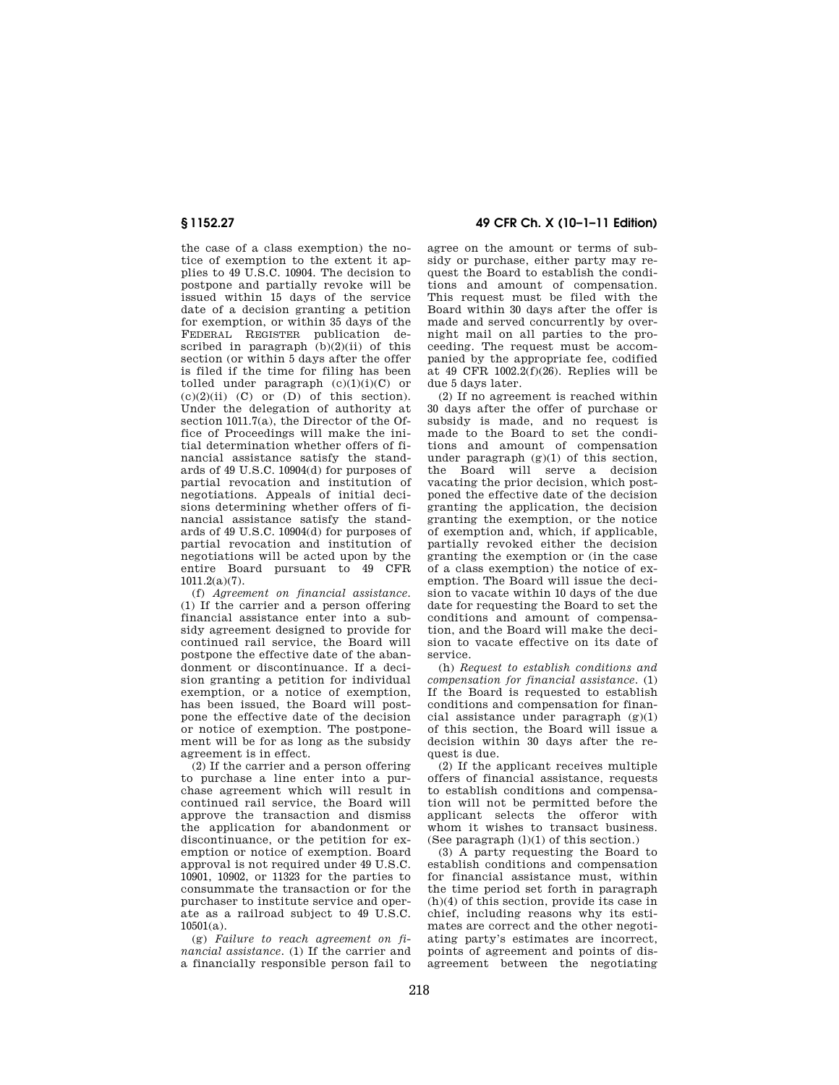the case of a class exemption) the notice of exemption to the extent it applies to 49 U.S.C. 10904. The decision to postpone and partially revoke will be issued within 15 days of the service date of a decision granting a petition for exemption, or within 35 days of the FEDERAL REGISTER publication described in paragraph  $(b)(2)(ii)$  of this section (or within 5 days after the offer is filed if the time for filing has been tolled under paragraph  $(c)(1)(i)(C)$  or  $(c)(2)(ii)$   $(C)$  or  $(D)$  of this section). Under the delegation of authority at section 1011.7(a), the Director of the Office of Proceedings will make the initial determination whether offers of financial assistance satisfy the standards of 49 U.S.C. 10904(d) for purposes of partial revocation and institution of negotiations. Appeals of initial decisions determining whether offers of financial assistance satisfy the standards of 49 U.S.C. 10904(d) for purposes of partial revocation and institution of negotiations will be acted upon by the entire Board pursuant to 49 CFR 1011.2(a)(7).

(f) *Agreement on financial assistance.*  (1) If the carrier and a person offering financial assistance enter into a subsidy agreement designed to provide for continued rail service, the Board will postpone the effective date of the abandonment or discontinuance. If a decision granting a petition for individual exemption, or a notice of exemption, has been issued, the Board will postpone the effective date of the decision or notice of exemption. The postponement will be for as long as the subsidy agreement is in effect.

(2) If the carrier and a person offering to purchase a line enter into a purchase agreement which will result in continued rail service, the Board will approve the transaction and dismiss the application for abandonment or discontinuance, or the petition for exemption or notice of exemption. Board approval is not required under 49 U.S.C. 10901, 10902, or 11323 for the parties to consummate the transaction or for the purchaser to institute service and operate as a railroad subject to 49 U.S.C.  $10501(a)$ .

(g) *Failure to reach agreement on financial assistance.* (1) If the carrier and a financially responsible person fail to

**§ 1152.27 49 CFR Ch. X (10–1–11 Edition)** 

agree on the amount or terms of subsidy or purchase, either party may request the Board to establish the conditions and amount of compensation. This request must be filed with the Board within 30 days after the offer is made and served concurrently by overnight mail on all parties to the proceeding. The request must be accompanied by the appropriate fee, codified at 49 CFR  $1002.2(f)(26)$ . Replies will be due 5 days later.

(2) If no agreement is reached within 30 days after the offer of purchase or subsidy is made, and no request is made to the Board to set the conditions and amount of compensation under paragraph (g)(1) of this section, the Board will serve a decision vacating the prior decision, which postponed the effective date of the decision granting the application, the decision granting the exemption, or the notice of exemption and, which, if applicable, partially revoked either the decision granting the exemption or (in the case of a class exemption) the notice of exemption. The Board will issue the decision to vacate within 10 days of the due date for requesting the Board to set the conditions and amount of compensation, and the Board will make the decision to vacate effective on its date of service.

(h) *Request to establish conditions and compensation for financial assistance.* (1) If the Board is requested to establish conditions and compensation for financial assistance under paragraph  $(g)(1)$ of this section, the Board will issue a decision within 30 days after the request is due.

(2) If the applicant receives multiple offers of financial assistance, requests to establish conditions and compensation will not be permitted before the applicant selects the offeror with whom it wishes to transact business. (See paragraph (l)(1) of this section.)

(3) A party requesting the Board to establish conditions and compensation for financial assistance must, within the time period set forth in paragraph (h)(4) of this section, provide its case in chief, including reasons why its estimates are correct and the other negotiating party's estimates are incorrect, points of agreement and points of disagreement between the negotiating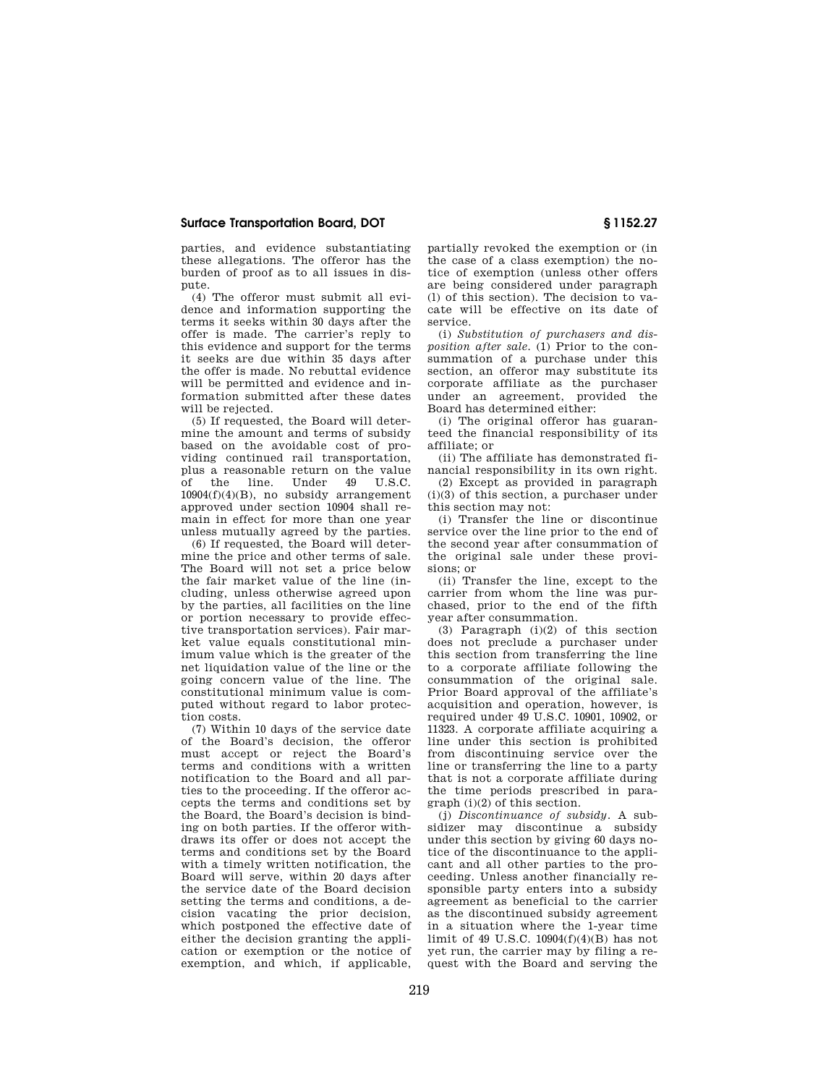parties, and evidence substantiating these allegations. The offeror has the burden of proof as to all issues in dispute.

(4) The offeror must submit all evidence and information supporting the terms it seeks within 30 days after the offer is made. The carrier's reply to this evidence and support for the terms it seeks are due within 35 days after the offer is made. No rebuttal evidence will be permitted and evidence and information submitted after these dates will be rejected.

(5) If requested, the Board will determine the amount and terms of subsidy based on the avoidable cost of providing continued rail transportation, plus a reasonable return on the value of the line. Under 49 U.S.C.  $10904(f)(4)(B)$ , no subsidy arrangement approved under section 10904 shall remain in effect for more than one year unless mutually agreed by the parties.

(6) If requested, the Board will determine the price and other terms of sale. The Board will not set a price below the fair market value of the line (including, unless otherwise agreed upon by the parties, all facilities on the line or portion necessary to provide effective transportation services). Fair market value equals constitutional minimum value which is the greater of the net liquidation value of the line or the going concern value of the line. The constitutional minimum value is computed without regard to labor protection costs.

(7) Within 10 days of the service date of the Board's decision, the offeror must accept or reject the Board's terms and conditions with a written notification to the Board and all parties to the proceeding. If the offeror accepts the terms and conditions set by the Board, the Board's decision is binding on both parties. If the offeror withdraws its offer or does not accept the terms and conditions set by the Board with a timely written notification, the Board will serve, within 20 days after the service date of the Board decision setting the terms and conditions, a decision vacating the prior decision, which postponed the effective date of either the decision granting the application or exemption or the notice of exemption, and which, if applicable,

partially revoked the exemption or (in the case of a class exemption) the notice of exemption (unless other offers are being considered under paragraph (l) of this section). The decision to vacate will be effective on its date of service.

(i) *Substitution of purchasers and disposition after sale.* (1) Prior to the consummation of a purchase under this section, an offeror may substitute its corporate affiliate as the purchaser under an agreement, provided the Board has determined either:

(i) The original offeror has guaranteed the financial responsibility of its affiliate; or

(ii) The affiliate has demonstrated financial responsibility in its own right.

(2) Except as provided in paragraph (i)(3) of this section, a purchaser under this section may not:

(i) Transfer the line or discontinue service over the line prior to the end of the second year after consummation of the original sale under these provisions; or

(ii) Transfer the line, except to the carrier from whom the line was purchased, prior to the end of the fifth year after consummation.

(3) Paragraph (i)(2) of this section does not preclude a purchaser under this section from transferring the line to a corporate affiliate following the consummation of the original sale. Prior Board approval of the affiliate's acquisition and operation, however, is required under 49 U.S.C. 10901, 10902, or 11323. A corporate affiliate acquiring a line under this section is prohibited from discontinuing service over the line or transferring the line to a party that is not a corporate affiliate during the time periods prescribed in paragraph (i)(2) of this section.

(j) *Discontinuance of subsidy.* A subsidizer may discontinue a subsidy under this section by giving 60 days notice of the discontinuance to the applicant and all other parties to the proceeding. Unless another financially responsible party enters into a subsidy agreement as beneficial to the carrier as the discontinued subsidy agreement in a situation where the 1-year time limit of 49 U.S.C. 10904(f)(4)(B) has not yet run, the carrier may by filing a request with the Board and serving the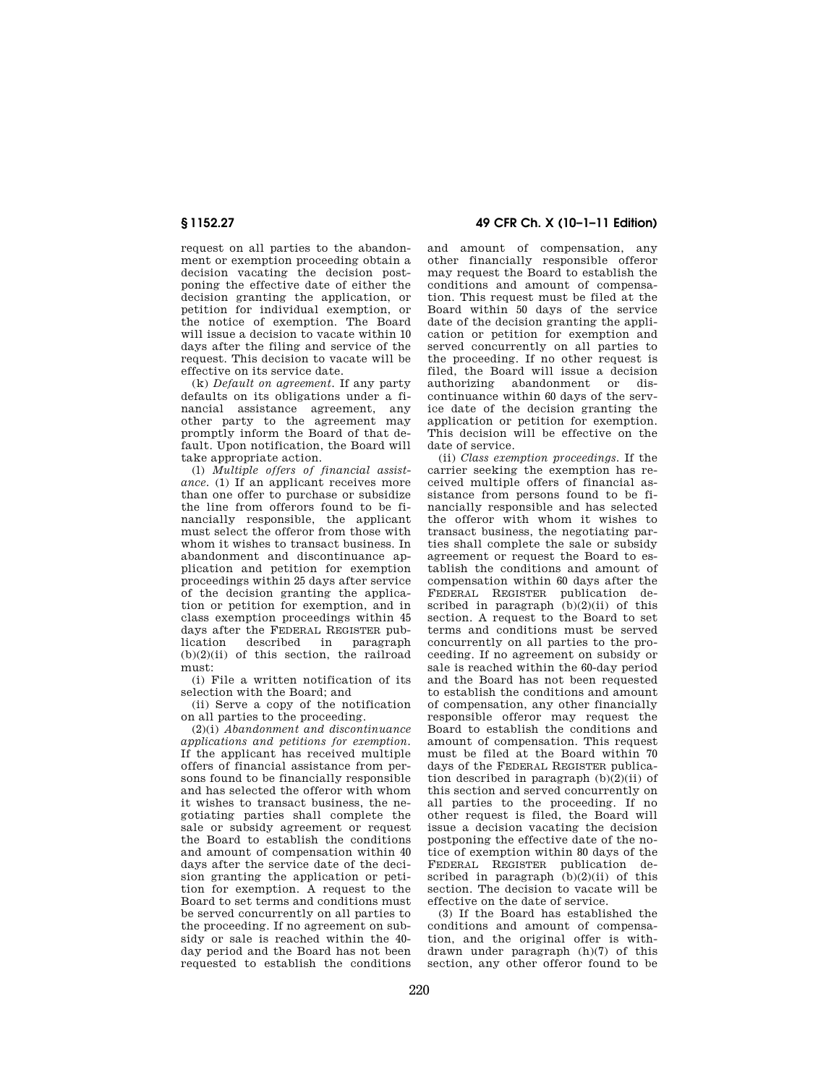request on all parties to the abandonment or exemption proceeding obtain a decision vacating the decision postponing the effective date of either the decision granting the application, or petition for individual exemption, or the notice of exemption. The Board will issue a decision to vacate within 10 days after the filing and service of the request. This decision to vacate will be effective on its service date.

(k) *Default on agreement.* If any party defaults on its obligations under a financial assistance agreement, any other party to the agreement may promptly inform the Board of that default. Upon notification, the Board will take appropriate action.

(l) *Multiple offers of financial assistance.* (1) If an applicant receives more than one offer to purchase or subsidize the line from offerors found to be financially responsible, the applicant must select the offeror from those with whom it wishes to transact business. In abandonment and discontinuance application and petition for exemption proceedings within 25 days after service of the decision granting the application or petition for exemption, and in class exemption proceedings within 45 days after the FEDERAL REGISTER publication described in paragraph  $(b)(2)(ii)$  of this section, the railroad must:

(i) File a written notification of its selection with the Board; and

(ii) Serve a copy of the notification on all parties to the proceeding.

(2)(i) *Abandonment and discontinuance applications and petitions for exemption.*  If the applicant has received multiple offers of financial assistance from persons found to be financially responsible and has selected the offeror with whom it wishes to transact business, the negotiating parties shall complete the sale or subsidy agreement or request the Board to establish the conditions and amount of compensation within 40 days after the service date of the decision granting the application or petition for exemption. A request to the Board to set terms and conditions must be served concurrently on all parties to the proceeding. If no agreement on subsidy or sale is reached within the 40 day period and the Board has not been requested to establish the conditions

**§ 1152.27 49 CFR Ch. X (10–1–11 Edition)** 

and amount of compensation, any other financially responsible offeror may request the Board to establish the conditions and amount of compensation. This request must be filed at the Board within 50 days of the service date of the decision granting the application or petition for exemption and served concurrently on all parties to the proceeding. If no other request is filed, the Board will issue a decision abandonment or discontinuance within 60 days of the service date of the decision granting the application or petition for exemption. This decision will be effective on the date of service.

(ii) *Class exemption proceedings.* If the carrier seeking the exemption has received multiple offers of financial assistance from persons found to be financially responsible and has selected the offeror with whom it wishes to transact business, the negotiating parties shall complete the sale or subsidy agreement or request the Board to establish the conditions and amount of compensation within 60 days after the FEDERAL REGISTER publication described in paragraph  $(b)(2)(ii)$  of this section. A request to the Board to set terms and conditions must be served concurrently on all parties to the proceeding. If no agreement on subsidy or sale is reached within the 60-day period and the Board has not been requested to establish the conditions and amount of compensation, any other financially responsible offeror may request the Board to establish the conditions and amount of compensation. This request must be filed at the Board within 70 days of the FEDERAL REGISTER publication described in paragraph  $(b)(2)(ii)$  of this section and served concurrently on all parties to the proceeding. If no other request is filed, the Board will issue a decision vacating the decision postponing the effective date of the notice of exemption within 80 days of the FEDERAL REGISTER publication described in paragraph  $(b)(2)(ii)$  of this section. The decision to vacate will be effective on the date of service.

(3) If the Board has established the conditions and amount of compensation, and the original offer is withdrawn under paragraph (h)(7) of this section, any other offeror found to be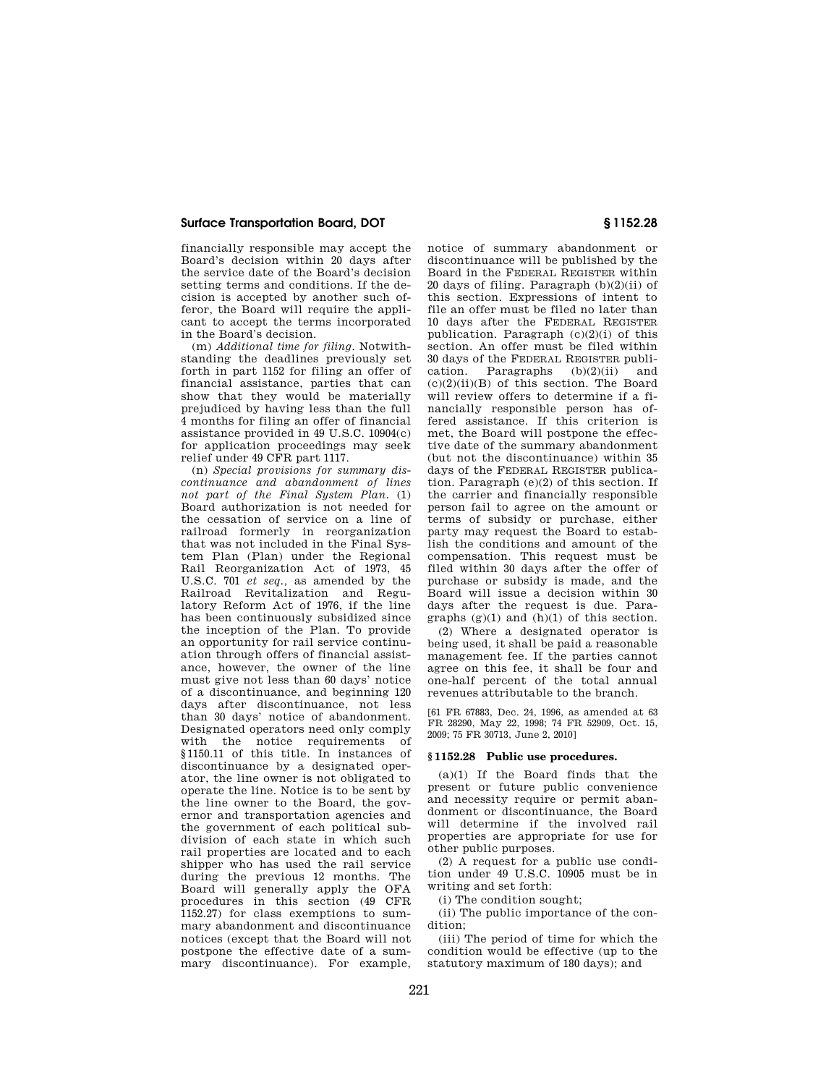financially responsible may accept the Board's decision within 20 days after the service date of the Board's decision setting terms and conditions. If the decision is accepted by another such offeror, the Board will require the applicant to accept the terms incorporated in the Board's decision.

(m) *Additional time for filing.* Notwithstanding the deadlines previously set forth in part 1152 for filing an offer of financial assistance, parties that can show that they would be materially prejudiced by having less than the full 4 months for filing an offer of financial assistance provided in 49 U.S.C. 10904(c) for application proceedings may seek relief under 49 CFR part 1117.

(n) *Special provisions for summary discontinuance and abandonment of lines not part of the Final System Plan.* (1) Board authorization is not needed for the cessation of service on a line of railroad formerly in reorganization that was not included in the Final System Plan (Plan) under the Regional Rail Reorganization Act of 1973, 45 U.S.C. 701 *et seq.,* as amended by the Railroad Revitalization and Regulatory Reform Act of 1976, if the line has been continuously subsidized since the inception of the Plan. To provide an opportunity for rail service continuation through offers of financial assistance, however, the owner of the line must give not less than 60 days' notice of a discontinuance, and beginning 120 days after discontinuance, not less than 30 days' notice of abandonment. Designated operators need only comply with the notice requirements of §1150.11 of this title. In instances of discontinuance by a designated operator, the line owner is not obligated to operate the line. Notice is to be sent by the line owner to the Board, the governor and transportation agencies and the government of each political subdivision of each state in which such rail properties are located and to each shipper who has used the rail service during the previous 12 months. The Board will generally apply the OFA procedures in this section (49 CFR 1152.27) for class exemptions to summary abandonment and discontinuance notices (except that the Board will not postpone the effective date of a summary discontinuance). For example,

notice of summary abandonment or discontinuance will be published by the Board in the FEDERAL REGISTER within 20 days of filing. Paragraph  $(b)(2)(ii)$  of this section. Expressions of intent to file an offer must be filed no later than 10 days after the FEDERAL REGISTER publication. Paragraph  $(c)(2)(i)$  of this section. An offer must be filed within 30 days of the FEDERAL REGISTER publication. Paragraphs  $(b)(2)(ii)$  and  $(c)(2)(ii)(B)$  of this section. The Board will review offers to determine if a financially responsible person has offered assistance. If this criterion is met, the Board will postpone the effective date of the summary abandonment (but not the discontinuance) within 35 days of the FEDERAL REGISTER publication. Paragraph (e)(2) of this section. If the carrier and financially responsible person fail to agree on the amount or terms of subsidy or purchase, either party may request the Board to establish the conditions and amount of the compensation. This request must be filed within 30 days after the offer of purchase or subsidy is made, and the Board will issue a decision within 30 days after the request is due. Paragraphs  $(g)(1)$  and  $(h)(1)$  of this section.

(2) Where a designated operator is being used, it shall be paid a reasonable management fee. If the parties cannot agree on this fee, it shall be four and one-half percent of the total annual revenues attributable to the branch.

[61 FR 67883, Dec. 24, 1996, as amended at 63 FR 28290, May 22, 1998; 74 FR 52909, Oct. 15, 2009; 75 FR 30713, June 2, 2010]

### **§ 1152.28 Public use procedures.**

(a)(1) If the Board finds that the present or future public convenience and necessity require or permit abandonment or discontinuance, the Board will determine if the involved rail properties are appropriate for use for other public purposes.

(2) A request for a public use condition under 49 U.S.C. 10905 must be in writing and set forth:

(i) The condition sought;

(ii) The public importance of the condition;

(iii) The period of time for which the condition would be effective (up to the statutory maximum of 180 days); and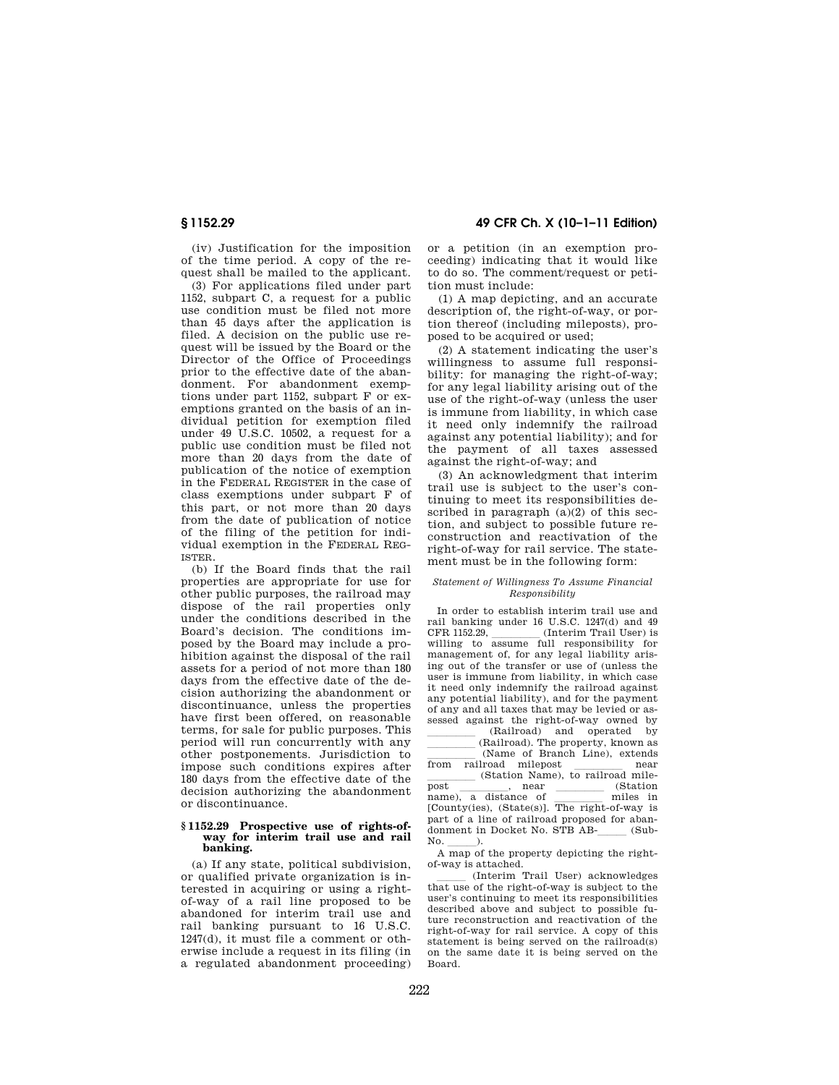(iv) Justification for the imposition of the time period. A copy of the request shall be mailed to the applicant.

(3) For applications filed under part 1152, subpart C, a request for a public use condition must be filed not more than 45 days after the application is filed. A decision on the public use request will be issued by the Board or the Director of the Office of Proceedings prior to the effective date of the abandonment. For abandonment exemptions under part 1152, subpart F or exemptions granted on the basis of an individual petition for exemption filed under 49 U.S.C. 10502, a request for a public use condition must be filed not more than 20 days from the date of publication of the notice of exemption in the FEDERAL REGISTER in the case of class exemptions under subpart F of this part, or not more than 20 days from the date of publication of notice of the filing of the petition for individual exemption in the FEDERAL REG-ISTER.

(b) If the Board finds that the rail properties are appropriate for use for other public purposes, the railroad may dispose of the rail properties only under the conditions described in the Board's decision. The conditions imposed by the Board may include a prohibition against the disposal of the rail assets for a period of not more than 180 days from the effective date of the decision authorizing the abandonment or discontinuance, unless the properties have first been offered, on reasonable terms, for sale for public purposes. This period will run concurrently with any other postponements. Jurisdiction to impose such conditions expires after 180 days from the effective date of the decision authorizing the abandonment or discontinuance.

### **§ 1152.29 Prospective use of rights-ofway for interim trail use and rail banking.**

(a) If any state, political subdivision, or qualified private organization is interested in acquiring or using a rightof-way of a rail line proposed to be abandoned for interim trail use and rail banking pursuant to 16 U.S.C. 1247(d), it must file a comment or otherwise include a request in its filing (in a regulated abandonment proceeding)

**§ 1152.29 49 CFR Ch. X (10–1–11 Edition)** 

or a petition (in an exemption proceeding) indicating that it would like to do so. The comment/request or petition must include:

(1) A map depicting, and an accurate description of, the right-of-way, or portion thereof (including mileposts), proposed to be acquired or used;

(2) A statement indicating the user's willingness to assume full responsibility: for managing the right-of-way; for any legal liability arising out of the use of the right-of-way (unless the user is immune from liability, in which case it need only indemnify the railroad against any potential liability); and for the payment of all taxes assessed against the right-of-way; and

(3) An acknowledgment that interim trail use is subject to the user's continuing to meet its responsibilities described in paragraph (a)(2) of this section, and subject to possible future reconstruction and reactivation of the right-of-way for rail service. The statement must be in the following form:

### *Statement of Willingness To Assume Financial Responsibility*

In order to establish interim trail use and rail banking under 16 U.S.C. 1247(d) and 49<br>CFR 1152.29, \_\_\_\_\_\_\_\_ (Interim Trail User) is CFR 1152.29, \_\_\_\_\_\_\_\_ (Interim Trail User) is<br>willing to assume full responsibility for management of, for any legal liability arising out of the transfer or use of (unless the user is immune from liability, in which case it need only indemnify the railroad against any potential liability), and for the payment of any and all taxes that may be levied or assessed against the right-of-way owned by

(Railroad) and operated by<br>(Railroad) The property known as (Railroad). The property, known as<br>(Name of Branch Line) extends (Name of Branch Line), extends<br>from railroad milepost near from railroad milepost near<br>(Station Name) to railroad mile- $\frac{\text{U}}{\text{most}}$  (Station Name), to railroad milepost , near (Station name), a distance of miles in name), a distance of  $\frac{\ }{\mathrm{IComt}}$  miles in [County(ies), (State(s)]. The right-of-way is part of a line of railroad proposed for abandonment in Docket No. STB AB-\_\_\_\_\_ (Sub-No. ).

No. lll). A map of the property depicting the rightof-way is attached.

(Interim Trail User) acknowledges that use of the right-of-way is subject to the user's continuing to meet its responsibilities described above and subject to possible future reconstruction and reactivation of the right-of-way for rail service. A copy of this statement is being served on the railroad(s) on the same date it is being served on the Board.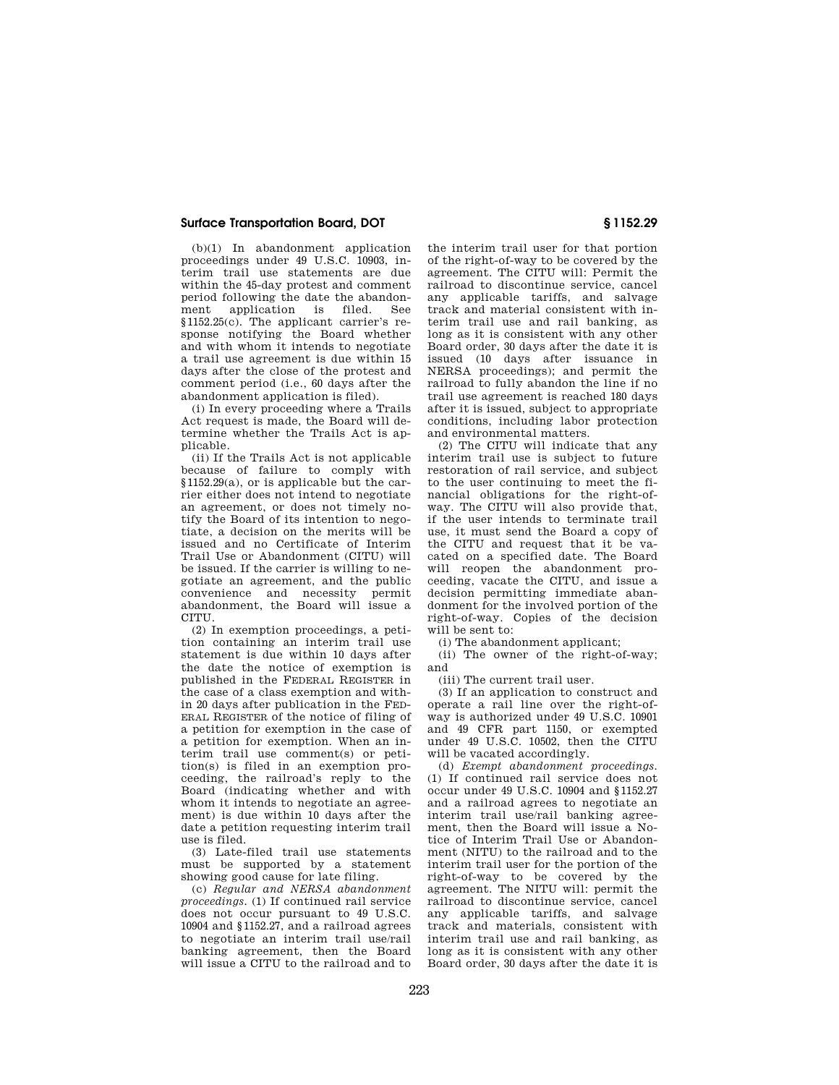(b)(1) In abandonment application proceedings under 49 U.S.C. 10903, interim trail use statements are due within the 45-day protest and comment period following the date the abandonment application is filed. See §1152.25(c). The applicant carrier's response notifying the Board whether and with whom it intends to negotiate a trail use agreement is due within 15 days after the close of the protest and comment period (i.e., 60 days after the abandonment application is filed).

(i) In every proceeding where a Trails Act request is made, the Board will determine whether the Trails Act is applicable.

(ii) If the Trails Act is not applicable because of failure to comply with §1152.29(a), or is applicable but the carrier either does not intend to negotiate an agreement, or does not timely notify the Board of its intention to negotiate, a decision on the merits will be issued and no Certificate of Interim Trail Use or Abandonment (CITU) will be issued. If the carrier is willing to negotiate an agreement, and the public convenience and necessity permit abandonment, the Board will issue a **CITUL** 

(2) In exemption proceedings, a petition containing an interim trail use statement is due within 10 days after the date the notice of exemption is published in the FEDERAL REGISTER in the case of a class exemption and within 20 days after publication in the FED-ERAL REGISTER of the notice of filing of a petition for exemption in the case of a petition for exemption. When an interim trail use comment(s) or petition(s) is filed in an exemption proceeding, the railroad's reply to the Board (indicating whether and with whom it intends to negotiate an agreement) is due within 10 days after the date a petition requesting interim trail use is filed.

(3) Late-filed trail use statements must be supported by a statement showing good cause for late filing.

(c) *Regular and NERSA abandonment proceedings.* (1) If continued rail service does not occur pursuant to 49 U.S.C. 10904 and §1152.27, and a railroad agrees to negotiate an interim trail use/rail banking agreement, then the Board will issue a CITU to the railroad and to

the interim trail user for that portion of the right-of-way to be covered by the agreement. The CITU will: Permit the railroad to discontinue service, cancel any applicable tariffs, and salvage track and material consistent with interim trail use and rail banking, as long as it is consistent with any other Board order, 30 days after the date it is issued (10 days after issuance in NERSA proceedings); and permit the railroad to fully abandon the line if no trail use agreement is reached 180 days after it is issued, subject to appropriate conditions, including labor protection and environmental matters.

(2) The CITU will indicate that any interim trail use is subject to future restoration of rail service, and subject to the user continuing to meet the financial obligations for the right-ofway. The CITU will also provide that, if the user intends to terminate trail use, it must send the Board a copy of the CITU and request that it be vacated on a specified date. The Board will reopen the abandonment proceeding, vacate the CITU, and issue a decision permitting immediate abandonment for the involved portion of the right-of-way. Copies of the decision will be sent to:

(i) The abandonment applicant;

(ii) The owner of the right-of-way; and

(iii) The current trail user.

(3) If an application to construct and operate a rail line over the right-ofway is authorized under 49 U.S.C. 10901 and 49 CFR part 1150, or exempted under 49 U.S.C. 10502, then the CITU will be vacated accordingly.

(d) *Exempt abandonment proceedings.*  (1) If continued rail service does not occur under 49 U.S.C. 10904 and §1152.27 and a railroad agrees to negotiate an interim trail use/rail banking agreement, then the Board will issue a Notice of Interim Trail Use or Abandonment (NITU) to the railroad and to the interim trail user for the portion of the right-of-way to be covered by the agreement. The NITU will: permit the railroad to discontinue service, cancel any applicable tariffs, and salvage track and materials, consistent with interim trail use and rail banking, as long as it is consistent with any other Board order, 30 days after the date it is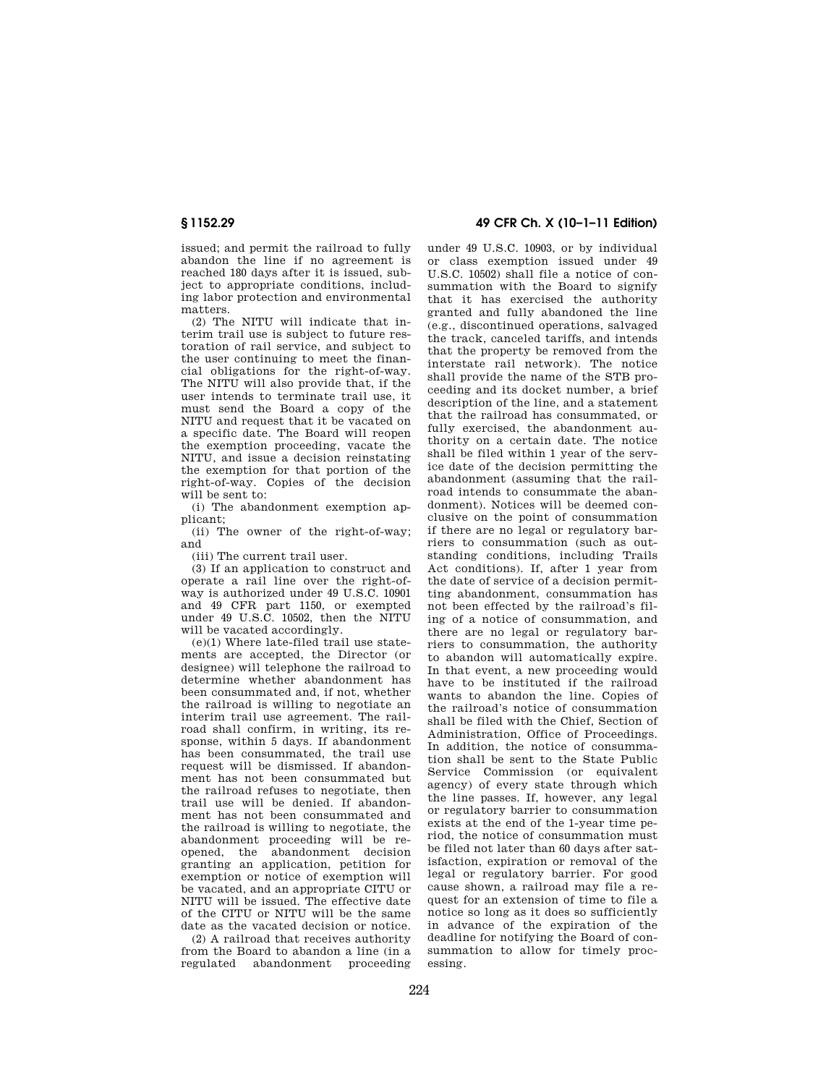issued; and permit the railroad to fully abandon the line if no agreement is reached 180 days after it is issued, subject to appropriate conditions, including labor protection and environmental matters.

(2) The NITU will indicate that interim trail use is subject to future restoration of rail service, and subject to the user continuing to meet the financial obligations for the right-of-way. The NITU will also provide that, if the user intends to terminate trail use, it must send the Board a copy of the NITU and request that it be vacated on a specific date. The Board will reopen the exemption proceeding, vacate the NITU, and issue a decision reinstating the exemption for that portion of the right-of-way. Copies of the decision will be sent to:

(i) The abandonment exemption applicant;

(ii) The owner of the right-of-way; and

(iii) The current trail user.

(3) If an application to construct and operate a rail line over the right-ofway is authorized under 49 U.S.C. 10901 and 49 CFR part 1150, or exempted under 49 U.S.C. 10502, then the NITU will be vacated accordingly.

(e)(1) Where late-filed trail use statements are accepted, the Director (or designee) will telephone the railroad to determine whether abandonment has been consummated and, if not, whether the railroad is willing to negotiate an interim trail use agreement. The railroad shall confirm, in writing, its response, within 5 days. If abandonment has been consummated, the trail use request will be dismissed. If abandonment has not been consummated but the railroad refuses to negotiate, then trail use will be denied. If abandonment has not been consummated and the railroad is willing to negotiate, the abandonment proceeding will be reopened, the abandonment decision granting an application, petition for exemption or notice of exemption will be vacated, and an appropriate CITU or NITU will be issued. The effective date of the CITU or NITU will be the same date as the vacated decision or notice.

(2) A railroad that receives authority from the Board to abandon a line (in a regulated abandonment proceeding

# **§ 1152.29 49 CFR Ch. X (10–1–11 Edition)**

under 49 U.S.C. 10903, or by individual or class exemption issued under 49 U.S.C. 10502) shall file a notice of consummation with the Board to signify that it has exercised the authority granted and fully abandoned the line (e.g., discontinued operations, salvaged the track, canceled tariffs, and intends that the property be removed from the interstate rail network). The notice shall provide the name of the STB proceeding and its docket number, a brief description of the line, and a statement that the railroad has consummated, or fully exercised, the abandonment authority on a certain date. The notice shall be filed within 1 year of the service date of the decision permitting the abandonment (assuming that the railroad intends to consummate the abandonment). Notices will be deemed conclusive on the point of consummation if there are no legal or regulatory barriers to consummation (such as outstanding conditions, including Trails Act conditions). If, after 1 year from the date of service of a decision permitting abandonment, consummation has not been effected by the railroad's filing of a notice of consummation, and there are no legal or regulatory barriers to consummation, the authority to abandon will automatically expire. In that event, a new proceeding would have to be instituted if the railroad wants to abandon the line. Copies of the railroad's notice of consummation shall be filed with the Chief, Section of Administration, Office of Proceedings. In addition, the notice of consummation shall be sent to the State Public Service Commission (or equivalent agency) of every state through which the line passes. If, however, any legal or regulatory barrier to consummation exists at the end of the 1-year time period, the notice of consummation must be filed not later than 60 days after satisfaction, expiration or removal of the legal or regulatory barrier. For good cause shown, a railroad may file a request for an extension of time to file a notice so long as it does so sufficiently in advance of the expiration of the deadline for notifying the Board of consummation to allow for timely processing.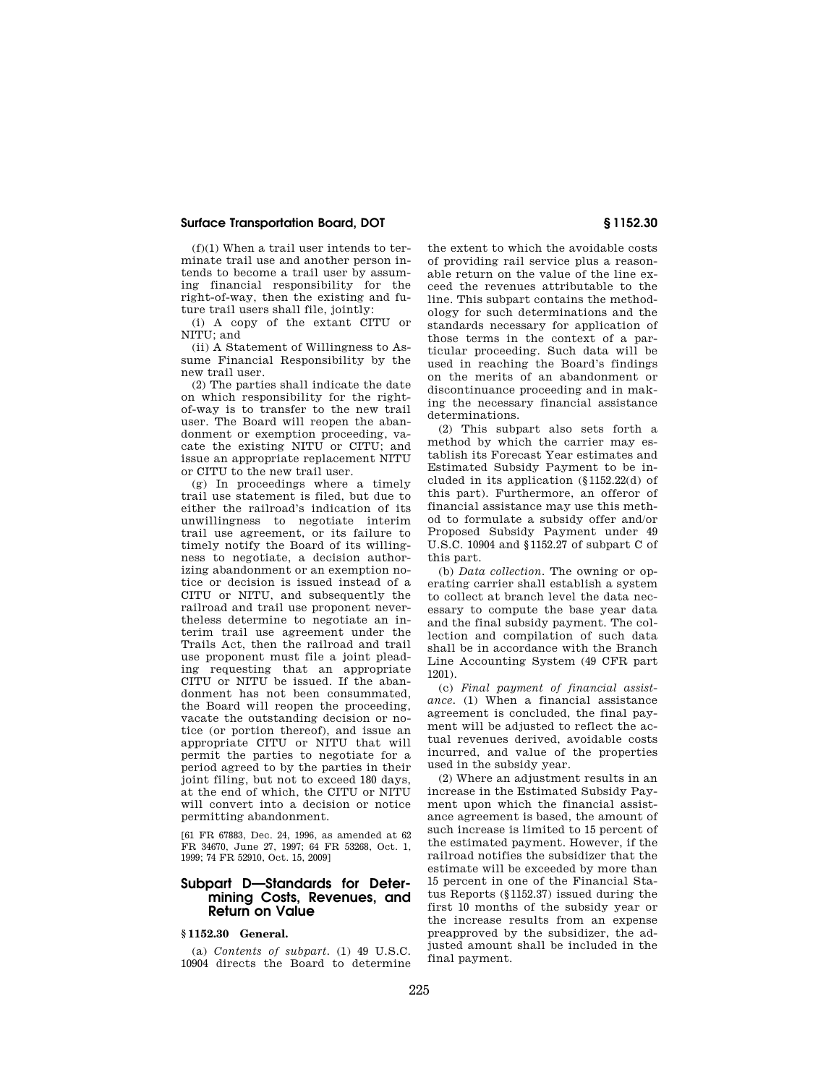(f)(1) When a trail user intends to terminate trail use and another person intends to become a trail user by assuming financial responsibility for the right-of-way, then the existing and future trail users shall file, jointly:

(i) A copy of the extant CITU or NITU; and

(ii) A Statement of Willingness to Assume Financial Responsibility by the new trail user.

(2) The parties shall indicate the date on which responsibility for the rightof-way is to transfer to the new trail user. The Board will reopen the abandonment or exemption proceeding, vacate the existing NITU or CITU; and issue an appropriate replacement NITU or CITU to the new trail user.

(g) In proceedings where a timely trail use statement is filed, but due to either the railroad's indication of its unwillingness to negotiate interim trail use agreement, or its failure to timely notify the Board of its willingness to negotiate, a decision authorizing abandonment or an exemption notice or decision is issued instead of a CITU or NITU, and subsequently the railroad and trail use proponent nevertheless determine to negotiate an interim trail use agreement under the Trails Act, then the railroad and trail use proponent must file a joint pleading requesting that an appropriate CITU or NITU be issued. If the abandonment has not been consummated, the Board will reopen the proceeding, vacate the outstanding decision or notice (or portion thereof), and issue an appropriate CITU or NITU that will permit the parties to negotiate for a period agreed to by the parties in their joint filing, but not to exceed 180 days, at the end of which, the CITU or NITU will convert into a decision or notice permitting abandonment.

[61 FR 67883, Dec. 24, 1996, as amended at 62 FR 34670, June 27, 1997; 64 FR 53268, Oct. 1, 1999; 74 FR 52910, Oct. 15, 2009]

## **Subpart D—Standards for Determining Costs, Revenues, and Return on Value**

## **§ 1152.30 General.**

(a) *Contents of subpart.* (1) 49 U.S.C. 10904 directs the Board to determine

the extent to which the avoidable costs of providing rail service plus a reasonable return on the value of the line exceed the revenues attributable to the line. This subpart contains the methodology for such determinations and the standards necessary for application of those terms in the context of a particular proceeding. Such data will be used in reaching the Board's findings on the merits of an abandonment or discontinuance proceeding and in making the necessary financial assistance determinations.

(2) This subpart also sets forth a method by which the carrier may establish its Forecast Year estimates and Estimated Subsidy Payment to be included in its application (§1152.22(d) of this part). Furthermore, an offeror of financial assistance may use this method to formulate a subsidy offer and/or Proposed Subsidy Payment under 49 U.S.C. 10904 and §1152.27 of subpart C of this part.

(b) *Data collection.* The owning or operating carrier shall establish a system to collect at branch level the data necessary to compute the base year data and the final subsidy payment. The collection and compilation of such data shall be in accordance with the Branch Line Accounting System (49 CFR part 1201).

(c) *Final payment of financial assistance.* (1) When a financial assistance agreement is concluded, the final payment will be adjusted to reflect the actual revenues derived, avoidable costs incurred, and value of the properties used in the subsidy year.

(2) Where an adjustment results in an increase in the Estimated Subsidy Payment upon which the financial assistance agreement is based, the amount of such increase is limited to 15 percent of the estimated payment. However, if the railroad notifies the subsidizer that the estimate will be exceeded by more than 15 percent in one of the Financial Status Reports (§1152.37) issued during the first 10 months of the subsidy year or the increase results from an expense preapproved by the subsidizer, the adjusted amount shall be included in the final payment.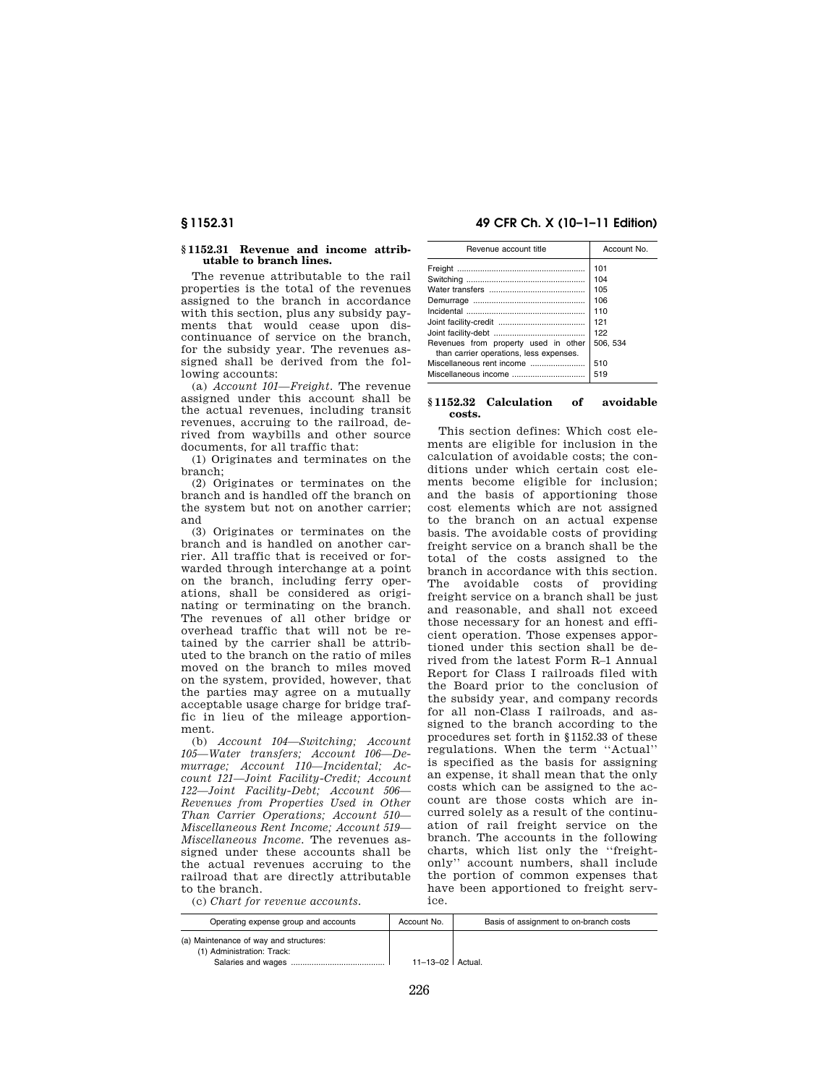### **§ 1152.31 Revenue and income attributable to branch lines.**

The revenue attributable to the rail properties is the total of the revenues assigned to the branch in accordance with this section, plus any subsidy payments that would cease upon discontinuance of service on the branch, for the subsidy year. The revenues assigned shall be derived from the following accounts:

(a) *Account 101—Freight.* The revenue assigned under this account shall be the actual revenues, including transit revenues, accruing to the railroad, derived from waybills and other source documents, for all traffic that:

(1) Originates and terminates on the branch;

(2) Originates or terminates on the branch and is handled off the branch on the system but not on another carrier; and

(3) Originates or terminates on the branch and is handled on another carrier. All traffic that is received or forwarded through interchange at a point on the branch, including ferry operations, shall be considered as originating or terminating on the branch. The revenues of all other bridge or overhead traffic that will not be retained by the carrier shall be attributed to the branch on the ratio of miles moved on the branch to miles moved on the system, provided, however, that the parties may agree on a mutually acceptable usage charge for bridge traffic in lieu of the mileage apportionment.

(b) *Account 104—Switching; Account 105—Water transfers; Account 106—Demurrage; Account 110—Incidental; Account 121—Joint Facility-Credit; Account 122—Joint Facility-Debt; Account 506— Revenues from Properties Used in Other Than Carrier Operations; Account 510— Miscellaneous Rent Income; Account 519— Miscellaneous Income.* The revenues assigned under these accounts shall be the actual revenues accruing to the railroad that are directly attributable to the branch.

## **§ 1152.31 49 CFR Ch. X (10–1–11 Edition)**

| Revenue account title                                                           | Account No.                                                      |
|---------------------------------------------------------------------------------|------------------------------------------------------------------|
| Revenues from property used in other<br>than carrier operations, less expenses. | 101<br>104<br>105<br>106<br>110<br>121<br>122<br>506, 534<br>510 |
| Miscellaneous income                                                            | 519                                                              |

### **§ 1152.32 Calculation of avoidable costs.**

This section defines: Which cost elements are eligible for inclusion in the calculation of avoidable costs; the conditions under which certain cost elements become eligible for inclusion; and the basis of apportioning those cost elements which are not assigned to the branch on an actual expense basis. The avoidable costs of providing freight service on a branch shall be the total of the costs assigned to the branch in accordance with this section. The avoidable costs of providing freight service on a branch shall be just and reasonable, and shall not exceed those necessary for an honest and efficient operation. Those expenses apportioned under this section shall be derived from the latest Form R–1 Annual Report for Class I railroads filed with the Board prior to the conclusion of the subsidy year, and company records for all non-Class I railroads, and assigned to the branch according to the procedures set forth in §1152.33 of these regulations. When the term ''Actual'' is specified as the basis for assigning an expense, it shall mean that the only costs which can be assigned to the account are those costs which are incurred solely as a result of the continuation of rail freight service on the branch. The accounts in the following charts, which list only the ''freightonly'' account numbers, shall include the portion of common expenses that have been apportioned to freight service.

(c) *Chart for revenue accounts.* 

| Operating expense group and accounts                                 | Account No.              | Basis of assignment to on-branch costs |
|----------------------------------------------------------------------|--------------------------|----------------------------------------|
| (a) Maintenance of way and structures:<br>(1) Administration: Track: |                          |                                        |
|                                                                      | $11 - 13 - 02$   Actual. |                                        |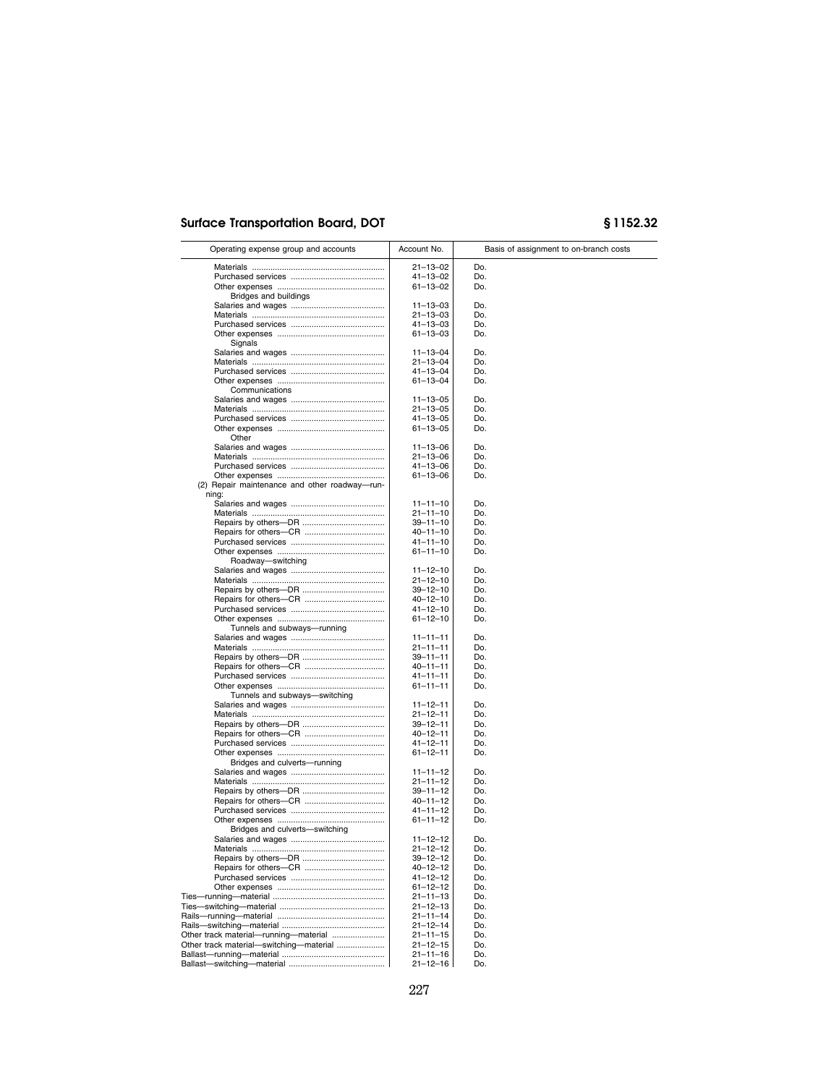| Operating expense group and accounts          | Account No.    | Basis of assignment to on-branch costs |
|-----------------------------------------------|----------------|----------------------------------------|
|                                               | $21 - 13 - 02$ | Do.                                    |
|                                               | 41-13-02       | Do.                                    |
|                                               | 61-13-02       | Do.                                    |
| Bridges and buildings                         |                |                                        |
|                                               | $11 - 13 - 03$ | Do.                                    |
|                                               | $21 - 13 - 03$ | Do.                                    |
|                                               | 41-13-03       | Do.                                    |
|                                               | $61 - 13 - 03$ | Do.                                    |
| Signals                                       |                |                                        |
|                                               | $11 - 13 - 04$ | Do.                                    |
|                                               | $21 - 13 - 04$ | Do.                                    |
|                                               | 41-13-04       | Do.                                    |
|                                               | 61-13-04       | Do.                                    |
| Communications                                |                |                                        |
|                                               | $11 - 13 - 05$ | Do.                                    |
|                                               | $21 - 13 - 05$ | Do.                                    |
|                                               | 41-13-05       | Do.                                    |
|                                               | $61 - 13 - 05$ | Do.                                    |
| Other                                         |                |                                        |
|                                               | $11 - 13 - 06$ | Do.                                    |
|                                               | $21 - 13 - 06$ | Do.                                    |
|                                               | 41-13-06       | Do.                                    |
|                                               | 61-13-06       | Do.                                    |
| (2) Repair maintenance and other roadway-run- |                |                                        |
| ning:                                         |                |                                        |
|                                               | $11 - 11 - 10$ | Do.                                    |
|                                               | $21 - 11 - 10$ | Do.                                    |
|                                               | $39 - 11 - 10$ | Do.                                    |
|                                               | 40-11-10       | Do.                                    |
|                                               | $41 - 11 - 10$ | Do.                                    |
|                                               | $61 - 11 - 10$ | Do.                                    |
| Roadway-switching                             |                |                                        |
|                                               | $11 - 12 - 10$ | Do.                                    |
|                                               | $21 - 12 - 10$ | Do.                                    |
|                                               | $39 - 12 - 10$ | Do.                                    |
|                                               | $40 - 12 - 10$ | Do.                                    |
|                                               | $41 - 12 - 10$ | Do.                                    |
|                                               | $61 - 12 - 10$ | Do.                                    |
| Tunnels and subways-running                   |                |                                        |
|                                               | $11 - 11 - 11$ | Do.                                    |
|                                               | $21 - 11 - 11$ | Do.                                    |
|                                               | $39 - 11 - 11$ | Do.                                    |
|                                               | $40 - 11 - 11$ | Do.                                    |
|                                               | $41 - 11 - 11$ | Do.                                    |
|                                               | $61 - 11 - 11$ | Do.                                    |
| Tunnels and subways-switching                 |                |                                        |
|                                               | $11 - 12 - 11$ | Do.                                    |
|                                               | $21 - 12 - 11$ | Do.                                    |
|                                               | $39 - 12 - 11$ | Do.                                    |
|                                               | $40 - 12 - 11$ | Do.                                    |
|                                               | 41-12-11       | Do.                                    |
|                                               | $61 - 12 - 11$ | Do.                                    |
| Bridges and culverts-running                  |                |                                        |
|                                               | $11 - 11 - 12$ | Do.                                    |
|                                               | $21 - 11 - 12$ | Do.                                    |
|                                               | $39 - 11 - 12$ | Do.                                    |
|                                               | $40 - 11 - 12$ | Do.                                    |
|                                               | $41 - 11 - 12$ | Do.                                    |
|                                               | $61 - 11 - 12$ | Do.                                    |
| Bridges and culverts-switching                |                |                                        |
|                                               | $11 - 12 - 12$ | Do.                                    |
| Materials                                     | 21-12-12       | Do                                     |
|                                               | 39-12-12       | Do.                                    |
|                                               | $40 - 12 - 12$ | Do.                                    |
|                                               | 41-12-12       | Do.                                    |
|                                               | $61 - 12 - 12$ | Do.                                    |
|                                               | $21 - 11 - 13$ | Do.                                    |
|                                               | $21 - 12 - 13$ | Do.                                    |
|                                               | $21 - 11 - 14$ | Do.                                    |
|                                               | $21 - 12 - 14$ | Do.                                    |
|                                               | $21 - 11 - 15$ | Do.                                    |
| Other track material-switching-material       | $21 - 12 - 15$ | Do.                                    |
|                                               | $21 - 11 - 16$ | Do.                                    |
|                                               | $21 - 12 - 16$ | Do.                                    |
|                                               |                |                                        |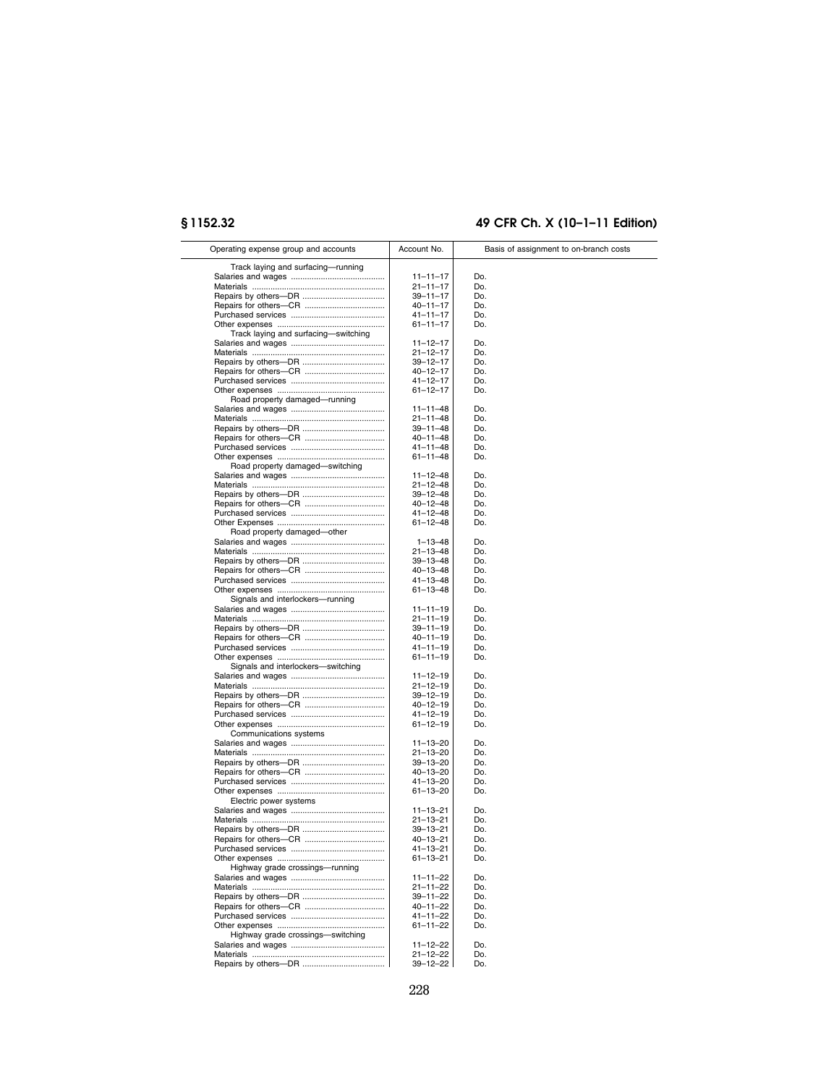# **§ 1152.32 49 CFR Ch. X (10–1–11 Edition)**

| Operating expense group and accounts | Account No.    | Basis of assignment to on-branch costs |
|--------------------------------------|----------------|----------------------------------------|
| Track laying and surfacing-running   |                |                                        |
|                                      |                |                                        |
|                                      | $11 - 11 - 17$ | Do.                                    |
|                                      | $21 - 11 - 17$ | Do.                                    |
|                                      | 39–11–17       | Do.                                    |
|                                      | 40-11-17       | Do.                                    |
|                                      | 41–11–17       | Do.                                    |
|                                      |                |                                        |
|                                      | 61-11-17       | Do.                                    |
| Track laying and surfacing-switching |                |                                        |
|                                      | 11-12-17       | Do.                                    |
|                                      | 21-12-17       | Do.                                    |
|                                      | 39–12–17       | Do.                                    |
|                                      |                |                                        |
|                                      | 40–12–17       | Do.                                    |
|                                      | 41–12–17       | Do.                                    |
|                                      | 61–12–17       | Do.                                    |
| Road property damaged-running        |                |                                        |
|                                      | 11-11-48       | Do.                                    |
|                                      | 21-11-48       | Do.                                    |
|                                      |                |                                        |
|                                      | 39–11–48       | Do.                                    |
|                                      | 40-11-48       | Do.                                    |
|                                      | 41–11–48       | Do.                                    |
|                                      | 61–11–48       | Do.                                    |
| Road property damaged—switching      |                |                                        |
|                                      |                |                                        |
|                                      | 11-12-48       | Do.                                    |
|                                      | 21-12-48       | Do.                                    |
|                                      | 39–12–48       | Do.                                    |
|                                      | 40-12-48       | Do.                                    |
|                                      |                |                                        |
|                                      | 41-12-48       | Do.                                    |
|                                      | 61-12-48       | Do.                                    |
| Road property damaged-other          |                |                                        |
|                                      | $1 - 13 - 48$  | Do.                                    |
|                                      | 21-13-48       | Do.                                    |
|                                      |                |                                        |
|                                      | 39-13-48       | Do.                                    |
|                                      | 40-13-48       | Do.                                    |
|                                      | 41-13-48       | Do.                                    |
|                                      | 61–13–48       | Do.                                    |
| Signals and interlockers-running     |                |                                        |
|                                      | $11 - 11 - 19$ | Do.                                    |
|                                      |                |                                        |
|                                      | 21-11-19       | Do.                                    |
|                                      | 39–11–19       | Do.                                    |
|                                      | 40–11–19       | Do.                                    |
|                                      | 41–11–19       | Do.                                    |
|                                      | 61-11-19       | Do.                                    |
|                                      |                |                                        |
| Signals and interlockers-switching   |                |                                        |
|                                      | 11-12-19       | Do.                                    |
|                                      | 21-12-19       | Do.                                    |
|                                      | $39 - 12 - 19$ | Do.                                    |
|                                      | $40 - 12 - 19$ | Do.                                    |
|                                      |                |                                        |
|                                      | $41 - 12 - 19$ | Do.                                    |
|                                      | 61-12-19       | Do.                                    |
| Communications systems               |                |                                        |
|                                      | 11-13-20       | Do.                                    |
|                                      | 21-13-20       | Do.                                    |
|                                      |                |                                        |
|                                      | 39-13-20       | Do.                                    |
|                                      | 40-13-20       | Do.                                    |
|                                      | 41-13-20       | Do.                                    |
|                                      | 61-13-20       | Do.                                    |
| Electric power systems               |                |                                        |
|                                      |                |                                        |
|                                      | 11-13-21       | Do.                                    |
|                                      | $21 - 13 - 21$ | Do.                                    |
|                                      | 39–13–21       | Do.                                    |
|                                      | 40-13-21       | Do.                                    |
| Purchased services                   | $41 - 13 - 21$ | Do.                                    |
|                                      |                |                                        |
|                                      | 61-13-21       | Do.                                    |
| Highway grade crossings-running      |                |                                        |
|                                      | 11-11-22       | Do.                                    |
|                                      | $21 - 11 - 22$ | Do.                                    |
|                                      |                |                                        |
|                                      | 39-11-22       | Do.                                    |
|                                      | 40-11-22       | Do.                                    |
|                                      | 41-11-22       | Do.                                    |
|                                      | 61-11-22       | Do.                                    |
| Highway grade crossings-switching    |                |                                        |
|                                      |                |                                        |
|                                      | 11-12-22       | Do.                                    |
|                                      | $21 - 12 - 22$ | Do.                                    |
|                                      | 39–12–22       | Do.                                    |
|                                      |                |                                        |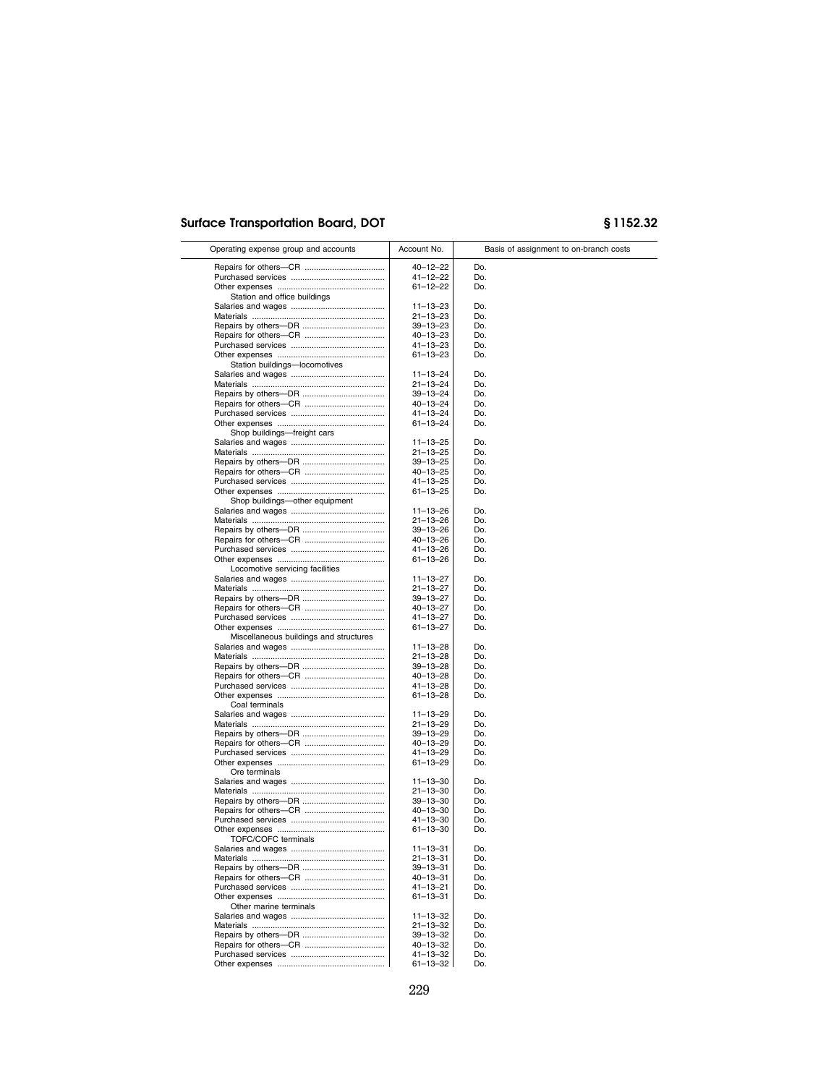| Operating expense group and accounts   | Account No.                      | Basis of assignment to on-branch costs |
|----------------------------------------|----------------------------------|----------------------------------------|
|                                        | 40-12-22                         | Do.                                    |
|                                        | 41-12-22                         | Do.                                    |
|                                        | 61-12-22                         | Do.                                    |
| Station and office buildings           |                                  |                                        |
|                                        | $11 - 13 - 23$<br>21-13-23       | Do.<br>Do.                             |
|                                        | 39-13-23                         | Do.                                    |
|                                        | 40-13-23                         | Do.                                    |
|                                        | 41-13-23                         | Do.                                    |
|                                        | 61-13-23                         | Do.                                    |
| Station buildings-locomotives          |                                  |                                        |
|                                        | 11-13-24                         | Do.                                    |
|                                        | 21-13-24                         | Do.                                    |
|                                        | $39 - 13 - 24$<br>40-13-24       | Do.<br>Do.                             |
|                                        | 41-13-24                         | Do.                                    |
|                                        | 61-13-24                         | Do.                                    |
| Shop buildings-freight cars            |                                  |                                        |
|                                        | $11 - 13 - 25$                   | Do.                                    |
|                                        | 21-13-25                         | Do.                                    |
|                                        | 39-13-25                         | Do.                                    |
|                                        | 40-13-25                         | Do.                                    |
|                                        | 41-13-25                         | Do.                                    |
| Shop buildings-other equipment         | 61-13-25                         | Do.                                    |
|                                        | $11 - 13 - 26$                   | Do.                                    |
|                                        | 21-13-26                         | Do.                                    |
|                                        | 39-13-26                         | Do.                                    |
|                                        | $40 - 13 - 26$                   | Do.                                    |
|                                        | 41-13-26                         | Do.                                    |
|                                        | 61-13-26                         | Do.                                    |
| Locomotive servicing facilities        |                                  |                                        |
|                                        | $11 - 13 - 27$                   | Do.                                    |
|                                        | 21-13-27<br>39-13-27             | Do.<br>Do.                             |
|                                        | $40 - 13 - 27$                   | Do.                                    |
|                                        | 41-13-27                         | Do.                                    |
|                                        | 61-13-27                         | Do.                                    |
| Miscellaneous buildings and structures |                                  |                                        |
|                                        | $11 - 13 - 28$                   | Do.                                    |
|                                        | 21-13-28                         | Do.                                    |
|                                        | $39 - 13 - 28$                   | Do.                                    |
|                                        | 40-13-28<br>41-13-28             | Do.<br>Do.                             |
|                                        | 61-13-28                         | Do.                                    |
| Coal terminals                         |                                  |                                        |
|                                        | $11 - 13 - 29$                   | Do.                                    |
|                                        | 21-13-29                         | Do.                                    |
|                                        | 39-13-29                         | Do.                                    |
|                                        | 40-13-29                         | Do.                                    |
|                                        | 41-13-29                         | Do.                                    |
| Ore terminals                          | 61-13-29                         | Do.                                    |
|                                        | $11 - 13 - 30$                   | Do.                                    |
|                                        | $21 - 13 - 30$                   | Do.                                    |
|                                        | $39 - 13 - 30$                   | Do.                                    |
|                                        | 40-13-30                         | Do.                                    |
|                                        | $41 - 13 - 30$                   | Do.                                    |
| <b>TOFC/COFC</b> terminals             | 61-13-30                         | Do.                                    |
|                                        | $11 - 13 - 31$                   | Do.                                    |
|                                        | 21-13-31                         | Do.                                    |
|                                        | 39–13–31                         | Do.                                    |
|                                        | 40-13-31                         | Do.                                    |
|                                        | $41 - 13 - 21$                   | Do.                                    |
|                                        | 61-13-31                         | Do.                                    |
| Other marine terminals                 |                                  | Do.                                    |
|                                        | $11 - 13 - 32$<br>$21 - 13 - 32$ | Do.                                    |
|                                        | 39-13-32                         | Do.                                    |
|                                        | 40-13-32                         | Do.                                    |
|                                        | 41-13-32                         | Do.                                    |
|                                        | 61-13-32                         | Do.                                    |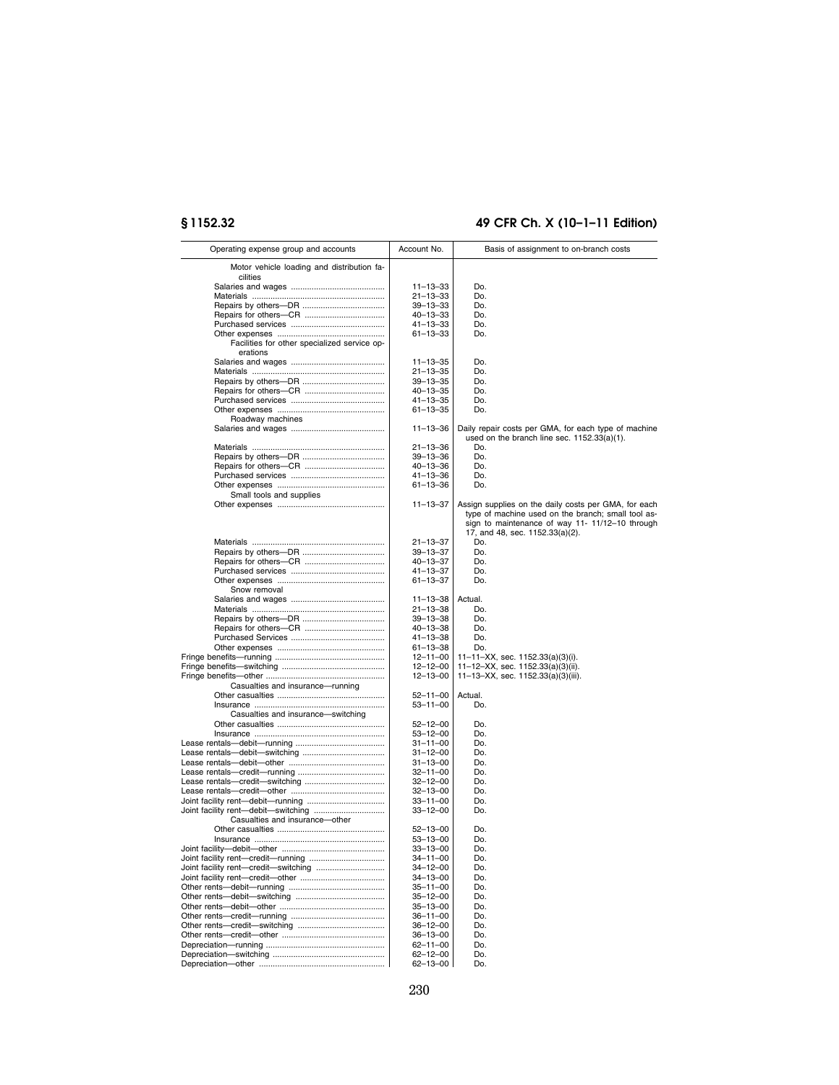# **§ 1152.32 49 CFR Ch. X (10–1–11 Edition)**

| Operating expense group and accounts                     | Account No.                      | Basis of assignment to on-branch costs                                                                                                                                                           |
|----------------------------------------------------------|----------------------------------|--------------------------------------------------------------------------------------------------------------------------------------------------------------------------------------------------|
| Motor vehicle loading and distribution fa-               |                                  |                                                                                                                                                                                                  |
| cilities                                                 | $11 - 13 - 33$                   | Do.                                                                                                                                                                                              |
|                                                          | $21 - 13 - 33$                   | Do.                                                                                                                                                                                              |
|                                                          | $39 - 13 - 33$                   | Do.                                                                                                                                                                                              |
|                                                          | 40-13-33                         | Do.                                                                                                                                                                                              |
|                                                          | $41 - 13 - 33$                   | Do.                                                                                                                                                                                              |
|                                                          | 61-13-33                         | Do.                                                                                                                                                                                              |
| Facilities for other specialized service op-<br>erations |                                  |                                                                                                                                                                                                  |
|                                                          | $11 - 13 - 35$                   | Do.                                                                                                                                                                                              |
|                                                          | $21 - 13 - 35$                   | Do.                                                                                                                                                                                              |
|                                                          | $39 - 13 - 35$                   | Do.                                                                                                                                                                                              |
|                                                          | 40-13-35                         | Do.                                                                                                                                                                                              |
|                                                          | $41 - 13 - 35$<br>$61 - 13 - 35$ | Do.<br>Do.                                                                                                                                                                                       |
| Roadway machines                                         |                                  |                                                                                                                                                                                                  |
|                                                          | 11-13-36                         | Daily repair costs per GMA, for each type of machine<br>used on the branch line sec. $1152.33(a)(1)$ .                                                                                           |
|                                                          | $21 - 13 - 36$                   | Do.                                                                                                                                                                                              |
|                                                          | 39-13-36                         | Do.                                                                                                                                                                                              |
|                                                          | $40 - 13 - 36$                   | Do.                                                                                                                                                                                              |
|                                                          | 41-13-36                         | Do.                                                                                                                                                                                              |
|                                                          | 61-13-36                         | Do.                                                                                                                                                                                              |
| Small tools and supplies                                 |                                  |                                                                                                                                                                                                  |
|                                                          | 11-13-37                         | Assign supplies on the daily costs per GMA, for each<br>type of machine used on the branch; small tool as-<br>sign to maintenance of way 11- 11/12-10 through<br>17, and 48, sec. 1152.33(a)(2). |
|                                                          | $21 - 13 - 37$                   | Do.                                                                                                                                                                                              |
|                                                          | 39-13-37                         | Do.                                                                                                                                                                                              |
|                                                          | $40 - 13 - 37$                   | Do.                                                                                                                                                                                              |
|                                                          | $41 - 13 - 37$                   | Do.                                                                                                                                                                                              |
|                                                          | 61-13-37                         | Do.                                                                                                                                                                                              |
| Snow removal                                             |                                  |                                                                                                                                                                                                  |
|                                                          | $11 - 13 - 38$                   | Actual.                                                                                                                                                                                          |
|                                                          | $21 - 13 - 38$                   | Do.                                                                                                                                                                                              |
|                                                          | 39-13-38                         | Do.                                                                                                                                                                                              |
|                                                          | $40 - 13 - 38$                   | Do.<br>Do.                                                                                                                                                                                       |
|                                                          | 41-13-38                         | Do.                                                                                                                                                                                              |
|                                                          | 61-13-38<br>$12 - 11 - 00$       |                                                                                                                                                                                                  |
|                                                          | $12 - 12 - 00$                   | 11-11-XX, sec. 1152.33(a)(3)(i).<br>11-12-XX, sec. 1152.33(a)(3)(ii).                                                                                                                            |
|                                                          | $12 - 13 - 00$                   | 11-13-XX, sec. 1152.33(a)(3)(iii).                                                                                                                                                               |
| Casualties and insurance-running                         |                                  |                                                                                                                                                                                                  |
|                                                          | $52 - 11 - 00$                   | Actual.                                                                                                                                                                                          |
|                                                          | $53 - 11 - 00$                   | Do.                                                                                                                                                                                              |
| Casualties and insurance-switching                       |                                  |                                                                                                                                                                                                  |
|                                                          | $52 - 12 - 00$                   | Do.                                                                                                                                                                                              |
|                                                          | $53 - 12 - 00$                   | Do.                                                                                                                                                                                              |
|                                                          | $31 - 11 - 00$                   | Do.                                                                                                                                                                                              |
|                                                          | $31 - 12 - 00$                   | Do.                                                                                                                                                                                              |
|                                                          | $31 - 13 - 00$                   | Do.                                                                                                                                                                                              |
|                                                          | $32 - 11 - 00$                   | Do.                                                                                                                                                                                              |
|                                                          | $32 - 12 - 00$                   | Do.                                                                                                                                                                                              |
|                                                          | $32 - 13 - 00$                   | Do.                                                                                                                                                                                              |
|                                                          | $33 - 11 - 00$                   | Do.                                                                                                                                                                                              |
|                                                          | $33 - 12 - 00$                   | Do.                                                                                                                                                                                              |
| Casualties and insurance-other                           |                                  |                                                                                                                                                                                                  |
|                                                          | $52 - 13 - 00$                   | Do.                                                                                                                                                                                              |
|                                                          | 53-13-00                         | Do.                                                                                                                                                                                              |
|                                                          | 33–13–00<br>$34 - 11 - 00$       | Do.<br>Do.                                                                                                                                                                                       |
|                                                          | $34 - 12 - 00$                   | Do.                                                                                                                                                                                              |
|                                                          | $34 - 13 - 00$                   | Do.                                                                                                                                                                                              |
|                                                          | $35 - 11 - 00$                   | Do.                                                                                                                                                                                              |
|                                                          | $35 - 12 - 00$                   | Do.                                                                                                                                                                                              |
|                                                          | $35 - 13 - 00$                   | Do.                                                                                                                                                                                              |
|                                                          | $36 - 11 - 00$                   | Do.                                                                                                                                                                                              |
|                                                          | $36 - 12 - 00$                   | Do.                                                                                                                                                                                              |
|                                                          | $36 - 13 - 00$                   | Do.                                                                                                                                                                                              |
|                                                          | $62 - 11 - 00$                   | Do.                                                                                                                                                                                              |
|                                                          | $62 - 12 - 00$                   | Do.                                                                                                                                                                                              |
|                                                          | 62-13-00                         | Do.                                                                                                                                                                                              |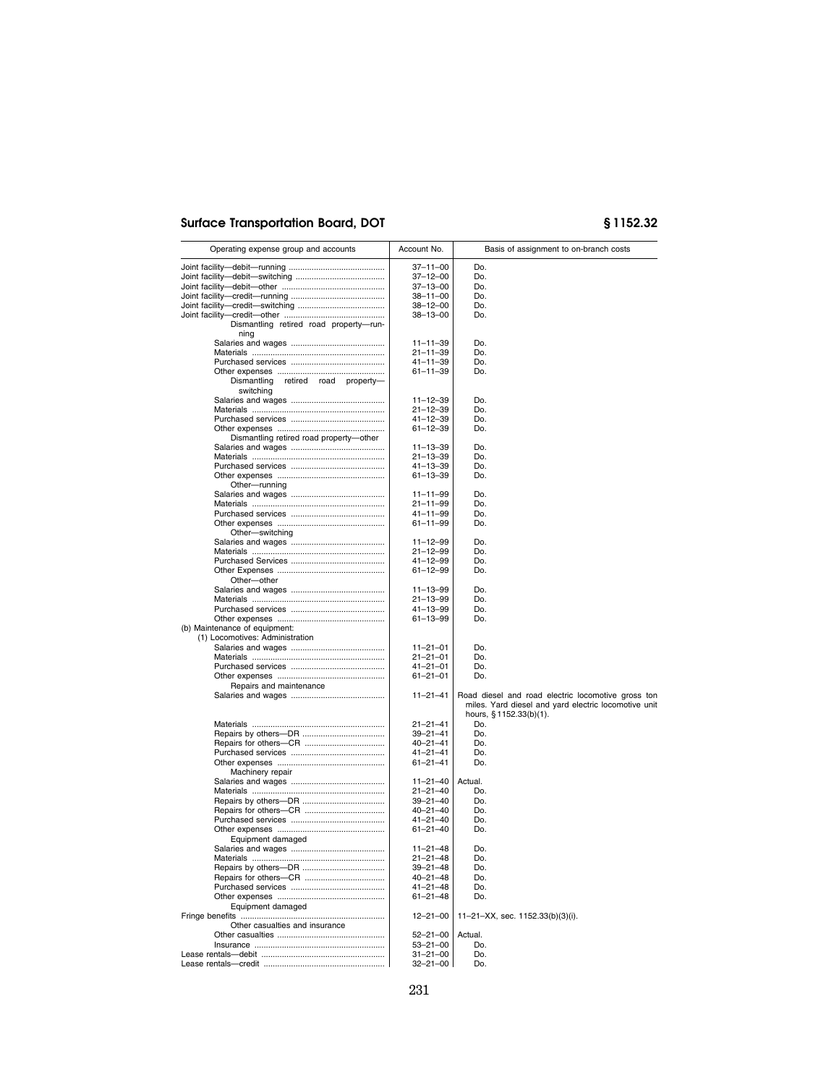| Operating expense group and accounts           | Account No.          | Basis of assignment to on-branch costs               |
|------------------------------------------------|----------------------|------------------------------------------------------|
|                                                | 37-11-00             | Do.                                                  |
|                                                | 37–12–00             | Do.                                                  |
|                                                | 37-13-00             | Do.                                                  |
|                                                | 38-11-00             | Do.                                                  |
|                                                | 38-12-00             | Do.                                                  |
|                                                | 38–13–00             | Do.                                                  |
| Dismantling retired road property-run-<br>ning |                      |                                                      |
|                                                | 11-11-39             | Do.                                                  |
|                                                | 21–11–39             | Do.                                                  |
|                                                | 41–11–39             | Do.                                                  |
| Dismantling retired road property-             | 61–11–39             | Do.                                                  |
| switching                                      |                      |                                                      |
|                                                | $11 - 12 - 39$       | Do.                                                  |
|                                                | 21–12–39             | Do.                                                  |
|                                                | 41–12–39             | Do.                                                  |
|                                                | 61-12-39             | Do.                                                  |
| Dismantling retired road property-other        |                      |                                                      |
|                                                | 11-13-39             | Do.                                                  |
|                                                | 21-13-39             | Do.                                                  |
|                                                | 41–13–39             | Do.<br>Do.                                           |
| Other-running                                  | 61–13–39             |                                                      |
|                                                | 11-11-99             | Do.                                                  |
|                                                | 21-11-99             | Do.                                                  |
|                                                | 41–11–99             | Do.                                                  |
|                                                | 61-11-99             | Do.                                                  |
| Other-switching                                |                      |                                                      |
|                                                | 11-12-99             | Do.                                                  |
|                                                | 21-12-99             | Do.                                                  |
|                                                | 41-12-99             | Do.                                                  |
| Other-other                                    | 61–12–99             | Do.                                                  |
|                                                | 11-13-99             | Do.                                                  |
|                                                | 21-13-99             | Do.                                                  |
|                                                | 41-13-99             | Do.                                                  |
|                                                | 61–13–99             | Do.                                                  |
| (b) Maintenance of equipment:                  |                      |                                                      |
| (1) Locomotives: Administration                |                      |                                                      |
|                                                | $11 - 21 - 01$       | Do.                                                  |
|                                                | 21-21-01             | Do.                                                  |
|                                                | 41–21–01             | Do.<br>Do.                                           |
| Repairs and maintenance                        | 61–21–01             |                                                      |
|                                                | 11-21-41             | Road diesel and road electric locomotive gross ton   |
|                                                |                      | miles. Yard diesel and yard electric locomotive unit |
|                                                |                      | hours, §1152.33(b)(1).                               |
|                                                | 21-21-41             | Do.                                                  |
|                                                | 39–21–41             | Do.                                                  |
|                                                | 40-21-41             | Do.                                                  |
|                                                | 41–21–41             | Do.                                                  |
|                                                | 61–21–41             | Do.                                                  |
| Machinery repair                               | 11-21-40             | Actual.                                              |
|                                                | $21 - 21 - 40$       | Do.                                                  |
|                                                | 39-21-40             | Do.                                                  |
|                                                | 40-21-40             | Do.                                                  |
|                                                | 41-21-40             | Do.                                                  |
|                                                | 61-21-40             | Do.                                                  |
| Equipment damaged                              |                      |                                                      |
|                                                | $11 - 21 - 48$       | Do.                                                  |
|                                                | $21 - 21 - 48$       | Do.                                                  |
|                                                | 39–21–48             | Do.                                                  |
|                                                | 40-21-48             | Do.                                                  |
|                                                | 41–21–48<br>61–21–48 | Do.<br>Do.                                           |
| Equipment damaged                              |                      |                                                      |
|                                                | $12 - 21 - 00$       | 11-21-XX, sec. 1152.33(b)(3)(i).                     |
| Other casualties and insurance                 |                      |                                                      |
|                                                | 52-21-00             | Actual.                                              |
|                                                | 53-21-00             | Do.                                                  |
|                                                | 31-21-00             | Do.                                                  |
|                                                | $32 - 21 - 00$       | Do.                                                  |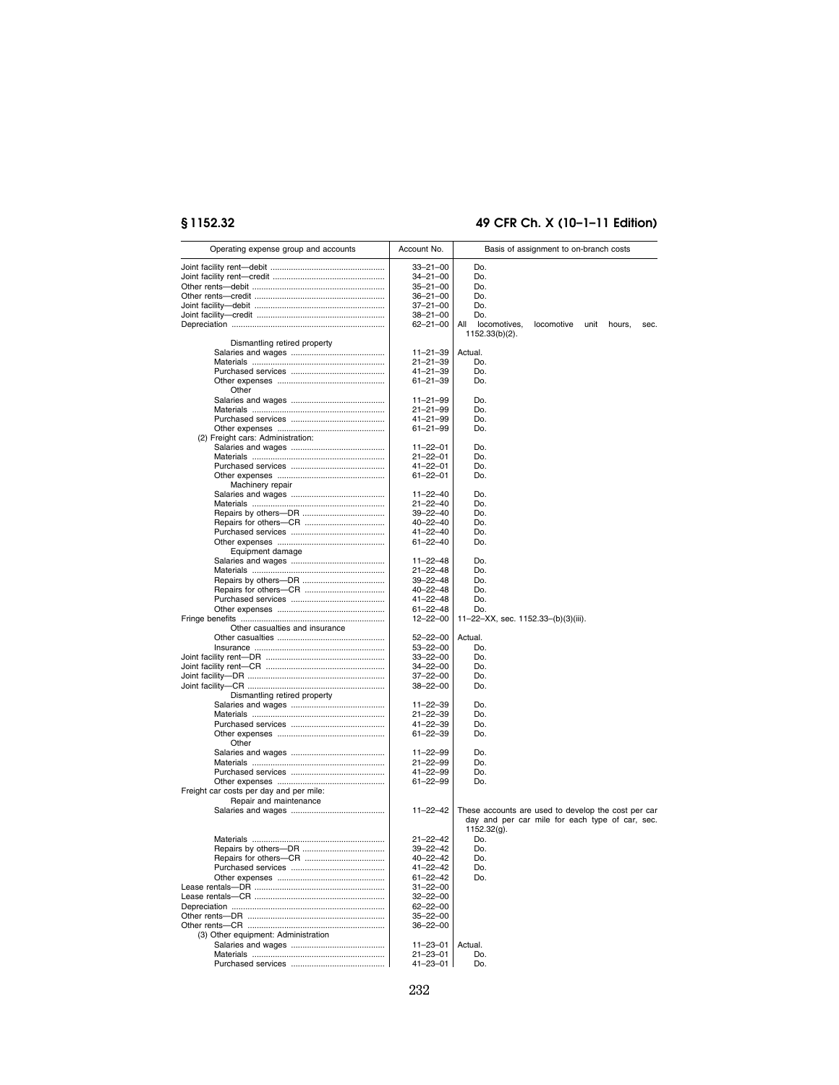# **§ 1152.32 49 CFR Ch. X (10–1–11 Edition)**

| Operating expense group and accounts    | Account No.                      | Basis of assignment to on-branch costs                      |
|-----------------------------------------|----------------------------------|-------------------------------------------------------------|
|                                         | $33 - 21 - 00$                   | Do.                                                         |
|                                         | $34 - 21 - 00$                   | Do.                                                         |
|                                         | $35 - 21 - 00$                   | Do.                                                         |
|                                         | $36 - 21 - 00$                   | Do.                                                         |
|                                         | 37-21-00                         | Do.                                                         |
|                                         | $38 - 21 - 00$                   | Do.                                                         |
|                                         | 62-21-00                         | aii<br>locomotives.<br>locomotive<br>unit<br>hours,<br>sec. |
|                                         |                                  | 1152.33(b)(2).                                              |
| Dismantling retired property            |                                  |                                                             |
|                                         | $11 - 21 - 39$                   | Actual.                                                     |
|                                         | $21 - 21 - 39$                   | Do.                                                         |
|                                         | 41-21-39                         | Do.                                                         |
|                                         | 61-21-39                         | Do.                                                         |
| Other                                   |                                  |                                                             |
|                                         | $11 - 21 - 99$                   | Do.                                                         |
|                                         | $21 - 21 - 99$                   | Do.                                                         |
|                                         | 41-21-99                         | Do.                                                         |
|                                         | 61-21-99                         | Do.                                                         |
| (2) Freight cars: Administration:       | $11 - 22 - 01$                   | Do.                                                         |
|                                         | $21 - 22 - 01$                   | Do.                                                         |
|                                         | 41-22-01                         | Do.                                                         |
|                                         | 61-22-01                         | Do.                                                         |
| Machinery repair                        |                                  |                                                             |
|                                         | $11 - 22 - 40$                   | Do.                                                         |
|                                         | $21 - 22 - 40$                   | Do.                                                         |
|                                         | $39 - 22 - 40$                   | Do.                                                         |
|                                         | 40-22-40                         | Do.                                                         |
|                                         | 41-22-40                         | Do.                                                         |
|                                         | 61-22-40                         | Do.                                                         |
| Equipment damage                        |                                  |                                                             |
|                                         | $11 - 22 - 48$                   | Do.                                                         |
|                                         | 21-22-48                         | Do.                                                         |
|                                         | $39 - 22 - 48$                   | Do.                                                         |
|                                         | 40-22-48                         | Do.                                                         |
|                                         | 41-22-48                         | Do.                                                         |
|                                         | 61-22-48                         | Do.                                                         |
| Other casualties and insurance          | $12 - 22 - 00$                   | 11-22-XX, sec. 1152.33-(b)(3)(iii).                         |
|                                         | $52 - 22 - 00$                   | Actual.                                                     |
|                                         | $53 - 22 - 00$                   | Do.                                                         |
|                                         | 33-22-00                         | Do.                                                         |
|                                         | 34-22-00                         | Do.                                                         |
|                                         | 37-22-00                         | Do.                                                         |
|                                         | 38-22-00                         | Do.                                                         |
| Dismantling retired property            |                                  |                                                             |
|                                         | $11 - 22 - 39$                   | Do.                                                         |
|                                         | 21-22-39                         | Do.                                                         |
|                                         | 41-22-39                         | Do.                                                         |
|                                         | 61-22-39                         | Do.                                                         |
| Other                                   | $11 - 22 - 99$                   | Do.                                                         |
|                                         | $21 - 22 - 99$                   | Do.                                                         |
|                                         | 41-22-99                         | Do.                                                         |
|                                         | 61-22-99                         | Do.                                                         |
| Freight car costs per day and per mile: |                                  |                                                             |
| Repair and maintenance                  |                                  |                                                             |
|                                         | $11 - 22 - 42$                   | These accounts are used to develop the cost per car         |
|                                         |                                  | day and per car mile for each type of car, sec.             |
|                                         |                                  | $1152.32(g)$ .                                              |
|                                         | $21 - 22 - 42$                   | Do.                                                         |
|                                         | 39-22-42                         | Do.                                                         |
|                                         | $40 - 22 - 42$                   | Do.                                                         |
|                                         | $41 - 22 - 42$                   | Do.                                                         |
|                                         | $61 - 22 - 42$                   | Do.                                                         |
|                                         | $31 - 22 - 00$                   |                                                             |
|                                         | $32 - 22 - 00$                   |                                                             |
|                                         | $62 - 22 - 00$<br>$35 - 22 - 00$ |                                                             |
|                                         | $36 - 22 - 00$                   |                                                             |
| (3) Other equipment: Administration     |                                  |                                                             |
|                                         | $11 - 23 - 01$                   | Actual.                                                     |
|                                         | $21 - 23 - 01$                   | Do.                                                         |
|                                         | $41 - 23 - 01$                   | Do.                                                         |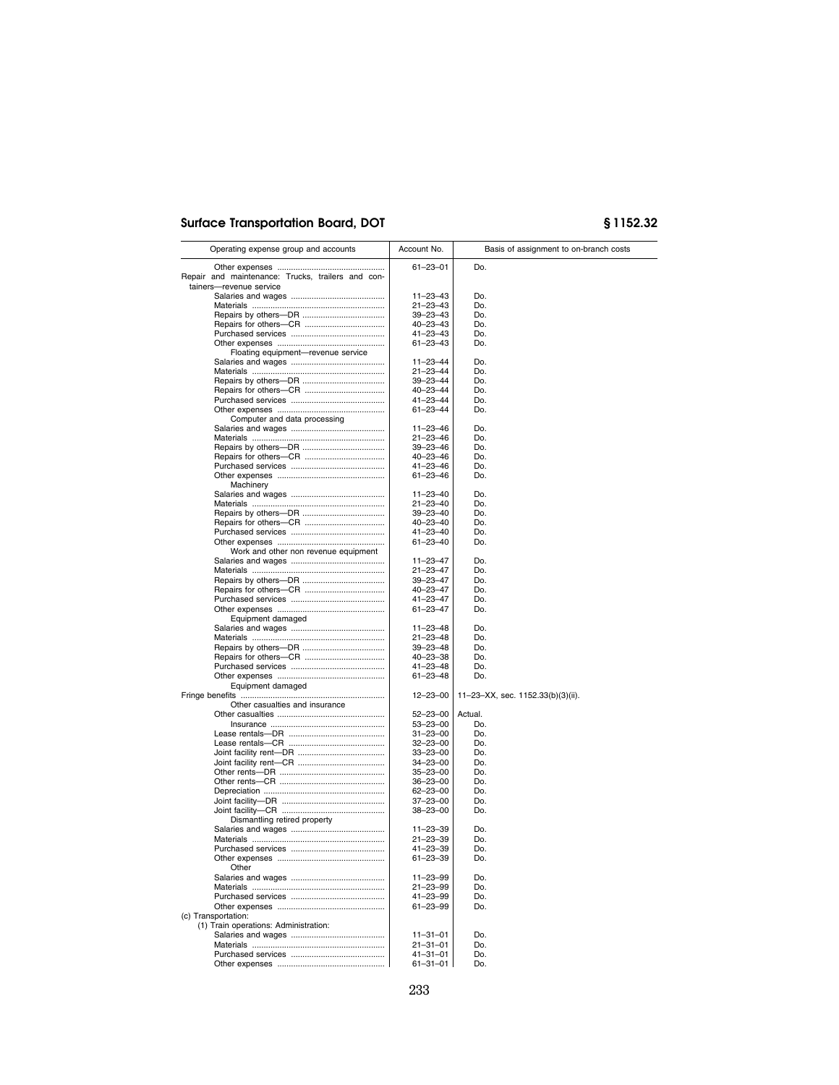| Operating expense group and accounts                         | Account No.                      | Basis of assignment to on-branch costs |
|--------------------------------------------------------------|----------------------------------|----------------------------------------|
|                                                              | $61 - 23 - 01$                   | Do.                                    |
| Repair and maintenance: Trucks, trailers and con-            |                                  |                                        |
| tainers-revenue service                                      |                                  |                                        |
|                                                              | 11-23-43                         | Do.                                    |
|                                                              | $21 - 23 - 43$                   | Do.                                    |
|                                                              | 39-23-43                         | Do.                                    |
|                                                              | 40-23-43                         | Do.                                    |
|                                                              | 41-23-43                         | Do.                                    |
|                                                              | $61 - 23 - 43$                   | Do.                                    |
| Floating equipment-revenue service                           |                                  |                                        |
|                                                              | $11 - 23 - 44$                   | Do.                                    |
|                                                              | $21 - 23 - 44$                   | Do.                                    |
|                                                              | 39-23-44                         | Do.                                    |
|                                                              | 40-23-44                         | Do.                                    |
|                                                              | 41-23-44                         | Do.                                    |
|                                                              | $61 - 23 - 44$                   | Do.                                    |
| Computer and data processing                                 | $11 - 23 - 46$                   | Do.                                    |
|                                                              | $21 - 23 - 46$                   | Do.                                    |
|                                                              | 39-23-46                         | Do.                                    |
|                                                              | 40-23-46                         | Do.                                    |
|                                                              | 41-23-46                         | Do.                                    |
|                                                              | $61 - 23 - 46$                   | Do.                                    |
| Machinery                                                    |                                  |                                        |
|                                                              | $11 - 23 - 40$                   | Do.                                    |
|                                                              | $21 - 23 - 40$                   | Do.                                    |
|                                                              | $39 - 23 - 40$                   | Do.                                    |
|                                                              | $40 - 23 - 40$                   | Do.                                    |
|                                                              | 41-23-40                         | Do.                                    |
|                                                              | $61 - 23 - 40$                   | Do.                                    |
| Work and other non revenue equipment                         |                                  |                                        |
|                                                              | $11 - 23 - 47$                   | Do.                                    |
|                                                              | $21 - 23 - 47$                   | Do.                                    |
|                                                              | $39 - 23 - 47$                   | Do.                                    |
|                                                              | 40-23-47                         | Do.                                    |
|                                                              | $41 - 23 - 47$                   | Do.                                    |
|                                                              | $61 - 23 - 47$                   | Do.                                    |
| Equipment damaged                                            |                                  |                                        |
|                                                              | $11 - 23 - 48$                   | Do.                                    |
|                                                              | $21 - 23 - 48$                   | Do.                                    |
|                                                              | $39 - 23 - 48$                   | Do.                                    |
|                                                              | $40 - 23 - 38$                   | Do.                                    |
|                                                              | $41 - 23 - 48$                   | Do.                                    |
|                                                              | $61 - 23 - 48$                   | Do.                                    |
| Equipment damaged                                            |                                  |                                        |
|                                                              | 12-23-00                         | 11-23-XX, sec. 1152.33(b)(3)(ii).      |
| Other casualties and insurance                               |                                  |                                        |
|                                                              | $52 - 23 - 00$                   | Actual.                                |
|                                                              | $53 - 23 - 00$                   | Do.                                    |
|                                                              | $31 - 23 - 00$                   | Do.                                    |
|                                                              | $32 - 23 - 00$                   | Do.                                    |
|                                                              | $33 - 23 - 00$                   | Do.                                    |
|                                                              | $34 - 23 - 00$                   | Do.                                    |
|                                                              | $35 - 23 - 00$                   | Do.                                    |
|                                                              | $36 - 23 - 00$                   | Do.                                    |
|                                                              | 62-23-00                         | Do.                                    |
|                                                              | $37 - 23 - 00$                   | Do.                                    |
|                                                              | $38 - 23 - 00$                   | Do.                                    |
| Dismantling retired property                                 |                                  |                                        |
|                                                              | $11 - 23 - 39$                   | Do.                                    |
| Purchased services                                           | $21 - 23 - 39$<br>41–23–39       | Do.<br>Do.                             |
|                                                              |                                  |                                        |
| Other                                                        | $61 - 23 - 39$                   | Do.                                    |
|                                                              | $11 - 23 - 99$                   | Do.                                    |
|                                                              |                                  | Do.                                    |
|                                                              | $21 - 23 - 99$<br>$41 - 23 - 99$ | Do.                                    |
|                                                              |                                  |                                        |
|                                                              | 61-23-99                         | Do.                                    |
| (c) Transportation:<br>(1) Train operations: Administration: |                                  |                                        |
|                                                              | $11 - 31 - 01$                   | Do.                                    |
|                                                              |                                  | Do.                                    |
|                                                              | $21 - 31 - 01$<br>$41 - 31 - 01$ | Do.                                    |
|                                                              | 61-31-01                         | Do.                                    |
|                                                              |                                  |                                        |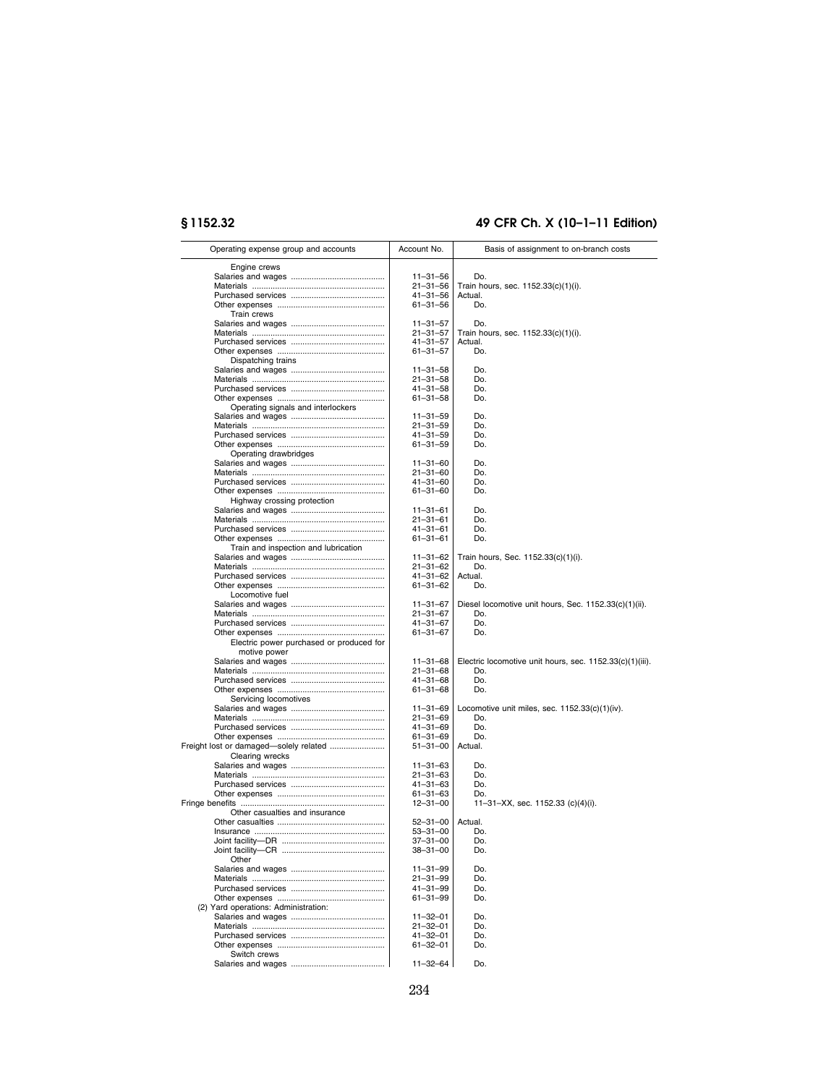# **§ 1152.32 49 CFR Ch. X (10–1–11 Edition)**

| Operating expense group and accounts     | Account No.                      | Basis of assignment to on-branch costs                   |
|------------------------------------------|----------------------------------|----------------------------------------------------------|
| Engine crews                             |                                  |                                                          |
|                                          | $11 - 31 - 56$                   | Do.                                                      |
|                                          | 21-31-56                         | Train hours, sec. 1152.33(c)(1)(i).                      |
|                                          | 41-31-56                         | Actual.                                                  |
|                                          | 61-31-56                         | Do.                                                      |
| Train crews                              |                                  |                                                          |
|                                          | $11 - 31 - 57$<br>$21 - 31 - 57$ | Do.<br>Train hours, sec. 1152.33(c)(1)(i).               |
|                                          | $41 - 31 - 57$                   | Actual.                                                  |
|                                          | $61 - 31 - 57$                   | Do.                                                      |
| Dispatching trains                       |                                  |                                                          |
|                                          | $11 - 31 - 58$                   | Do.                                                      |
|                                          | $21 - 31 - 58$                   | Do.                                                      |
|                                          | 41-31-58                         | Do.<br>Do.                                               |
| Operating signals and interlockers       | $61 - 31 - 58$                   |                                                          |
|                                          | $11 - 31 - 59$                   | Do.                                                      |
|                                          | 21-31-59                         | Do.                                                      |
|                                          | $41 - 31 - 59$                   | Do.                                                      |
|                                          | 61-31-59                         | Do.                                                      |
| Operating drawbridges                    |                                  |                                                          |
|                                          | $11 - 31 - 60$<br>$21 - 31 - 60$ | Do.<br>Do.                                               |
|                                          | 41-31-60                         | Do.                                                      |
|                                          | $61 - 31 - 60$                   | Do.                                                      |
| Highway crossing protection              |                                  |                                                          |
|                                          | $11 - 31 - 61$                   | Do.                                                      |
|                                          | $21 - 31 - 61$                   | Do.                                                      |
|                                          | 41-31-61                         | Do.                                                      |
| Train and inspection and lubrication     | 61-31-61                         | Do.                                                      |
|                                          | $11 - 31 - 62$                   | Train hours, Sec. 1152.33(c)(1)(i).                      |
|                                          | $21 - 31 - 62$                   | Do.                                                      |
|                                          | 41-31-62                         | Actual.                                                  |
|                                          | $61 - 31 - 62$                   | Do.                                                      |
| Locomotive fuel                          |                                  |                                                          |
|                                          | $11 - 31 - 67$                   | Diesel locomotive unit hours, Sec. 1152.33(c)(1)(ii).    |
|                                          | $21 - 31 - 67$<br>41-31-67       | Do.<br>Do.                                               |
|                                          | 61-31-67                         | Do.                                                      |
| Electric power purchased or produced for |                                  |                                                          |
| motive power                             |                                  |                                                          |
|                                          | $11 - 31 - 68$                   | Electric locomotive unit hours, sec. 1152.33(c)(1)(iii). |
|                                          | 21-31-68                         | Do.                                                      |
|                                          | 41-31-68<br>61-31-68             | Do.<br>Do.                                               |
| Servicing locomotives                    |                                  |                                                          |
|                                          | $11 - 31 - 69$                   | Locomotive unit miles, sec. $1152.33(c)(1)(iv)$ .        |
|                                          | 21-31-69                         | Do.                                                      |
|                                          | 41-31-69                         | Do.                                                      |
|                                          | 61-31-69                         | Do.                                                      |
|                                          | $51 - 31 - 00$                   | Actual.                                                  |
| <b>Clearing wrecks</b>                   | $11 - 31 - 63$                   | Do.                                                      |
|                                          | $21 - 31 - 63$                   | Do.                                                      |
|                                          | 41-31-63                         | Do.                                                      |
|                                          | $61 - 31 - 63$                   | Do.                                                      |
|                                          | $12 - 31 - 00$                   | 11-31-XX, sec. 1152.33 (c)(4)(i).                        |
| Other casualties and insurance           |                                  |                                                          |
|                                          | $52 - 31 - 00$                   | Actual.                                                  |
|                                          | 53-31-00<br>37-31-00             | Do.<br>Do.                                               |
|                                          | 38-31-00                         | Do.                                                      |
| Other                                    |                                  |                                                          |
|                                          | $11 - 31 - 99$                   | Do.                                                      |
|                                          | 21-31-99                         | Do.                                                      |
|                                          | $41 - 31 - 99$                   | Do.                                                      |
|                                          | 61-31-99                         | Do.                                                      |
| (2) Yard operations: Administration:     |                                  | Do.                                                      |
|                                          | $11 - 32 - 01$<br>$21 - 32 - 01$ | Do.                                                      |
|                                          | 41-32-01                         | Do.                                                      |
|                                          | 61-32-01                         | Do.                                                      |
| Switch crews                             |                                  |                                                          |
|                                          | $11 - 32 - 64$                   | Do.                                                      |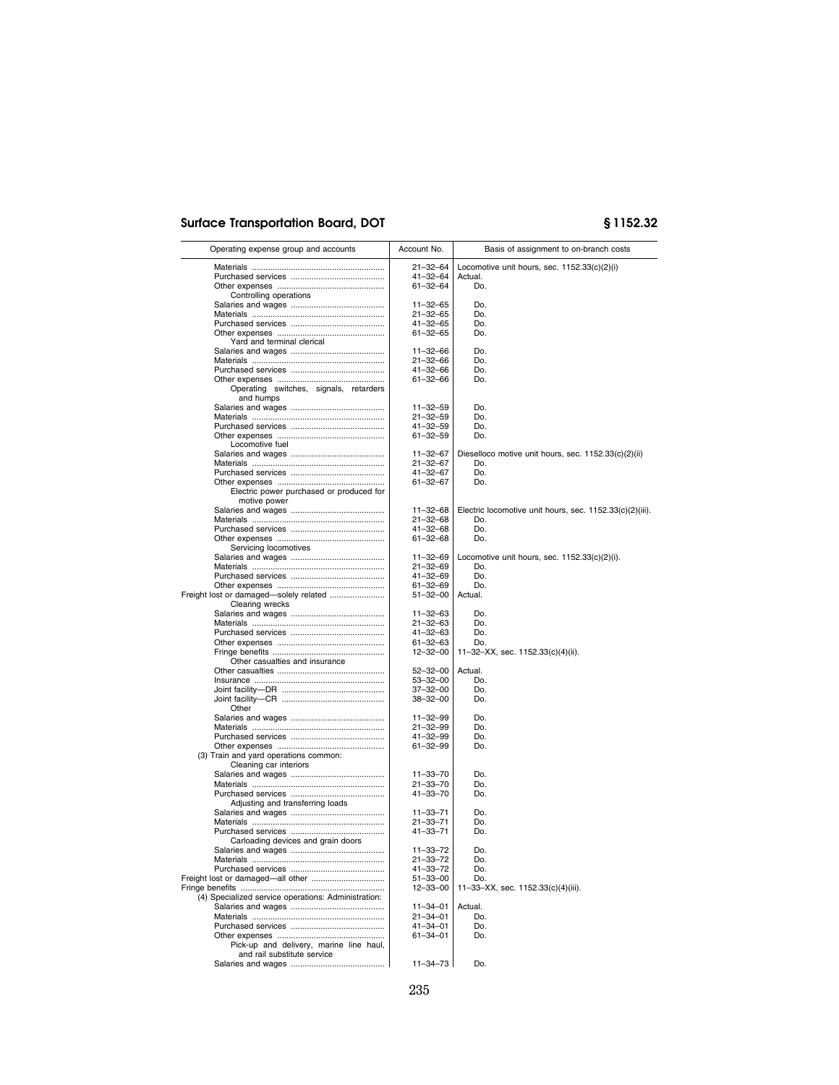| Operating expense group and accounts                                   | Account No.                      | Basis of assignment to on-branch costs                          |
|------------------------------------------------------------------------|----------------------------------|-----------------------------------------------------------------|
|                                                                        | $21 - 32 - 64$                   | Locomotive unit hours, sec. $1152.33(c)(2)(i)$                  |
|                                                                        | $41 - 32 - 64$                   | Actual.                                                         |
|                                                                        | 61-32-64                         | Do.                                                             |
| Controlling operations                                                 |                                  |                                                                 |
|                                                                        | $11 - 32 - 65$                   | Do.                                                             |
|                                                                        | 21-32-65                         | Do.<br>Do.                                                      |
|                                                                        | $41 - 32 - 65$<br>61-32-65       | Do.                                                             |
| Yard and terminal clerical                                             |                                  |                                                                 |
|                                                                        | $11 - 32 - 66$                   | Do.                                                             |
|                                                                        | 21-32-66                         | Do.                                                             |
|                                                                        | $41 - 32 - 66$                   | Do.                                                             |
|                                                                        | 61-32-66                         | Do.                                                             |
| Operating switches, signals, retarders                                 |                                  |                                                                 |
| and humps                                                              |                                  |                                                                 |
|                                                                        | $11 - 32 - 59$                   | Do.                                                             |
|                                                                        | 21-32-59<br>41-32-59             | Do.<br>Do.                                                      |
|                                                                        | 61-32-59                         | Do.                                                             |
| Locomotive fuel                                                        |                                  |                                                                 |
|                                                                        | $11 - 32 - 67$                   | Dieselloco motive unit hours, sec. 1152.33(c)(2)(ii)            |
|                                                                        | $21 - 32 - 67$                   | Do.                                                             |
|                                                                        | $41 - 32 - 67$                   | Do.                                                             |
|                                                                        | 61-32-67                         | Do.                                                             |
| Electric power purchased or produced for                               |                                  |                                                                 |
| motive power                                                           |                                  |                                                                 |
|                                                                        | $11 - 32 - 68$<br>21-32-68       | Electric locomotive unit hours, sec. 1152.33(c)(2)(iii).<br>Do. |
|                                                                        | $41 - 32 - 68$                   | Do.                                                             |
|                                                                        | 61-32-68                         | Do.                                                             |
| Servicing locomotives                                                  |                                  |                                                                 |
|                                                                        | $11 - 32 - 69$                   | Locomotive unit hours, sec. $1152.33(c)(2)(i)$ .                |
|                                                                        | 21-32-69                         | Do.                                                             |
|                                                                        | 41-32-69                         | Do.                                                             |
|                                                                        | $61 - 32 - 69$                   | Do.                                                             |
| Freight lost or damaged-solely related                                 | $51 - 32 - 00$                   | Actual.                                                         |
| Clearing wrecks                                                        |                                  |                                                                 |
|                                                                        | $11 - 32 - 63$<br>$21 - 32 - 63$ | Do.<br>Do.                                                      |
|                                                                        | $41 - 32 - 63$                   | Do.                                                             |
|                                                                        | 61-32-63                         | Do.                                                             |
|                                                                        | $12 - 32 - 00$                   | 11-32-XX, sec. 1152.33(c)(4)(ii).                               |
| Other casualties and insurance                                         |                                  |                                                                 |
|                                                                        | $52 - 32 - 00$                   | Actual.                                                         |
|                                                                        | 53-32-00                         | Do.                                                             |
|                                                                        | 37-32-00                         | Do.                                                             |
|                                                                        | 38-32-00                         | Do.                                                             |
| Other                                                                  |                                  |                                                                 |
|                                                                        | $11 - 32 - 99$<br>$21 - 32 - 99$ | Do.<br>Do.                                                      |
|                                                                        | 41-32-99                         | Do.                                                             |
|                                                                        | 61-32-99                         | Do.                                                             |
| (3) Train and yard operations common:                                  |                                  |                                                                 |
| Cleaning car interiors                                                 |                                  |                                                                 |
|                                                                        | $11 - 33 - 70$                   | Do.                                                             |
|                                                                        | $21 - 33 - 70$                   | Do.                                                             |
|                                                                        | 41-33-70                         | Do.                                                             |
| Adjusting and transferring loads                                       |                                  |                                                                 |
|                                                                        | $11 - 33 - 71$                   | Do.                                                             |
|                                                                        | $21 - 33 - 71$                   | Do.                                                             |
| Carloading devices and grain doors                                     | 41-33-71                         | Do.                                                             |
|                                                                        | $11 - 33 - 72$                   | Do.                                                             |
|                                                                        | 21-33-72                         | Do.                                                             |
|                                                                        | 41-33-72                         | Do.                                                             |
|                                                                        | $51 - 33 - 00$                   | Do.                                                             |
|                                                                        | $12 - 33 - 00$                   | 11-33-XX, sec. 1152.33(c)(4)(iii).                              |
| (4) Specialized service operations: Administration:                    |                                  |                                                                 |
|                                                                        | $11 - 34 - 01$                   | Actual.                                                         |
|                                                                        | $21 - 34 - 01$                   | Do.                                                             |
|                                                                        | 41-34-01                         | Do.                                                             |
|                                                                        | $61 - 34 - 01$                   | Do.                                                             |
| Pick-up and delivery, marine line haul,<br>and rail substitute service |                                  |                                                                 |
|                                                                        | 11-34-73                         | Do.                                                             |
|                                                                        |                                  |                                                                 |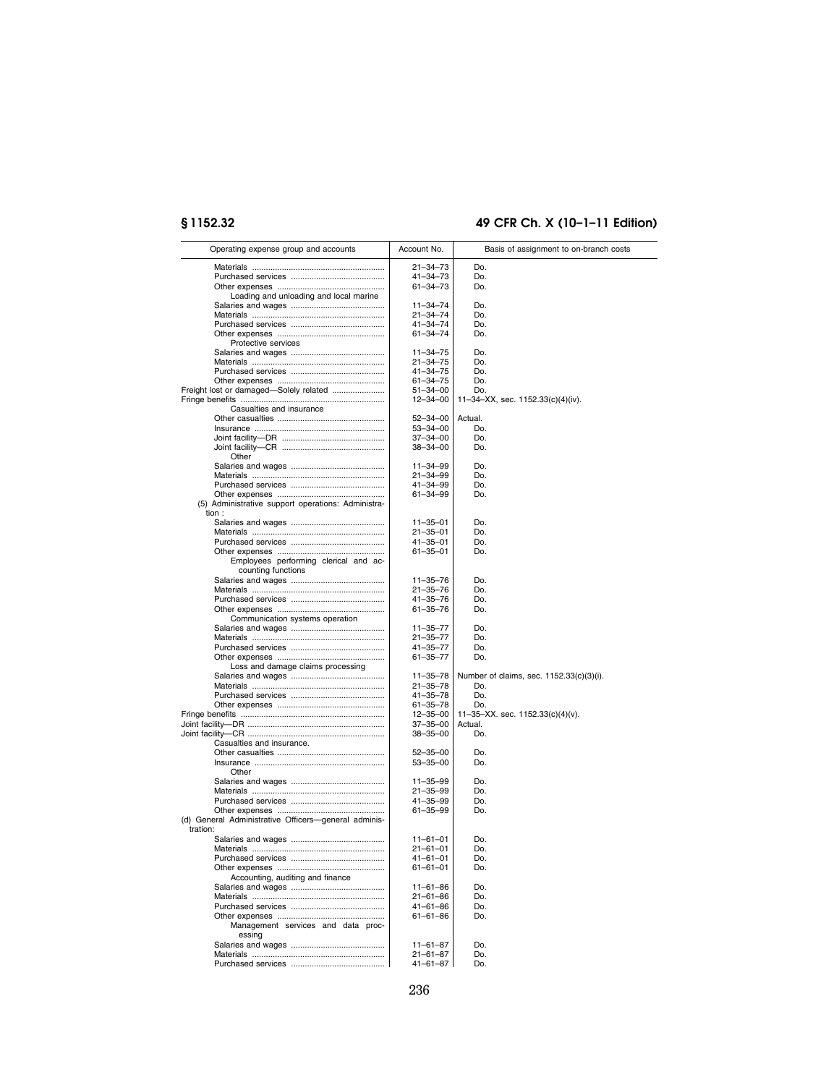# **§ 1152.32 49 CFR Ch. X (10–1–11 Edition)**

| Operating expense group and accounts                             | Account No.                      | Basis of assignment to on-branch costs   |
|------------------------------------------------------------------|----------------------------------|------------------------------------------|
|                                                                  | $21 - 34 - 73$                   | Do.                                      |
|                                                                  | 41-34-73                         | Do.                                      |
|                                                                  | 61-34-73                         | Do.                                      |
| Loading and unloading and local marine                           |                                  |                                          |
|                                                                  | $11 - 34 - 74$                   | Do.                                      |
|                                                                  | 21-34-74                         | Do.                                      |
|                                                                  | 41-34-74                         | Do.                                      |
|                                                                  | 61-34-74                         | Do.                                      |
| Protective services                                              |                                  |                                          |
|                                                                  | $11 - 34 - 75$                   | Do.                                      |
|                                                                  | $21 - 34 - 75$                   | Do.                                      |
|                                                                  | 41-34-75                         | Do.                                      |
|                                                                  | 61-34-75                         | Do.                                      |
| Freight lost or damaged-Solely related                           | 51-34-00                         | Do.                                      |
|                                                                  | $12 - 34 - 00$                   | 11-34-XX, sec. 1152.33(c)(4)(iv).        |
| Casualties and insurance                                         |                                  |                                          |
|                                                                  | $52 - 34 - 00$<br>$53 - 34 - 00$ | Actual.<br>Do.                           |
|                                                                  | 37-34-00                         | Do.                                      |
|                                                                  | 38-34-00                         | Do.                                      |
| Other                                                            |                                  |                                          |
|                                                                  | $11 - 34 - 99$                   | Do.                                      |
|                                                                  | 21-34-99                         | Do.                                      |
|                                                                  | 41-34-99                         | Do.                                      |
|                                                                  | 61-34-99                         | Do.                                      |
| (5) Administrative support operations: Administra-               |                                  |                                          |
| tion:                                                            |                                  |                                          |
|                                                                  | $11 - 35 - 01$                   | Do.                                      |
|                                                                  | $21 - 35 - 01$                   | Do.                                      |
|                                                                  | 41-35-01                         | Do.                                      |
|                                                                  | 61-35-01                         | Do.                                      |
| Employees performing clerical and ac-                            |                                  |                                          |
| counting functions                                               | $11 - 35 - 76$                   |                                          |
|                                                                  |                                  | Do.                                      |
|                                                                  | $21 - 35 - 76$<br>$41 - 35 - 76$ | Do.<br>Do.                               |
|                                                                  | 61-35-76                         | Do.                                      |
| Communication systems operation                                  |                                  |                                          |
|                                                                  | $11 - 35 - 77$                   | Do.                                      |
|                                                                  | $21 - 35 - 77$                   | Do.                                      |
|                                                                  | 41-35-77                         | Do.                                      |
|                                                                  | 61-35-77                         | Do.                                      |
| Loss and damage claims processing                                |                                  |                                          |
|                                                                  | 11-35-78                         | Number of claims, sec. 1152.33(c)(3)(i). |
|                                                                  | 21-35-78                         | Do.                                      |
|                                                                  | 41-35-78                         | Do.                                      |
|                                                                  | 61-35-78                         | Do.                                      |
|                                                                  | $12 - 35 - 00$                   | 11-35-XX. sec. 1152.33(c)(4)(v).         |
|                                                                  | 37-35-00                         | Actual.                                  |
|                                                                  | 38-35-00                         | Do.                                      |
| Casualties and insurance.                                        | $52 - 35 - 00$                   | Do.                                      |
|                                                                  | 53-35-00                         | Do.                                      |
| Other                                                            |                                  |                                          |
|                                                                  | $11 - 35 - 99$                   | Do.                                      |
|                                                                  | $21 - 35 - 99$                   | Do.                                      |
|                                                                  | 41-35-99                         | Do.                                      |
|                                                                  | 61-35-99                         | Do.                                      |
| (d) General Administrative Officers-qeneral adminis-<br>tration: |                                  |                                          |
|                                                                  | $11 - 61 - 01$                   | Do.                                      |
| Materials                                                        | 21-61-01                         | Do.                                      |
|                                                                  | $41 - 61 - 01$                   | Do.                                      |
|                                                                  | $61 - 61 - 01$                   | Do.                                      |
| Accounting, auditing and finance                                 |                                  |                                          |
|                                                                  | $11 - 61 - 86$                   | Do.                                      |
|                                                                  | 21-61-86                         | Do.                                      |
|                                                                  | 41-61-86                         | Do.                                      |
|                                                                  | $61 - 61 - 86$                   | Do.                                      |
| Management services and data proc-<br>essing                     |                                  |                                          |
|                                                                  | $11 - 61 - 87$                   | Do.                                      |
|                                                                  | $21 - 61 - 87$                   | Do.                                      |
|                                                                  | 41-61-87                         | Do.                                      |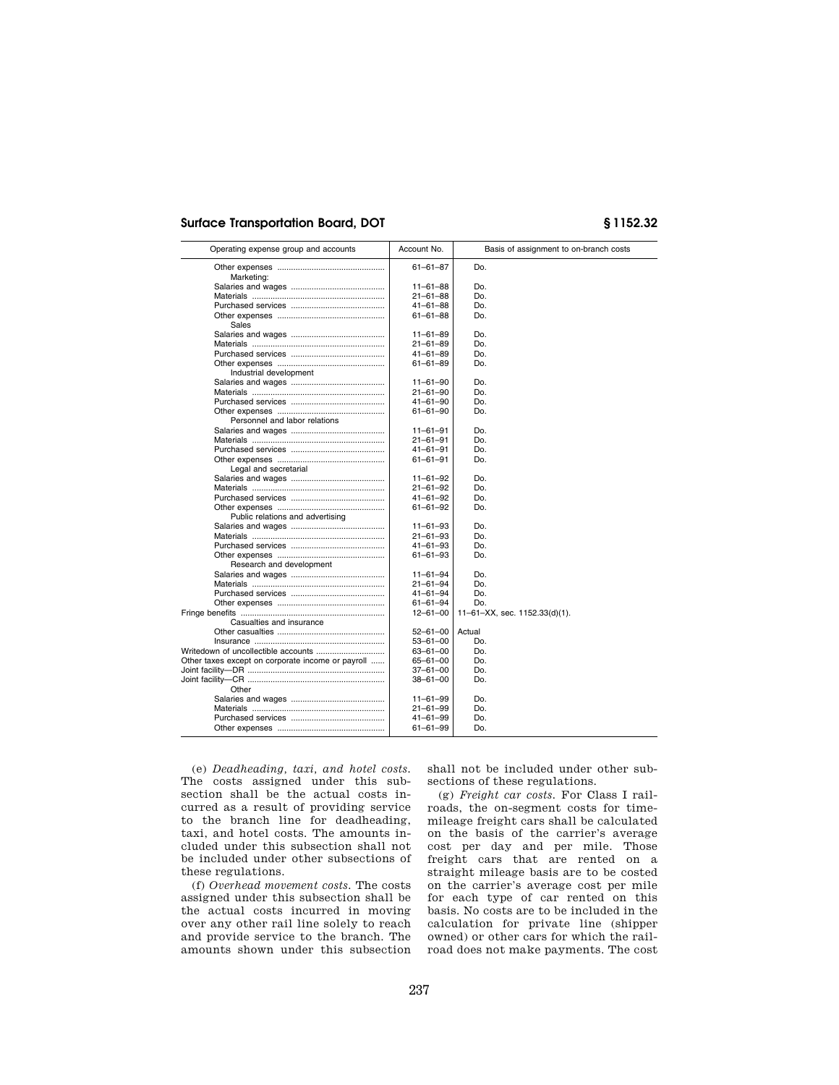| Operating expense group and accounts              | Account No.    | Basis of assignment to on-branch costs |
|---------------------------------------------------|----------------|----------------------------------------|
| Marketing:                                        | $61 - 61 - 87$ | Do.                                    |
|                                                   | $11 - 61 - 88$ | Do.                                    |
|                                                   | 21-61-88       | Do.                                    |
|                                                   | $41 - 61 - 88$ | Do.                                    |
|                                                   |                | Do.                                    |
| Sales                                             | 61-61-88       |                                        |
|                                                   | $11 - 61 - 89$ | Do.                                    |
|                                                   | 21-61-89       | Do.                                    |
|                                                   | $41 - 61 - 89$ | Do.                                    |
|                                                   | $61 - 61 - 89$ | Do.                                    |
| Industrial development                            |                |                                        |
|                                                   | $11 - 61 - 90$ | Do.                                    |
|                                                   | 21-61-90       | Do.                                    |
|                                                   | $41 - 61 - 90$ | Do.                                    |
|                                                   | 61-61-90       | Do.                                    |
| Personnel and labor relations                     |                |                                        |
|                                                   | $11 - 61 - 91$ | Do.                                    |
|                                                   | 21-61-91       | Do.                                    |
|                                                   | $41 - 61 - 91$ | Do.                                    |
|                                                   | 61-61-91       | Do.                                    |
| Legal and secretarial                             |                |                                        |
|                                                   | $11 - 61 - 92$ | Do.                                    |
|                                                   | 21-61-92       | Do.                                    |
|                                                   | $41 - 61 - 92$ | Do.                                    |
|                                                   | 61-61-92       | Do.                                    |
| Public relations and advertising                  |                |                                        |
|                                                   | $11 - 61 - 93$ | Do.                                    |
|                                                   | 21-61-93       | Do.                                    |
|                                                   | $41 - 61 - 93$ | Do.                                    |
|                                                   | 61-61-93       | Do.                                    |
| Research and development                          |                |                                        |
|                                                   | $11 - 61 - 94$ | Do.                                    |
|                                                   | 21-61-94       | Do.                                    |
|                                                   | 41-61-94       | Do.                                    |
|                                                   | 61-61-94       | Do.                                    |
|                                                   | $12 - 61 - 00$ | 11-61-XX, sec. 1152.33(d)(1).          |
| Casualties and insurance                          |                |                                        |
|                                                   | $52 - 61 - 00$ | Actual                                 |
|                                                   | $53 - 61 - 00$ | Do.                                    |
|                                                   | 63-61-00       | Do.                                    |
| Other taxes except on corporate income or payroll | 65-61-00       | Do.                                    |
|                                                   | 37-61-00       | Do.                                    |
|                                                   | $38 - 61 - 00$ | Do.                                    |
| Other                                             |                |                                        |
|                                                   | $11 - 61 - 99$ | Do.                                    |
|                                                   | 21-61-99       | Do.                                    |
|                                                   | 41-61-99       | Do.                                    |
|                                                   | $61 - 61 - 99$ | Do.                                    |
|                                                   |                |                                        |
|                                                   |                |                                        |

(e) *Deadheading, taxi, and hotel costs.*  The costs assigned under this subsection shall be the actual costs incurred as a result of providing service to the branch line for deadheading, taxi, and hotel costs. The amounts included under this subsection shall not be included under other subsections of these regulations.

(f) *Overhead movement costs.* The costs assigned under this subsection shall be the actual costs incurred in moving over any other rail line solely to reach and provide service to the branch. The amounts shown under this subsection shall not be included under other subsections of these regulations.

(g) *Freight car costs.* For Class I railroads, the on-segment costs for timemileage freight cars shall be calculated on the basis of the carrier's average cost per day and per mile. Those freight cars that are rented on a straight mileage basis are to be costed on the carrier's average cost per mile for each type of car rented on this basis. No costs are to be included in the calculation for private line (shipper owned) or other cars for which the railroad does not make payments. The cost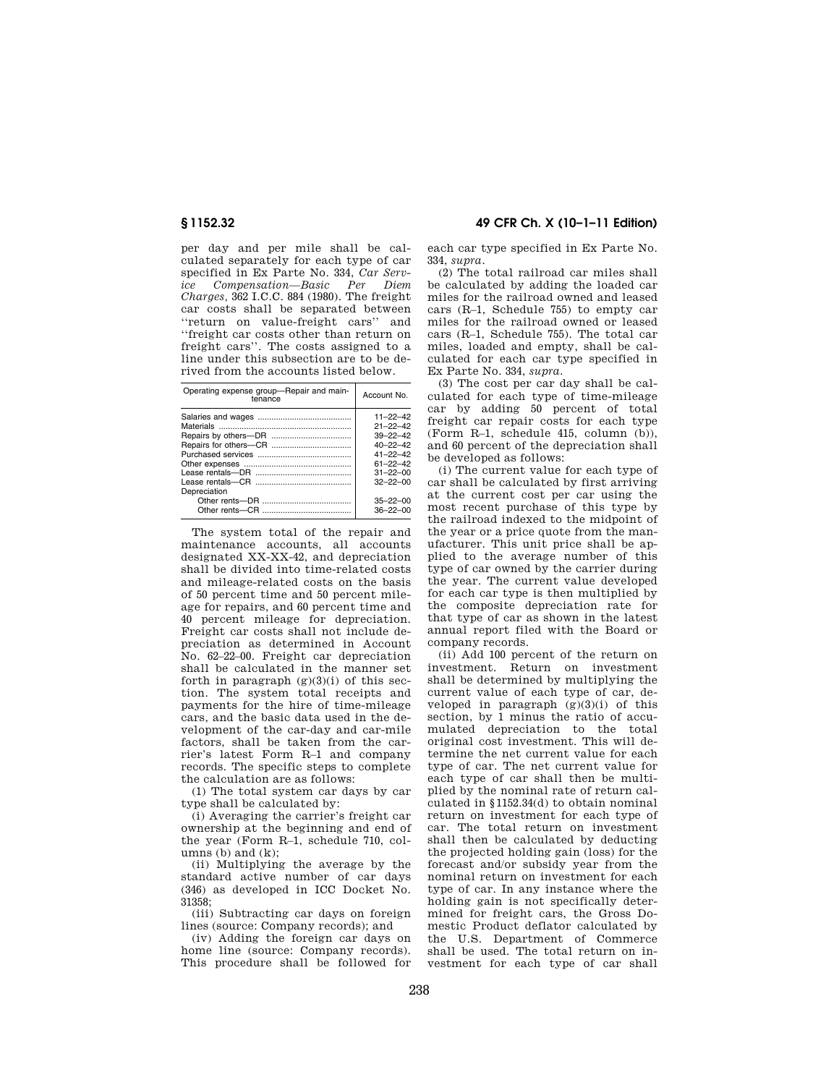per day and per mile shall be calculated separately for each type of car specified in Ex Parte No. 334, *Car Service Compensation—Basic Per Charges,* 362 I.C.C. 884 (1980). The freight car costs shall be separated between ''return on value-freight cars'' and ''freight car costs other than return on freight cars''. The costs assigned to a line under this subsection are to be derived from the accounts listed below.

| Operating expense group-Repair and main-<br>tenance | Account No.                      |  |
|-----------------------------------------------------|----------------------------------|--|
|                                                     | $11 - 22 - 42$                   |  |
|                                                     | $21 - 22 - 42$                   |  |
|                                                     | $39 - 22 - 42$                   |  |
|                                                     | $40 - 22 - 42$                   |  |
|                                                     | 41-22-42                         |  |
|                                                     | $61 - 22 - 42$                   |  |
|                                                     | $31 - 22 - 00$                   |  |
| Depreciation                                        | $32 - 22 - 00$                   |  |
|                                                     | $35 - 22 - 00$<br>$36 - 22 - 00$ |  |

The system total of the repair and maintenance accounts, all accounts designated XX-XX-42, and depreciation shall be divided into time-related costs and mileage-related costs on the basis of 50 percent time and 50 percent mileage for repairs, and 60 percent time and 40 percent mileage for depreciation. Freight car costs shall not include depreciation as determined in Account No. 62–22–00. Freight car depreciation shall be calculated in the manner set forth in paragraph  $(g)(3)(i)$  of this section. The system total receipts and payments for the hire of time-mileage cars, and the basic data used in the development of the car-day and car-mile factors, shall be taken from the carrier's latest Form R–1 and company records. The specific steps to complete the calculation are as follows:

(1) The total system car days by car type shall be calculated by:

(i) Averaging the carrier's freight car ownership at the beginning and end of the year (Form R–1, schedule 710, columns (b) and  $(k)$ ;

(ii) Multiplying the average by the standard active number of car days (346) as developed in ICC Docket No. 31358;

(iii) Subtracting car days on foreign lines (source: Company records); and

(iv) Adding the foreign car days on home line (source: Company records). This procedure shall be followed for

**§ 1152.32 49 CFR Ch. X (10–1–11 Edition)** 

each car type specified in Ex Parte No. 334, *supra.* 

(2) The total railroad car miles shall be calculated by adding the loaded car miles for the railroad owned and leased cars (R–1, Schedule 755) to empty car miles for the railroad owned or leased cars (R–1, Schedule 755). The total car miles, loaded and empty, shall be calculated for each car type specified in Ex Parte No. 334, *supra.* 

(3) The cost per car day shall be calculated for each type of time-mileage car by adding 50 percent of total freight car repair costs for each type (Form R–1, schedule 415, column (b)), and 60 percent of the depreciation shall be developed as follows:

(i) The current value for each type of car shall be calculated by first arriving at the current cost per car using the most recent purchase of this type by the railroad indexed to the midpoint of the year or a price quote from the manufacturer. This unit price shall be applied to the average number of this type of car owned by the carrier during the year. The current value developed for each car type is then multiplied by the composite depreciation rate for that type of car as shown in the latest annual report filed with the Board or company records.

(ii) Add 100 percent of the return on investment. Return on investment shall be determined by multiplying the current value of each type of car, developed in paragraph  $(g)(3)(i)$  of this section, by 1 minus the ratio of accumulated depreciation to the total original cost investment. This will determine the net current value for each type of car. The net current value for each type of car shall then be multiplied by the nominal rate of return calculated in §1152.34(d) to obtain nominal return on investment for each type of car. The total return on investment shall then be calculated by deducting the projected holding gain (loss) for the forecast and/or subsidy year from the nominal return on investment for each type of car. In any instance where the holding gain is not specifically determined for freight cars, the Gross Domestic Product deflator calculated by the U.S. Department of Commerce shall be used. The total return on investment for each type of car shall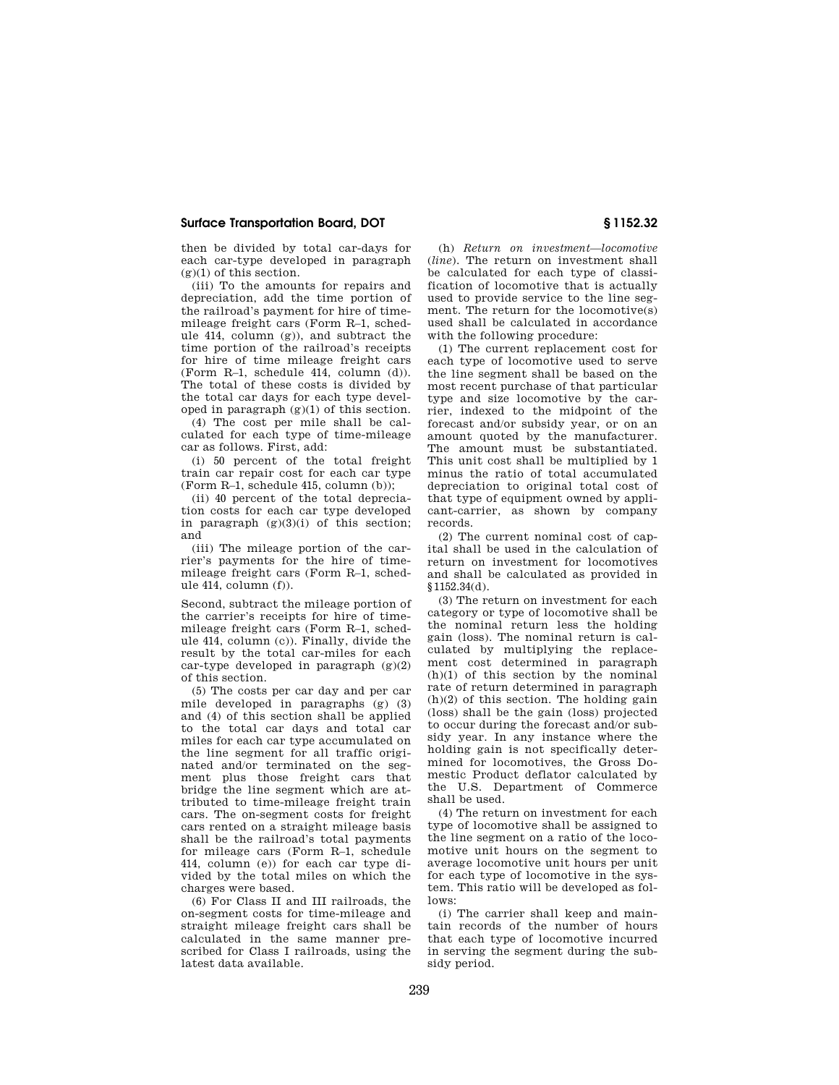then be divided by total car-days for each car-type developed in paragraph (g)(1) of this section.

(iii) To the amounts for repairs and depreciation, add the time portion of the railroad's payment for hire of timemileage freight cars (Form R–1, schedule 414, column (g)), and subtract the time portion of the railroad's receipts for hire of time mileage freight cars (Form R–1, schedule 414, column (d)). The total of these costs is divided by the total car days for each type developed in paragraph  $(g)(1)$  of this section.

(4) The cost per mile shall be calculated for each type of time-mileage car as follows. First, add:

(i) 50 percent of the total freight train car repair cost for each car type (Form R–1, schedule 415, column (b));

(ii) 40 percent of the total depreciation costs for each car type developed in paragraph  $(g)(3)(i)$  of this section; and

(iii) The mileage portion of the carrier's payments for the hire of timemileage freight cars (Form R–1, schedule 414, column (f)).

Second, subtract the mileage portion of the carrier's receipts for hire of timemileage freight cars (Form R–1, schedule 414, column (c)). Finally, divide the result by the total car-miles for each car-type developed in paragraph  $(g)(2)$ of this section.

(5) The costs per car day and per car mile developed in paragraphs (g) (3) and (4) of this section shall be applied to the total car days and total car miles for each car type accumulated on the line segment for all traffic originated and/or terminated on the segment plus those freight cars that bridge the line segment which are attributed to time-mileage freight train cars. The on-segment costs for freight cars rented on a straight mileage basis shall be the railroad's total payments for mileage cars (Form R–1, schedule 414, column (e)) for each car type divided by the total miles on which the charges were based.

(6) For Class II and III railroads, the on-segment costs for time-mileage and straight mileage freight cars shall be calculated in the same manner prescribed for Class I railroads, using the latest data available.

(h) *Return on investment—locomotive*  (*line*). The return on investment shall be calculated for each type of classification of locomotive that is actually used to provide service to the line segment. The return for the locomotive(s) used shall be calculated in accordance with the following procedure:

(1) The current replacement cost for each type of locomotive used to serve the line segment shall be based on the most recent purchase of that particular type and size locomotive by the carrier, indexed to the midpoint of the forecast and/or subsidy year, or on an amount quoted by the manufacturer. The amount must be substantiated. This unit cost shall be multiplied by 1 minus the ratio of total accumulated depreciation to original total cost of that type of equipment owned by applicant-carrier, as shown by company records.

(2) The current nominal cost of capital shall be used in the calculation of return on investment for locomotives and shall be calculated as provided in §1152.34(d).

(3) The return on investment for each category or type of locomotive shall be the nominal return less the holding gain (loss). The nominal return is calculated by multiplying the replacement cost determined in paragraph (h)(1) of this section by the nominal rate of return determined in paragraph  $(h)(2)$  of this section. The holding gain (loss) shall be the gain (loss) projected to occur during the forecast and/or subsidy year. In any instance where the holding gain is not specifically determined for locomotives, the Gross Domestic Product deflator calculated by the U.S. Department of Commerce shall be used.

(4) The return on investment for each type of locomotive shall be assigned to the line segment on a ratio of the locomotive unit hours on the segment to average locomotive unit hours per unit for each type of locomotive in the system. This ratio will be developed as follows:

(i) The carrier shall keep and maintain records of the number of hours that each type of locomotive incurred in serving the segment during the subsidy period.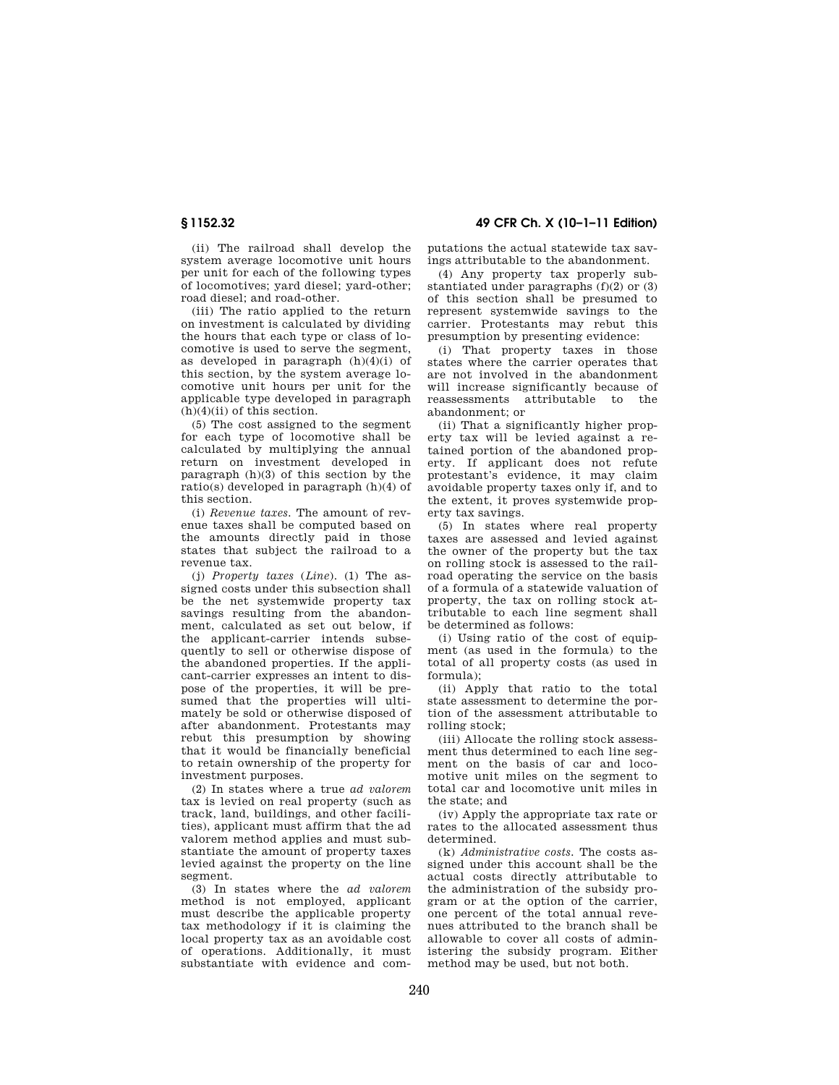(ii) The railroad shall develop the system average locomotive unit hours per unit for each of the following types of locomotives; yard diesel; yard-other; road diesel; and road-other.

(iii) The ratio applied to the return on investment is calculated by dividing the hours that each type or class of locomotive is used to serve the segment, as developed in paragraph  $(h)(4)(i)$  of this section, by the system average locomotive unit hours per unit for the applicable type developed in paragraph  $(h)(4)(ii)$  of this section.

(5) The cost assigned to the segment for each type of locomotive shall be calculated by multiplying the annual return on investment developed in paragraph (h)(3) of this section by the ratio(s) developed in paragraph (h)(4) of this section.

(i) *Revenue taxes.* The amount of revenue taxes shall be computed based on the amounts directly paid in those states that subject the railroad to a revenue tax.

(j) *Property taxes* (*Line*). (1) The assigned costs under this subsection shall be the net systemwide property tax savings resulting from the abandonment, calculated as set out below, if the applicant-carrier intends subsequently to sell or otherwise dispose of the abandoned properties. If the applicant-carrier expresses an intent to dispose of the properties, it will be presumed that the properties will ultimately be sold or otherwise disposed of after abandonment. Protestants may rebut this presumption by showing that it would be financially beneficial to retain ownership of the property for investment purposes.

(2) In states where a true *ad valorem*  tax is levied on real property (such as track, land, buildings, and other facilities), applicant must affirm that the ad valorem method applies and must substantiate the amount of property taxes levied against the property on the line segment.

(3) In states where the *ad valorem*  method is not employed, applicant must describe the applicable property tax methodology if it is claiming the local property tax as an avoidable cost of operations. Additionally, it must substantiate with evidence and com-

**§ 1152.32 49 CFR Ch. X (10–1–11 Edition)** 

putations the actual statewide tax savings attributable to the abandonment.

(4) Any property tax properly substantiated under paragraphs (f)(2) or (3) of this section shall be presumed to represent systemwide savings to the carrier. Protestants may rebut this presumption by presenting evidence:

(i) That property taxes in those states where the carrier operates that are not involved in the abandonment will increase significantly because of reassessments attributable to the abandonment; or

(ii) That a significantly higher property tax will be levied against a retained portion of the abandoned property. If applicant does not refute protestant's evidence, it may claim avoidable property taxes only if, and to the extent, it proves systemwide property tax savings.

(5) In states where real property taxes are assessed and levied against the owner of the property but the tax on rolling stock is assessed to the railroad operating the service on the basis of a formula of a statewide valuation of property, the tax on rolling stock attributable to each line segment shall be determined as follows:

(i) Using ratio of the cost of equipment (as used in the formula) to the total of all property costs (as used in formula);

(ii) Apply that ratio to the total state assessment to determine the portion of the assessment attributable to rolling stock;

(iii) Allocate the rolling stock assessment thus determined to each line segment on the basis of car and locomotive unit miles on the segment to total car and locomotive unit miles in the state; and

(iv) Apply the appropriate tax rate or rates to the allocated assessment thus determined.

(k) *Administrative costs.* The costs assigned under this account shall be the actual costs directly attributable to the administration of the subsidy program or at the option of the carrier, one percent of the total annual revenues attributed to the branch shall be allowable to cover all costs of administering the subsidy program. Either method may be used, but not both.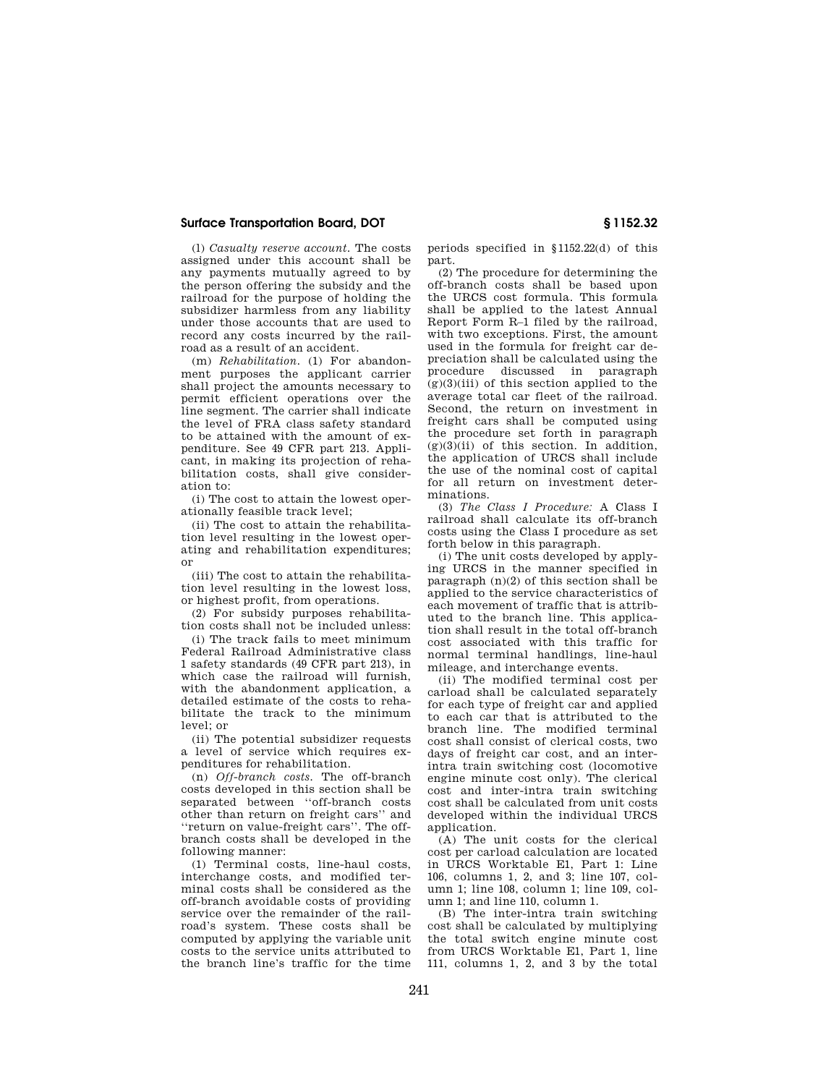(l) *Casualty reserve account.* The costs assigned under this account shall be any payments mutually agreed to by the person offering the subsidy and the railroad for the purpose of holding the subsidizer harmless from any liability under those accounts that are used to record any costs incurred by the railroad as a result of an accident.

(m) *Rehabilitation.* (1) For abandonment purposes the applicant carrier shall project the amounts necessary to permit efficient operations over the line segment. The carrier shall indicate the level of FRA class safety standard to be attained with the amount of expenditure. See 49 CFR part 213. Applicant, in making its projection of rehabilitation costs, shall give consideration to:

(i) The cost to attain the lowest operationally feasible track level;

(ii) The cost to attain the rehabilitation level resulting in the lowest operating and rehabilitation expenditures; or

(iii) The cost to attain the rehabilitation level resulting in the lowest loss, or highest profit, from operations.

(2) For subsidy purposes rehabilitation costs shall not be included unless:

(i) The track fails to meet minimum Federal Railroad Administrative class 1 safety standards (49 CFR part 213), in which case the railroad will furnish, with the abandonment application, a detailed estimate of the costs to rehabilitate the track to the minimum level; or

(ii) The potential subsidizer requests a level of service which requires expenditures for rehabilitation.

(n) *Off-branch costs.* The off-branch costs developed in this section shall be separated between ''off-branch costs other than return on freight cars'' and ''return on value-freight cars''. The offbranch costs shall be developed in the following manner:

(1) Terminal costs, line-haul costs, interchange costs, and modified terminal costs shall be considered as the off-branch avoidable costs of providing service over the remainder of the railroad's system. These costs shall be computed by applying the variable unit costs to the service units attributed to the branch line's traffic for the time

periods specified in §1152.22(d) of this part.

(2) The procedure for determining the off-branch costs shall be based upon the URCS cost formula. This formula shall be applied to the latest Annual Report Form R–1 filed by the railroad, with two exceptions. First, the amount used in the formula for freight car depreciation shall be calculated using the<br>procedure discussed in paragraph discussed in paragraph  $(g)(3)(iii)$  of this section applied to the average total car fleet of the railroad. Second, the return on investment in freight cars shall be computed using the procedure set forth in paragraph  $(g)(3)(ii)$  of this section. In addition, the application of URCS shall include the use of the nominal cost of capital for all return on investment determinations.

(3) *The Class I Procedure:* A Class I railroad shall calculate its off-branch costs using the Class I procedure as set forth below in this paragraph.

(i) The unit costs developed by applying URCS in the manner specified in paragraph (n)(2) of this section shall be applied to the service characteristics of each movement of traffic that is attributed to the branch line. This application shall result in the total off-branch cost associated with this traffic for normal terminal handlings, line-haul mileage, and interchange events.

(ii) The modified terminal cost per carload shall be calculated separately for each type of freight car and applied to each car that is attributed to the branch line. The modified terminal cost shall consist of clerical costs, two days of freight car cost, and an interintra train switching cost (locomotive engine minute cost only). The clerical cost and inter-intra train switching cost shall be calculated from unit costs developed within the individual URCS application.

(A) The unit costs for the clerical cost per carload calculation are located in URCS Worktable E1, Part 1: Line 106, columns 1, 2, and 3; line 107, column 1; line 108, column 1; line 109, column 1; and line 110, column 1.

(B) The inter-intra train switching cost shall be calculated by multiplying the total switch engine minute cost from URCS Worktable E1, Part 1, line 111, columns 1, 2, and 3 by the total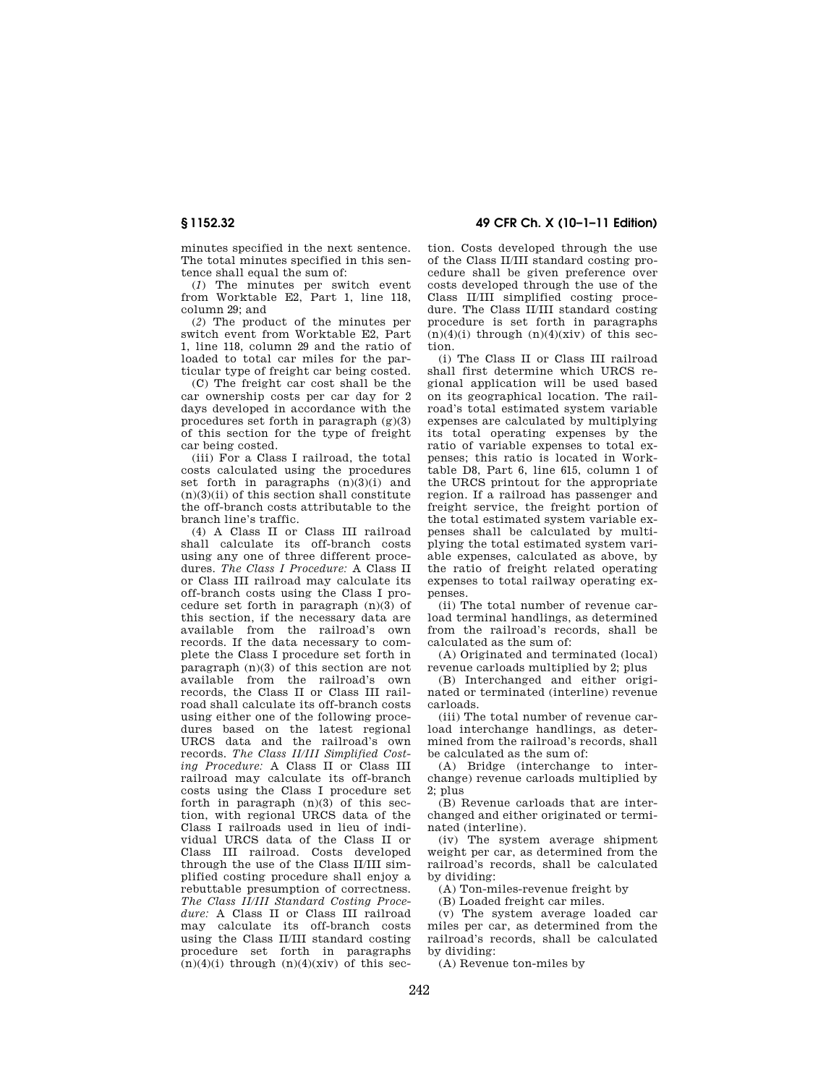minutes specified in the next sentence. The total minutes specified in this sentence shall equal the sum of:

(*1*) The minutes per switch event from Worktable E2, Part 1, line 118, column 29; and

(*2*) The product of the minutes per switch event from Worktable E2, Part 1, line 118, column 29 and the ratio of loaded to total car miles for the particular type of freight car being costed.

(C) The freight car cost shall be the car ownership costs per car day for 2 days developed in accordance with the procedures set forth in paragraph  $(g)(3)$ of this section for the type of freight car being costed.

(iii) For a Class I railroad, the total costs calculated using the procedures set forth in paragraphs  $(n)(3)(i)$  and  $(n)(3)(ii)$  of this section shall constitute the off-branch costs attributable to the branch line's traffic.

(4) A Class II or Class III railroad shall calculate its off-branch costs using any one of three different procedures. *The Class I Procedure:* A Class II or Class III railroad may calculate its off-branch costs using the Class I procedure set forth in paragraph (n)(3) of this section, if the necessary data are available from the railroad's own records. If the data necessary to complete the Class I procedure set forth in paragraph (n)(3) of this section are not available from the railroad's own records, the Class II or Class III railroad shall calculate its off-branch costs using either one of the following procedures based on the latest regional URCS data and the railroad's own records. *The Class II/III Simplified Costing Procedure:* A Class II or Class III railroad may calculate its off-branch costs using the Class I procedure set forth in paragraph  $(n)(3)$  of this section, with regional URCS data of the Class I railroads used in lieu of individual URCS data of the Class II or Class III railroad. Costs developed through the use of the Class II/III simplified costing procedure shall enjoy a rebuttable presumption of correctness. *The Class II/III Standard Costing Procedure:* A Class II or Class III railroad may calculate its off-branch costs using the Class II/III standard costing procedure set forth in paragraphs  $(n)(4)(i)$  through  $(n)(4)(xiv)$  of this sec-

## **§ 1152.32 49 CFR Ch. X (10–1–11 Edition)**

tion. Costs developed through the use of the Class II/III standard costing procedure shall be given preference over costs developed through the use of the Class II/III simplified costing procedure. The Class II/III standard costing procedure is set forth in paragraphs  $(n)(4)(i)$  through  $(n)(4)(\overline{xiv})$  of this section.

(i) The Class II or Class III railroad shall first determine which URCS regional application will be used based on its geographical location. The railroad's total estimated system variable expenses are calculated by multiplying its total operating expenses by the ratio of variable expenses to total expenses; this ratio is located in Worktable D8, Part 6, line 615, column 1 of the URCS printout for the appropriate region. If a railroad has passenger and freight service, the freight portion of the total estimated system variable expenses shall be calculated by multiplying the total estimated system variable expenses, calculated as above, by the ratio of freight related operating expenses to total railway operating expenses.

(ii) The total number of revenue carload terminal handlings, as determined from the railroad's records, shall be calculated as the sum of:

(A) Originated and terminated (local) revenue carloads multiplied by 2; plus

(B) Interchanged and either originated or terminated (interline) revenue carloads.

(iii) The total number of revenue carload interchange handlings, as determined from the railroad's records, shall be calculated as the sum of:

(A) Bridge (interchange to interchange) revenue carloads multiplied by 2; plus

(B) Revenue carloads that are interchanged and either originated or terminated (interline).

(iv) The system average shipment weight per car, as determined from the railroad's records, shall be calculated by dividing:

(A) Ton-miles-revenue freight by

(B) Loaded freight car miles.

(v) The system average loaded car miles per car, as determined from the railroad's records, shall be calculated by dividing:

(A) Revenue ton-miles by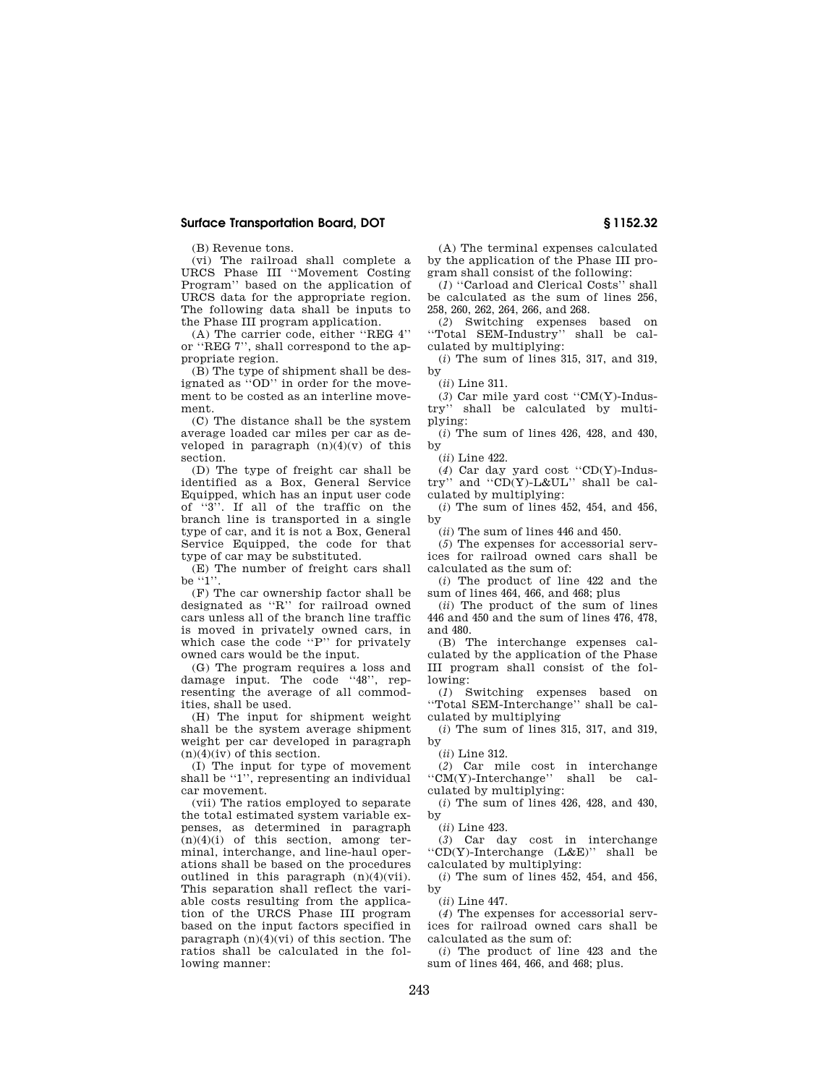(B) Revenue tons.

(vi) The railroad shall complete a URCS Phase III ''Movement Costing Program'' based on the application of URCS data for the appropriate region. The following data shall be inputs to the Phase III program application.

(A) The carrier code, either ''REG 4'' or ''REG 7'', shall correspond to the appropriate region.

(B) The type of shipment shall be designated as ''OD'' in order for the movement to be costed as an interline movement.

(C) The distance shall be the system average loaded car miles per car as developed in paragraph  $(n)(4)(v)$  of this section.

(D) The type of freight car shall be identified as a Box, General Service Equipped, which has an input user code of ''3''. If all of the traffic on the branch line is transported in a single type of car, and it is not a Box, General Service Equipped, the code for that type of car may be substituted.

(E) The number of freight cars shall be ''1"

(F) The car ownership factor shall be designated as ''R'' for railroad owned cars unless all of the branch line traffic is moved in privately owned cars, in which case the code "P" for privately owned cars would be the input.

(G) The program requires a loss and damage input. The code "48", representing the average of all commodities, shall be used.

(H) The input for shipment weight shall be the system average shipment weight per car developed in paragraph  $(n)(4)(iv)$  of this section.

(I) The input for type of movement shall be ''1'', representing an individual car movement.

(vii) The ratios employed to separate the total estimated system variable expenses, as determined in paragraph  $(n)(4)(i)$  of this section, among terminal, interchange, and line-haul operations shall be based on the procedures outlined in this paragraph (n)(4)(vii). This separation shall reflect the variable costs resulting from the application of the URCS Phase III program based on the input factors specified in paragraph  $(n)(4)(vi)$  of this section. The ratios shall be calculated in the following manner:

(A) The terminal expenses calculated by the application of the Phase III program shall consist of the following:

(*1*) ''Carload and Clerical Costs'' shall be calculated as the sum of lines 256, 258, 260, 262, 264, 266, and 268.

(*2*) Switching expenses based on ''Total SEM-Industry'' shall be calculated by multiplying:

(*i*) The sum of lines 315, 317, and 319, by

(*ii*) Line 311.

(*3*) Car mile yard cost ''CM(Y)-Industry'' shall be calculated by multiplying:

(*i*) The sum of lines 426, 428, and 430, by

(*ii*) Line 422.

(*4*) Car day yard cost ''CD(Y)-Indus $try''$  and "CD(Y)-L&UL" shall be calculated by multiplying:

(*i*) The sum of lines 452, 454, and 456, by

(*ii*) The sum of lines 446 and 450.

(*5*) The expenses for accessorial services for railroad owned cars shall be calculated as the sum of:

(*i*) The product of line 422 and the sum of lines 464, 466, and 468; plus

(*ii*) The product of the sum of lines 446 and 450 and the sum of lines 476, 478, and 480.

(B) The interchange expenses calculated by the application of the Phase III program shall consist of the following:

(*1*) Switching expenses based on ''Total SEM-Interchange'' shall be calculated by multiplying

(*i*) The sum of lines 315, 317, and 319, by

(*ii*) Line 312.

(*2*) Car mile cost in interchange ''CM(Y)-Interchange'' shall be calculated by multiplying:

(*i*) The sum of lines 426, 428, and 430, by

(*ii*) Line 423.

(*3*) Car day cost in interchange  $"CD(Y)$ -Interchange (L&E)" shall be calculated by multiplying:

(*i*) The sum of lines 452, 454, and 456, by

(*ii*) Line 447.

(*4*) The expenses for accessorial services for railroad owned cars shall be calculated as the sum of:

(*i*) The product of line 423 and the sum of lines 464, 466, and 468; plus.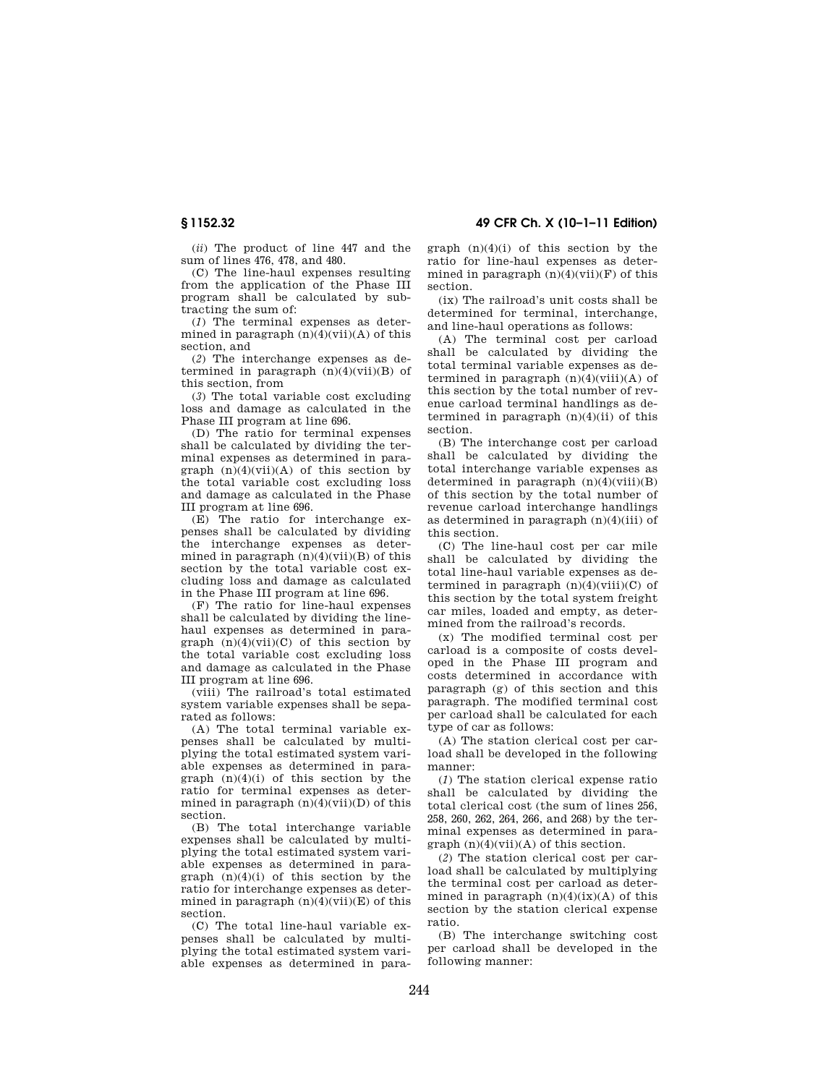(*ii*) The product of line 447 and the sum of lines 476, 478, and 480.

(C) The line-haul expenses resulting from the application of the Phase III program shall be calculated by subtracting the sum of:

(*1*) The terminal expenses as determined in paragraph  $(n)(4)(vi)(A)$  of this section, and

(*2*) The interchange expenses as determined in paragraph  $(n)(4)(vii)(B)$  of this section, from

(*3*) The total variable cost excluding loss and damage as calculated in the Phase III program at line 696.

(D) The ratio for terminal expenses shall be calculated by dividing the terminal expenses as determined in paragraph  $(n)(4)(vii)(A)$  of this section by the total variable cost excluding loss and damage as calculated in the Phase III program at line 696.

(E) The ratio for interchange expenses shall be calculated by dividing the interchange expenses as determined in paragraph  $(n)(4)(vi)(B)$  of this section by the total variable cost excluding loss and damage as calculated in the Phase III program at line 696.

(F) The ratio for line-haul expenses shall be calculated by dividing the linehaul expenses as determined in paragraph  $(n)(4)(vi)(C)$  of this section by the total variable cost excluding loss and damage as calculated in the Phase III program at line 696.

(viii) The railroad's total estimated system variable expenses shall be separated as follows:

(A) The total terminal variable expenses shall be calculated by multiplying the total estimated system variable expenses as determined in paragraph  $(n)(4)(i)$  of this section by the ratio for terminal expenses as determined in paragraph  $(n)(4)(vii)(D)$  of this section.

(B) The total interchange variable expenses shall be calculated by multiplying the total estimated system variable expenses as determined in paragraph  $(n)(4)(i)$  of this section by the ratio for interchange expenses as determined in paragraph  $(n)(4)(vi)(E)$  of this section.

(C) The total line-haul variable expenses shall be calculated by multiplying the total estimated system variable expenses as determined in paragraph  $(n)(4)(i)$  of this section by the ratio for line-haul expenses as determined in paragraph  $(n)(4)(vi)$ (F) of this section.

(ix) The railroad's unit costs shall be determined for terminal, interchange, and line-haul operations as follows:

(A) The terminal cost per carload shall be calculated by dividing the total terminal variable expenses as determined in paragraph  $(n)(4)(viii)(A)$  of this section by the total number of revenue carload terminal handlings as determined in paragraph  $(n)(4)(ii)$  of this section.

(B) The interchange cost per carload shall be calculated by dividing the total interchange variable expenses as determined in paragraph  $(n)(4)(viii)(B)$ of this section by the total number of revenue carload interchange handlings as determined in paragraph (n)(4)(iii) of this section.

(C) The line-haul cost per car mile shall be calculated by dividing the total line-haul variable expenses as determined in paragraph  $(n)(4)(viii)(C)$  of this section by the total system freight car miles, loaded and empty, as determined from the railroad's records.

(x) The modified terminal cost per carload is a composite of costs developed in the Phase III program and costs determined in accordance with paragraph (g) of this section and this paragraph. The modified terminal cost per carload shall be calculated for each type of car as follows:

(A) The station clerical cost per carload shall be developed in the following manner:

(*1*) The station clerical expense ratio shall be calculated by dividing the total clerical cost (the sum of lines 256, 258, 260, 262, 264, 266, and 268) by the terminal expenses as determined in para $graph (n)(4)(vii)(A)$  of this section.

(*2*) The station clerical cost per carload shall be calculated by multiplying the terminal cost per carload as determined in paragraph  $(n)(4)(ix)(A)$  of this section by the station clerical expense ratio.

(B) The interchange switching cost per carload shall be developed in the following manner: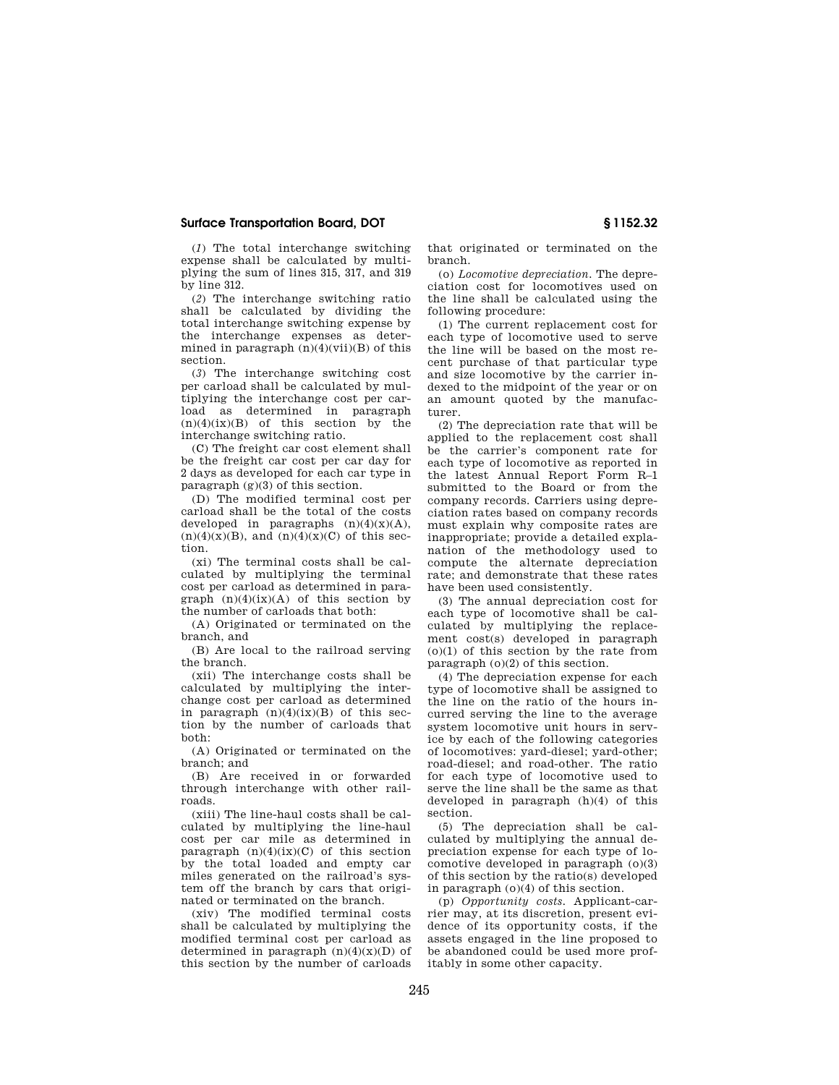(*1*) The total interchange switching expense shall be calculated by multiplying the sum of lines 315, 317, and 319 by line 312.

(*2*) The interchange switching ratio shall be calculated by dividing the total interchange switching expense by the interchange expenses as determined in paragraph  $(n)(4)(vii)(B)$  of this section.

(*3*) The interchange switching cost per carload shall be calculated by multiplying the interchange cost per carload as determined in paragraph  $(n)(4)(ix)(B)$  of this section by the interchange switching ratio.

(C) The freight car cost element shall be the freight car cost per car day for 2 days as developed for each car type in paragraph  $(g)(3)$  of this section.

(D) The modified terminal cost per carload shall be the total of the costs developed in paragraphs  $(n)(4)(x)(A)$ ,  $(n)(4)(x)(B)$ , and  $(n)(4)(x)(C)$  of this section.

(xi) The terminal costs shall be calculated by multiplying the terminal cost per carload as determined in paragraph  $(n)(4)(ix)(A)$  of this section by the number of carloads that both:

(A) Originated or terminated on the branch, and

(B) Are local to the railroad serving the branch.

(xii) The interchange costs shall be calculated by multiplying the interchange cost per carload as determined in paragraph  $(n)(4)(ix)(B)$  of this section by the number of carloads that both:

(A) Originated or terminated on the branch; and

(B) Are received in or forwarded through interchange with other railroads.

(xiii) The line-haul costs shall be calculated by multiplying the line-haul cost per car mile as determined in paragraph  $(n)(4)(ix)(C)$  of this section by the total loaded and empty car miles generated on the railroad's system off the branch by cars that originated or terminated on the branch.

(xiv) The modified terminal costs shall be calculated by multiplying the modified terminal cost per carload as determined in paragraph  $(n)(4)(x)(D)$  of this section by the number of carloads

that originated or terminated on the branch.

(o) *Locomotive depreciation.* The depreciation cost for locomotives used on the line shall be calculated using the following procedure:

(1) The current replacement cost for each type of locomotive used to serve the line will be based on the most recent purchase of that particular type and size locomotive by the carrier indexed to the midpoint of the year or on an amount quoted by the manufacturer.

(2) The depreciation rate that will be applied to the replacement cost shall be the carrier's component rate for each type of locomotive as reported in the latest Annual Report Form R–1 submitted to the Board or from the company records. Carriers using depreciation rates based on company records must explain why composite rates are inappropriate; provide a detailed explanation of the methodology used to compute the alternate depreciation rate; and demonstrate that these rates have been used consistently.

(3) The annual depreciation cost for each type of locomotive shall be calculated by multiplying the replacement cost(s) developed in paragraph  $(0)(1)$  of this section by the rate from paragraph (o)(2) of this section.

(4) The depreciation expense for each type of locomotive shall be assigned to the line on the ratio of the hours incurred serving the line to the average system locomotive unit hours in service by each of the following categories of locomotives: yard-diesel; yard-other; road-diesel; and road-other. The ratio for each type of locomotive used to serve the line shall be the same as that developed in paragraph (h)(4) of this section.

(5) The depreciation shall be calculated by multiplying the annual depreciation expense for each type of locomotive developed in paragraph (o)(3) of this section by the ratio(s) developed in paragraph (o)(4) of this section.

(p) *Opportunity costs.* Applicant-carrier may, at its discretion, present evidence of its opportunity costs, if the assets engaged in the line proposed to be abandoned could be used more profitably in some other capacity.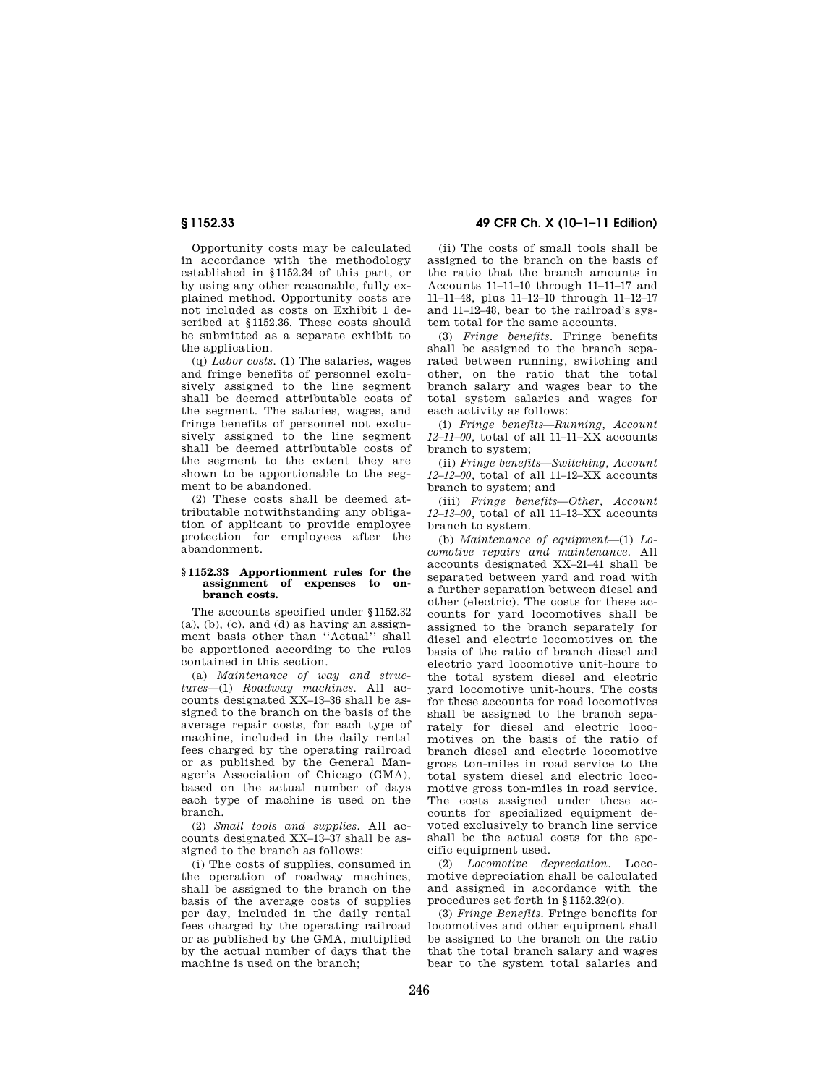Opportunity costs may be calculated in accordance with the methodology established in §1152.34 of this part, or by using any other reasonable, fully explained method. Opportunity costs are not included as costs on Exhibit 1 described at §1152.36. These costs should be submitted as a separate exhibit to the application.

(q) *Labor costs.* (1) The salaries, wages and fringe benefits of personnel exclusively assigned to the line segment shall be deemed attributable costs of the segment. The salaries, wages, and fringe benefits of personnel not exclusively assigned to the line segment shall be deemed attributable costs of the segment to the extent they are shown to be apportionable to the segment to be abandoned.

(2) These costs shall be deemed attributable notwithstanding any obligation of applicant to provide employee protection for employees after the abandonment.

### **§ 1152.33 Apportionment rules for the assignment of expenses to onbranch costs.**

The accounts specified under §1152.32  $(a)$ ,  $(b)$ ,  $(c)$ , and  $(d)$  as having an assignment basis other than ''Actual'' shall be apportioned according to the rules contained in this section.

(a) *Maintenance of way and structures*—(1) *Roadway machines.* All accounts designated XX–13–36 shall be assigned to the branch on the basis of the average repair costs, for each type of machine, included in the daily rental fees charged by the operating railroad or as published by the General Manager's Association of Chicago (GMA), based on the actual number of days each type of machine is used on the branch.

(2) *Small tools and supplies.* All accounts designated XX–13–37 shall be assigned to the branch as follows:

(i) The costs of supplies, consumed in the operation of roadway machines, shall be assigned to the branch on the basis of the average costs of supplies per day, included in the daily rental fees charged by the operating railroad or as published by the GMA, multiplied by the actual number of days that the machine is used on the branch;

**§ 1152.33 49 CFR Ch. X (10–1–11 Edition)** 

(ii) The costs of small tools shall be assigned to the branch on the basis of the ratio that the branch amounts in Accounts 11–11–10 through 11–11–17 and 11–11–48, plus 11–12–10 through 11–12–17 and 11–12–48, bear to the railroad's system total for the same accounts.

(3) *Fringe benefits.* Fringe benefits shall be assigned to the branch separated between running, switching and other, on the ratio that the total branch salary and wages bear to the total system salaries and wages for each activity as follows:

(i) *Fringe benefits—Running, Account 12–11–00,* total of all 11–11–XX accounts branch to system;

(ii) *Fringe benefits—Switching, Account 12–12–00,* total of all 11–12–XX accounts branch to system; and

(iii) *Fringe benefits—Other, Account 12–13–00,* total of all 11–13–XX accounts branch to system.

(b) *Maintenance of equipment*—(1) *Locomotive repairs and maintenance.* All accounts designated XX–21–41 shall be separated between yard and road with a further separation between diesel and other (electric). The costs for these accounts for yard locomotives shall be assigned to the branch separately for diesel and electric locomotives on the basis of the ratio of branch diesel and electric yard locomotive unit-hours to the total system diesel and electric yard locomotive unit-hours. The costs for these accounts for road locomotives shall be assigned to the branch separately for diesel and electric locomotives on the basis of the ratio of branch diesel and electric locomotive gross ton-miles in road service to the total system diesel and electric locomotive gross ton-miles in road service. The costs assigned under these accounts for specialized equipment devoted exclusively to branch line service shall be the actual costs for the specific equipment used.

(2) *Locomotive depreciation.* Locomotive depreciation shall be calculated and assigned in accordance with the procedures set forth in §1152.32(o).

(3) *Fringe Benefits.* Fringe benefits for locomotives and other equipment shall be assigned to the branch on the ratio that the total branch salary and wages bear to the system total salaries and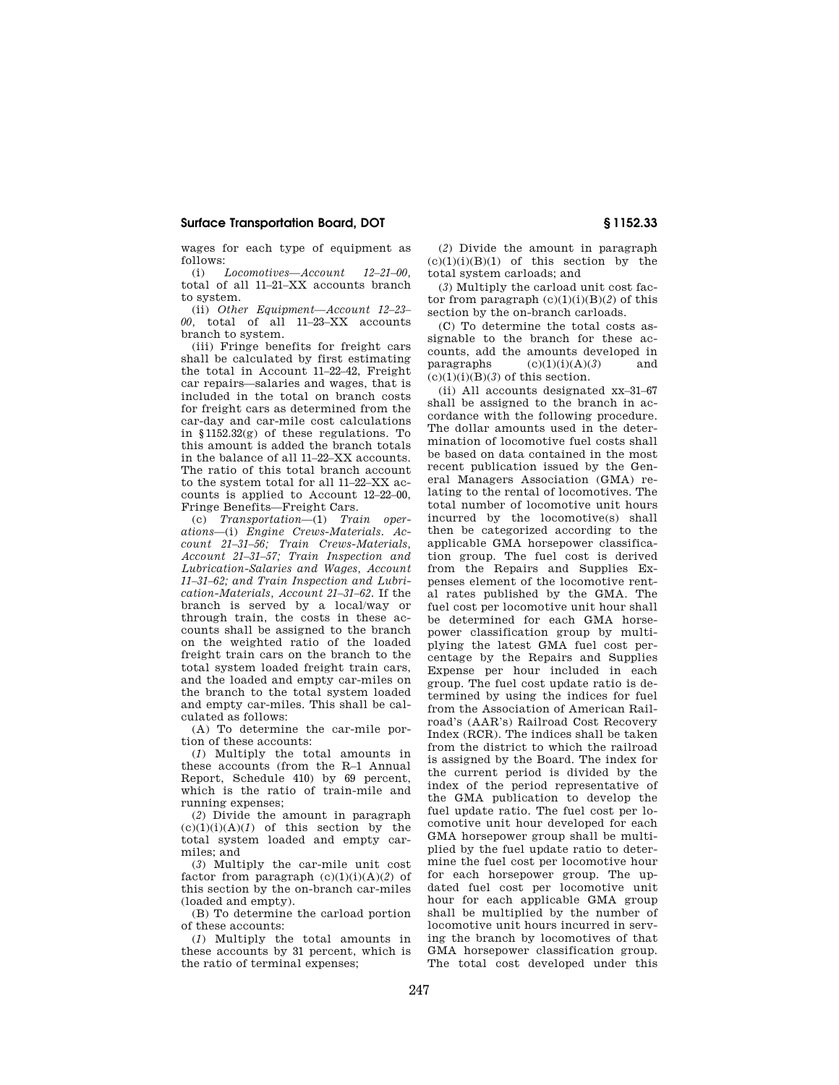wages for each type of equipment as follows:

(i) *Locomotives—Account 12–21–00,*  total of all 11–21–XX accounts branch to system.

(ii) *Other Equipment—Account 12–23– 00,* total of all 11–23–XX accounts branch to system.

(iii) Fringe benefits for freight cars shall be calculated by first estimating the total in Account 11–22–42, Freight car repairs—salaries and wages, that is included in the total on branch costs for freight cars as determined from the car-day and car-mile cost calculations in §1152.32(g) of these regulations. To this amount is added the branch totals in the balance of all 11–22–XX accounts. The ratio of this total branch account to the system total for all 11–22–XX accounts is applied to Account 12–22–00, Fringe Benefits—Freight Cars.

(c) *Transportation*—(1) *Train operations*—(i) *Engine Crews-Materials. Account 21–31–56; Train Crews-Materials, Account 21–31–57; Train Inspection and Lubrication-Salaries and Wages, Account 11–31–62; and Train Inspection and Lubrication-Materials, Account 21–31–62.* If the branch is served by a local/way or through train, the costs in these accounts shall be assigned to the branch on the weighted ratio of the loaded freight train cars on the branch to the total system loaded freight train cars, and the loaded and empty car-miles on the branch to the total system loaded and empty car-miles. This shall be calculated as follows:

(A) To determine the car-mile portion of these accounts:

(*1*) Multiply the total amounts in these accounts (from the R–1 Annual Report, Schedule 410) by 69 percent, which is the ratio of train-mile and running expenses;

(*2*) Divide the amount in paragraph  $(c)(1)(i)(A)(I)$  of this section by the total system loaded and empty carmiles; and

(*3*) Multiply the car-mile unit cost factor from paragraph  $(c)(1)(i)(A)(2)$  of this section by the on-branch car-miles (loaded and empty).

(B) To determine the carload portion of these accounts:

(*1*) Multiply the total amounts in these accounts by 31 percent, which is the ratio of terminal expenses;

(*2*) Divide the amount in paragraph  $(c)(1)(i)(B)(1)$  of this section by the total system carloads; and

(*3*) Multiply the carload unit cost factor from paragraph  $(c)(1)(i)(B)(2)$  of this section by the on-branch carloads.

(C) To determine the total costs assignable to the branch for these accounts, add the amounts developed in paragraphs  $(c)(1)(i)(A)(3)$  and  $(c)(1)(i)(B)(3)$  of this section.

(ii) All accounts designated xx–31–67 shall be assigned to the branch in accordance with the following procedure. The dollar amounts used in the determination of locomotive fuel costs shall be based on data contained in the most recent publication issued by the General Managers Association (GMA) relating to the rental of locomotives. The total number of locomotive unit hours incurred by the locomotive(s) shall then be categorized according to the applicable GMA horsepower classification group. The fuel cost is derived from the Repairs and Supplies Expenses element of the locomotive rental rates published by the GMA. The fuel cost per locomotive unit hour shall be determined for each GMA horsepower classification group by multiplying the latest GMA fuel cost percentage by the Repairs and Supplies Expense per hour included in each group. The fuel cost update ratio is determined by using the indices for fuel from the Association of American Railroad's (AAR's) Railroad Cost Recovery Index (RCR). The indices shall be taken from the district to which the railroad is assigned by the Board. The index for the current period is divided by the index of the period representative of the GMA publication to develop the fuel update ratio. The fuel cost per locomotive unit hour developed for each GMA horsepower group shall be multiplied by the fuel update ratio to determine the fuel cost per locomotive hour for each horsepower group. The updated fuel cost per locomotive unit hour for each applicable GMA group shall be multiplied by the number of locomotive unit hours incurred in serving the branch by locomotives of that GMA horsepower classification group. The total cost developed under this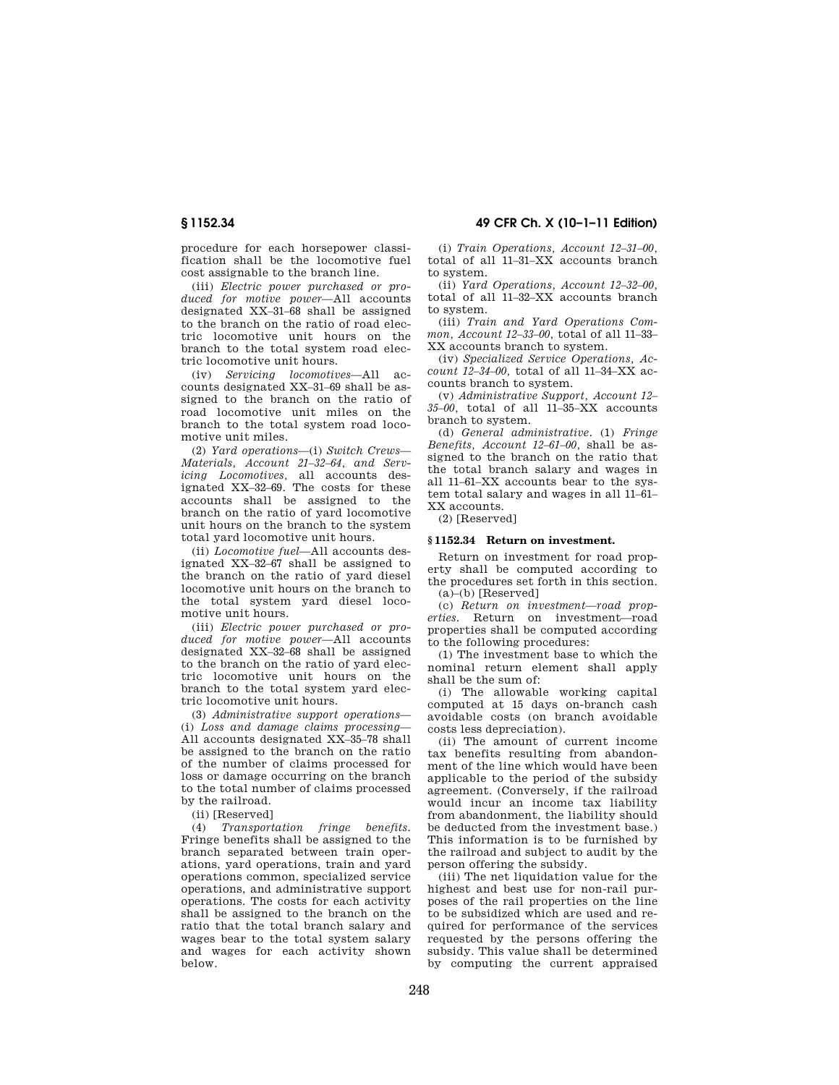procedure for each horsepower classification shall be the locomotive fuel cost assignable to the branch line.

(iii) *Electric power purchased or produced for motive power*—All accounts designated XX–31–68 shall be assigned to the branch on the ratio of road electric locomotive unit hours on the branch to the total system road electric locomotive unit hours.

(iv) *Servicing locomotives*—All accounts designated XX–31–69 shall be assigned to the branch on the ratio of road locomotive unit miles on the branch to the total system road locomotive unit miles.

(2) *Yard operations*—(i) *Switch Crews— Materials, Account 21–32–64, and Servicing Locomotives,* all accounts designated XX–32–69. The costs for these accounts shall be assigned to the branch on the ratio of yard locomotive unit hours on the branch to the system total yard locomotive unit hours.

(ii) *Locomotive fuel*—All accounts designated XX–32–67 shall be assigned to the branch on the ratio of yard diesel locomotive unit hours on the branch to the total system yard diesel locomotive unit hours.

(iii) *Electric power purchased or produced for motive power*—All accounts designated XX–32–68 shall be assigned to the branch on the ratio of yard electric locomotive unit hours on the branch to the total system yard electric locomotive unit hours.

(3) *Administrative support operations*— (i) *Loss and damage claims processing*— All accounts designated XX–35–78 shall be assigned to the branch on the ratio of the number of claims processed for loss or damage occurring on the branch to the total number of claims processed by the railroad.

(ii) [Reserved]

(4) *Transportation fringe benefits.*  Fringe benefits shall be assigned to the branch separated between train operations, yard operations, train and yard operations common, specialized service operations, and administrative support operations. The costs for each activity shall be assigned to the branch on the ratio that the total branch salary and wages bear to the total system salary and wages for each activity shown below.

**§ 1152.34 49 CFR Ch. X (10–1–11 Edition)** 

(i) *Train Operations, Account 12–31–00,*  total of all 11–31–XX accounts branch to system.

(ii) *Yard Operations, Account 12–32–00,*  total of all 11–32–XX accounts branch to system.

(iii) *Train and Yard Operations Common, Account 12–33–00,* total of all 11–33– XX accounts branch to system.

(iv) *Specialized Service Operations, Account 12–34–00,* total of all 11–34–XX accounts branch to system.

(v) *Administrative Support, Account 12– 35–00,* total of all 11–35–XX accounts branch to system.

(d) *General administrative.* (1) *Fringe Benefits, Account 12–61–00,* shall be assigned to the branch on the ratio that the total branch salary and wages in all 11–61–XX accounts bear to the system total salary and wages in all 11–61– XX accounts.

(2) [Reserved]

### **§ 1152.34 Return on investment.**

Return on investment for road property shall be computed according to the procedures set forth in this section.  $(a)$ – $(b)$  [Reserved]

(c) *Return on investment—road properties.* Return on investment—road properties shall be computed according to the following procedures:

(1) The investment base to which the nominal return element shall apply shall be the sum of:

(i) The allowable working capital computed at 15 days on-branch cash avoidable costs (on branch avoidable costs less depreciation).

(ii) The amount of current income tax benefits resulting from abandonment of the line which would have been applicable to the period of the subsidy agreement. (Conversely, if the railroad would incur an income tax liability from abandonment, the liability should be deducted from the investment base.) This information is to be furnished by the railroad and subject to audit by the person offering the subsidy.

(iii) The net liquidation value for the highest and best use for non-rail purposes of the rail properties on the line to be subsidized which are used and required for performance of the services requested by the persons offering the subsidy. This value shall be determined by computing the current appraised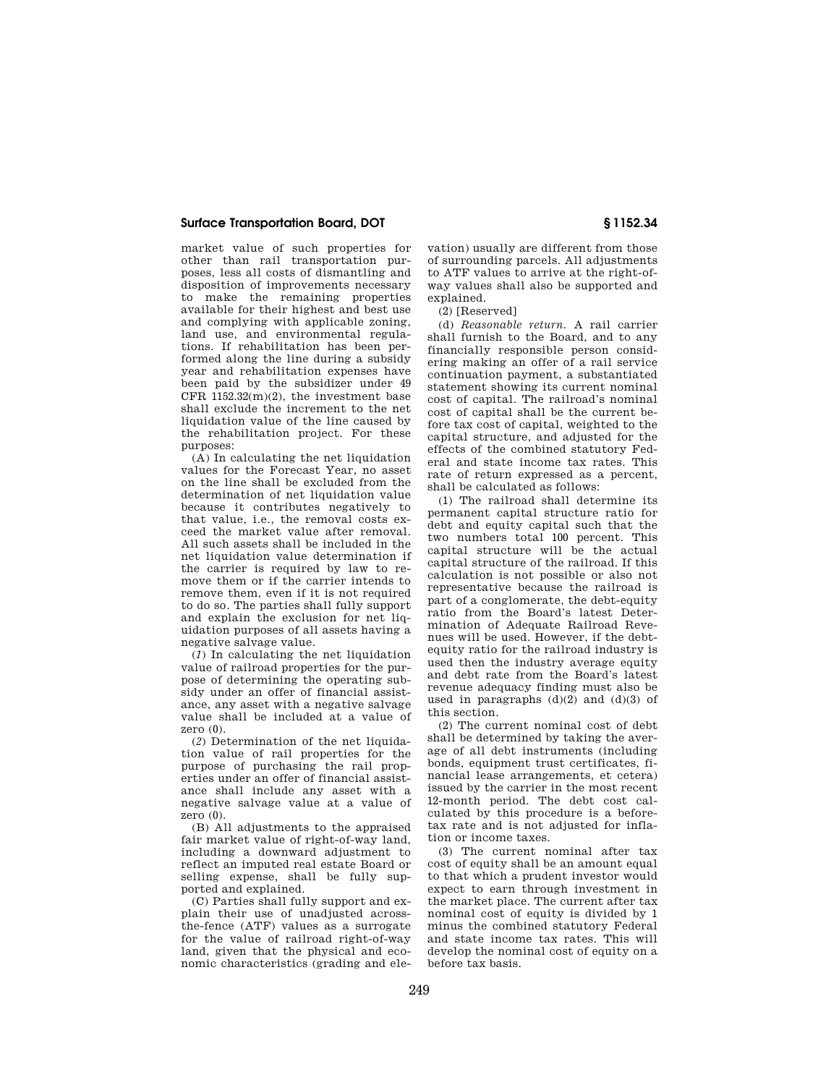market value of such properties for other than rail transportation purposes, less all costs of dismantling and disposition of improvements necessary to make the remaining properties available for their highest and best use and complying with applicable zoning, land use, and environmental regulations. If rehabilitation has been performed along the line during a subsidy year and rehabilitation expenses have been paid by the subsidizer under 49 CFR  $1152.32(m)(2)$ , the investment base shall exclude the increment to the net liquidation value of the line caused by the rehabilitation project. For these purposes:

(A) In calculating the net liquidation values for the Forecast Year, no asset on the line shall be excluded from the determination of net liquidation value because it contributes negatively to that value, i.e., the removal costs exceed the market value after removal. All such assets shall be included in the net liquidation value determination if the carrier is required by law to remove them or if the carrier intends to remove them, even if it is not required to do so. The parties shall fully support and explain the exclusion for net liquidation purposes of all assets having a negative salvage value.

(*1*) In calculating the net liquidation value of railroad properties for the purpose of determining the operating subsidy under an offer of financial assistance, any asset with a negative salvage value shall be included at a value of zero (0).

(*2*) Determination of the net liquidation value of rail properties for the purpose of purchasing the rail properties under an offer of financial assistance shall include any asset with a negative salvage value at a value of zero  $(0)$ .

(B) All adjustments to the appraised fair market value of right-of-way land, including a downward adjustment to reflect an imputed real estate Board or selling expense, shall be fully supported and explained.

(C) Parties shall fully support and explain their use of unadjusted acrossthe-fence (ATF) values as a surrogate for the value of railroad right-of-way land, given that the physical and economic characteristics (grading and elevation) usually are different from those of surrounding parcels. All adjustments to ATF values to arrive at the right-ofway values shall also be supported and explained.

(2) [Reserved]

(d) *Reasonable return.* A rail carrier shall furnish to the Board, and to any financially responsible person considering making an offer of a rail service continuation payment, a substantiated statement showing its current nominal cost of capital. The railroad's nominal cost of capital shall be the current before tax cost of capital, weighted to the capital structure, and adjusted for the effects of the combined statutory Federal and state income tax rates. This rate of return expressed as a percent, shall be calculated as follows:

(1) The railroad shall determine its permanent capital structure ratio for debt and equity capital such that the two numbers total 100 percent. This capital structure will be the actual capital structure of the railroad. If this calculation is not possible or also not representative because the railroad is part of a conglomerate, the debt-equity ratio from the Board's latest Determination of Adequate Railroad Revenues will be used. However, if the debtequity ratio for the railroad industry is used then the industry average equity and debt rate from the Board's latest revenue adequacy finding must also be used in paragraphs  $(d)(2)$  and  $(d)(3)$  of this section.

(2) The current nominal cost of debt shall be determined by taking the average of all debt instruments (including bonds, equipment trust certificates, financial lease arrangements, et cetera) issued by the carrier in the most recent 12-month period. The debt cost calculated by this procedure is a beforetax rate and is not adjusted for inflation or income taxes.

(3) The current nominal after tax cost of equity shall be an amount equal to that which a prudent investor would expect to earn through investment in the market place. The current after tax nominal cost of equity is divided by 1 minus the combined statutory Federal and state income tax rates. This will develop the nominal cost of equity on a before tax basis.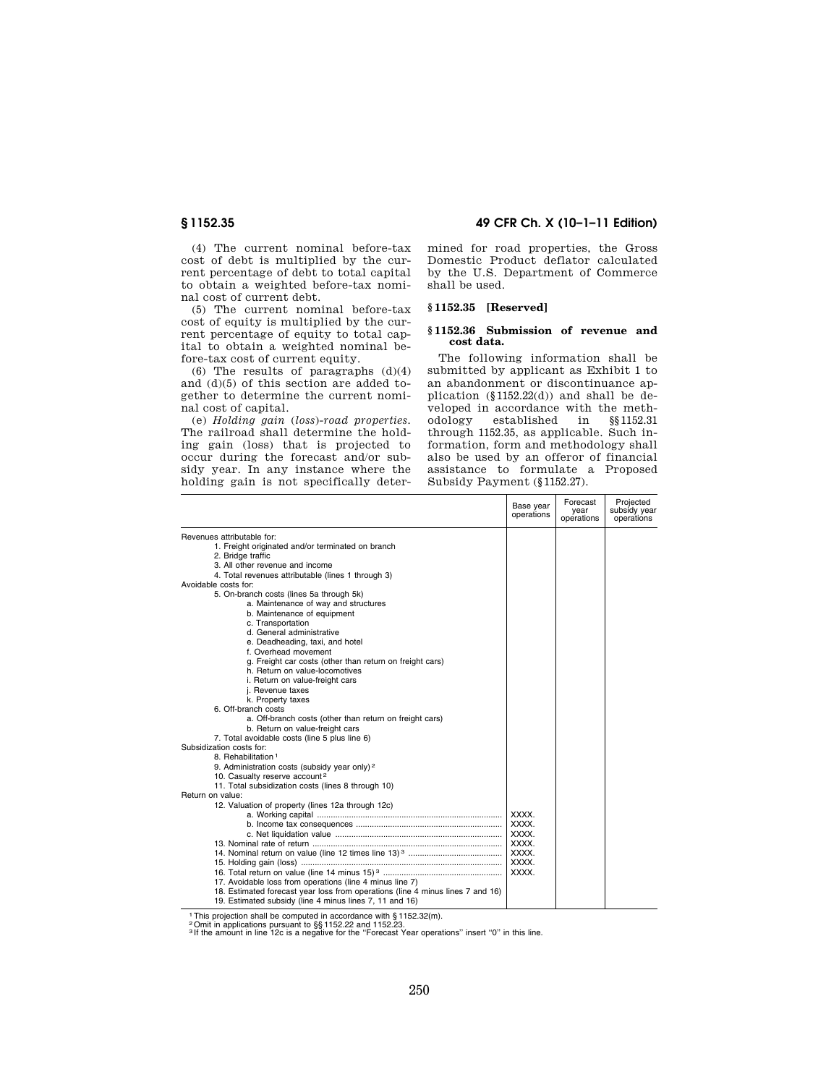(4) The current nominal before-tax cost of debt is multiplied by the current percentage of debt to total capital to obtain a weighted before-tax nominal cost of current debt.

(5) The current nominal before-tax cost of equity is multiplied by the current percentage of equity to total capital to obtain a weighted nominal before-tax cost of current equity.

(6) The results of paragraphs  $(d)(4)$ and (d)(5) of this section are added together to determine the current nominal cost of capital.

(e) *Holding gain* (*loss*)-*road properties.*  The railroad shall determine the holding gain (loss) that is projected to occur during the forecast and/or subsidy year. In any instance where the holding gain is not specifically deter-

## **§ 1152.35 49 CFR Ch. X (10–1–11 Edition)**

mined for road properties, the Gross Domestic Product deflator calculated by the U.S. Department of Commerce shall be used.

## **§ 1152.35 [Reserved]**

### **§ 1152.36 Submission of revenue and cost data.**

The following information shall be submitted by applicant as Exhibit 1 to an abandonment or discontinuance application (§1152.22(d)) and shall be developed in accordance with the meth-<br>odology established in  $\S$ 1152.31 odology established in §§1152.31 through 1152.35, as applicable. Such information, form and methodology shall also be used by an offeror of financial assistance to formulate a Proposed Subsidy Payment (§1152.27).

|                                                                                | Base year<br>operations | Forecast<br>year<br>operations | Projected<br>subsidy year<br>operations |
|--------------------------------------------------------------------------------|-------------------------|--------------------------------|-----------------------------------------|
| Revenues attributable for:                                                     |                         |                                |                                         |
| 1. Freight originated and/or terminated on branch                              |                         |                                |                                         |
| 2. Bridge traffic                                                              |                         |                                |                                         |
| 3. All other revenue and income                                                |                         |                                |                                         |
| 4. Total revenues attributable (lines 1 through 3)                             |                         |                                |                                         |
| Avoidable costs for:                                                           |                         |                                |                                         |
| 5. On-branch costs (lines 5a through 5k)                                       |                         |                                |                                         |
| a. Maintenance of way and structures                                           |                         |                                |                                         |
| b. Maintenance of equipment                                                    |                         |                                |                                         |
| c. Transportation                                                              |                         |                                |                                         |
| d. General administrative                                                      |                         |                                |                                         |
| e. Deadheading, taxi, and hotel                                                |                         |                                |                                         |
| f. Overhead movement                                                           |                         |                                |                                         |
| g. Freight car costs (other than return on freight cars)                       |                         |                                |                                         |
| h. Return on value-locomotives                                                 |                         |                                |                                         |
| i. Return on value-freight cars                                                |                         |                                |                                         |
| j. Revenue taxes                                                               |                         |                                |                                         |
| k. Property taxes                                                              |                         |                                |                                         |
| 6. Off-branch costs                                                            |                         |                                |                                         |
| a. Off-branch costs (other than return on freight cars)                        |                         |                                |                                         |
| b. Return on value-freight cars                                                |                         |                                |                                         |
| 7. Total avoidable costs (line 5 plus line 6)                                  |                         |                                |                                         |
| Subsidization costs for:                                                       |                         |                                |                                         |
| 8. Rehabilitation 1                                                            |                         |                                |                                         |
| 9. Administration costs (subsidy year only) <sup>2</sup>                       |                         |                                |                                         |
| 10. Casualty reserve account <sup>2</sup>                                      |                         |                                |                                         |
| 11. Total subsidization costs (lines 8 through 10)                             |                         |                                |                                         |
| Return on value:                                                               |                         |                                |                                         |
| 12. Valuation of property (lines 12a through 12c)                              |                         |                                |                                         |
|                                                                                | XXXX.                   |                                |                                         |
|                                                                                | XXXX.                   |                                |                                         |
|                                                                                | XXXX.                   |                                |                                         |
|                                                                                | XXXX.                   |                                |                                         |
|                                                                                | XXXX.                   |                                |                                         |
|                                                                                | XXXX.                   |                                |                                         |
|                                                                                | XXXX.                   |                                |                                         |
| 17. Avoidable loss from operations (line 4 minus line 7)                       |                         |                                |                                         |
| 18. Estimated forecast year loss from operations (line 4 minus lines 7 and 16) |                         |                                |                                         |
| 19. Estimated subsidy (line 4 minus lines 7, 11 and 16)                        |                         |                                |                                         |

1 This projection shall be computed in accordance with § 1152.32(m).<br>²Omit in applications pursuant to §§ 1152.22 and 1152.23.<br>○If the amount in line 12c is a negative for the "Forecast Year operations" insert "0" in this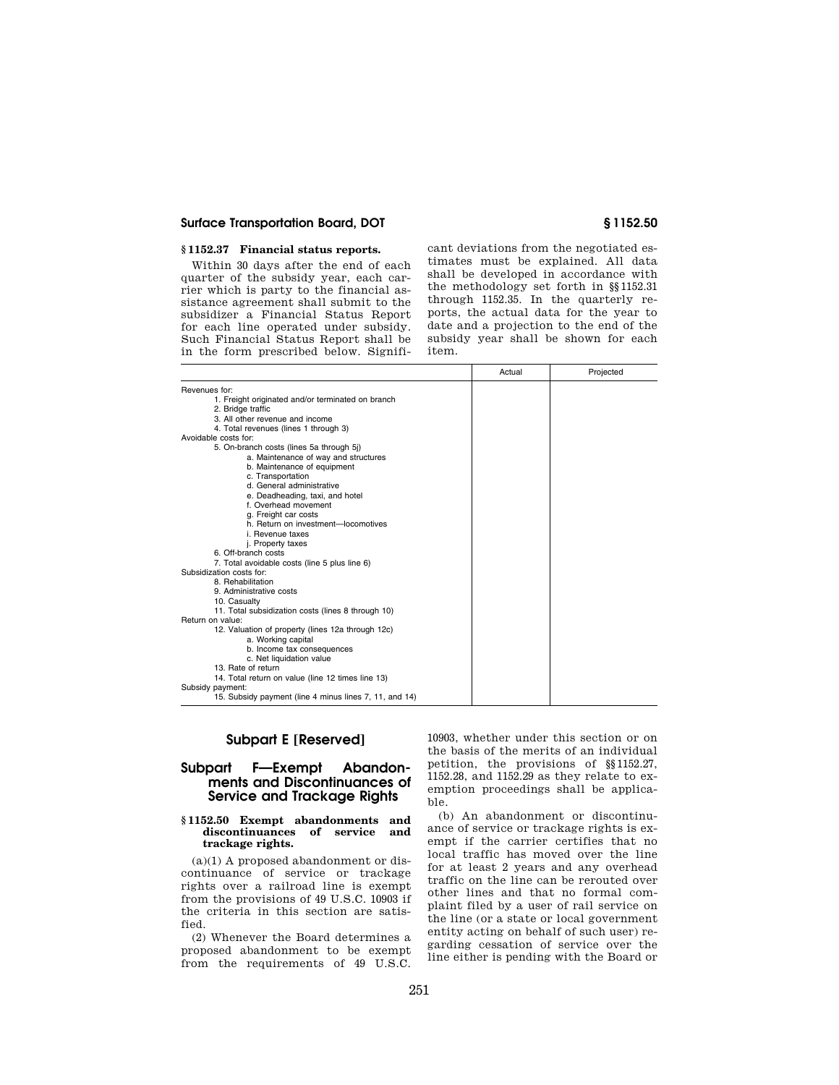### **§ 1152.37 Financial status reports.**

Within 30 days after the end of each quarter of the subsidy year, each carrier which is party to the financial assistance agreement shall submit to the subsidizer a Financial Status Report for each line operated under subsidy. Such Financial Status Report shall be in the form prescribed below. Signifi-

cant deviations from the negotiated estimates must be explained. All data shall be developed in accordance with the methodology set forth in §§1152.31 through 1152.35. In the quarterly reports, the actual data for the year to date and a projection to the end of the subsidy year shall be shown for each item.

|                                                        | Actual | Projected |
|--------------------------------------------------------|--------|-----------|
| Revenues for:                                          |        |           |
| 1. Freight originated and/or terminated on branch      |        |           |
| 2. Bridge traffic                                      |        |           |
| 3. All other revenue and income                        |        |           |
| 4. Total revenues (lines 1 through 3)                  |        |           |
| Avoidable costs for:                                   |        |           |
| 5. On-branch costs (lines 5a through 5j)               |        |           |
| a. Maintenance of way and structures                   |        |           |
| b. Maintenance of equipment                            |        |           |
| c. Transportation                                      |        |           |
| d. General administrative                              |        |           |
| e. Deadheading, taxi, and hotel                        |        |           |
| f. Overhead movement                                   |        |           |
| g. Freight car costs                                   |        |           |
| h. Return on investment-locomotives                    |        |           |
| i. Revenue taxes                                       |        |           |
| j. Property taxes                                      |        |           |
| 6. Off-branch costs                                    |        |           |
| 7. Total avoidable costs (line 5 plus line 6)          |        |           |
| Subsidization costs for:                               |        |           |
| 8. Rehabilitation                                      |        |           |
| 9. Administrative costs                                |        |           |
| 10. Casualty                                           |        |           |
| 11. Total subsidization costs (lines 8 through 10)     |        |           |
| Return on value:                                       |        |           |
| 12. Valuation of property (lines 12a through 12c)      |        |           |
| a. Working capital                                     |        |           |
| b. Income tax consequences                             |        |           |
| c. Net liquidation value                               |        |           |
| 13. Rate of return                                     |        |           |
| 14. Total return on value (line 12 times line 13)      |        |           |
| Subsidy payment:                                       |        |           |
| 15. Subsidy payment (line 4 minus lines 7, 11, and 14) |        |           |

# **Subpart E [Reserved]**

# **Subpart F—Exempt Abandonments and Discontinuances of Service and Trackage Rights**

### **§ 1152.50 Exempt abandonments and discontinuances of service and trackage rights.**

 $(a)(1)$  A proposed abandonment or discontinuance of service or trackage rights over a railroad line is exempt from the provisions of 49 U.S.C. 10903 if the criteria in this section are satisfied.

(2) Whenever the Board determines a proposed abandonment to be exempt from the requirements of 49 U.S.C.

10903, whether under this section or on the basis of the merits of an individual petition, the provisions of §§1152.27, 1152.28, and 1152.29 as they relate to exemption proceedings shall be applicable.

(b) An abandonment or discontinuance of service or trackage rights is exempt if the carrier certifies that no local traffic has moved over the line for at least 2 years and any overhead traffic on the line can be rerouted over other lines and that no formal complaint filed by a user of rail service on the line (or a state or local government entity acting on behalf of such user) regarding cessation of service over the line either is pending with the Board or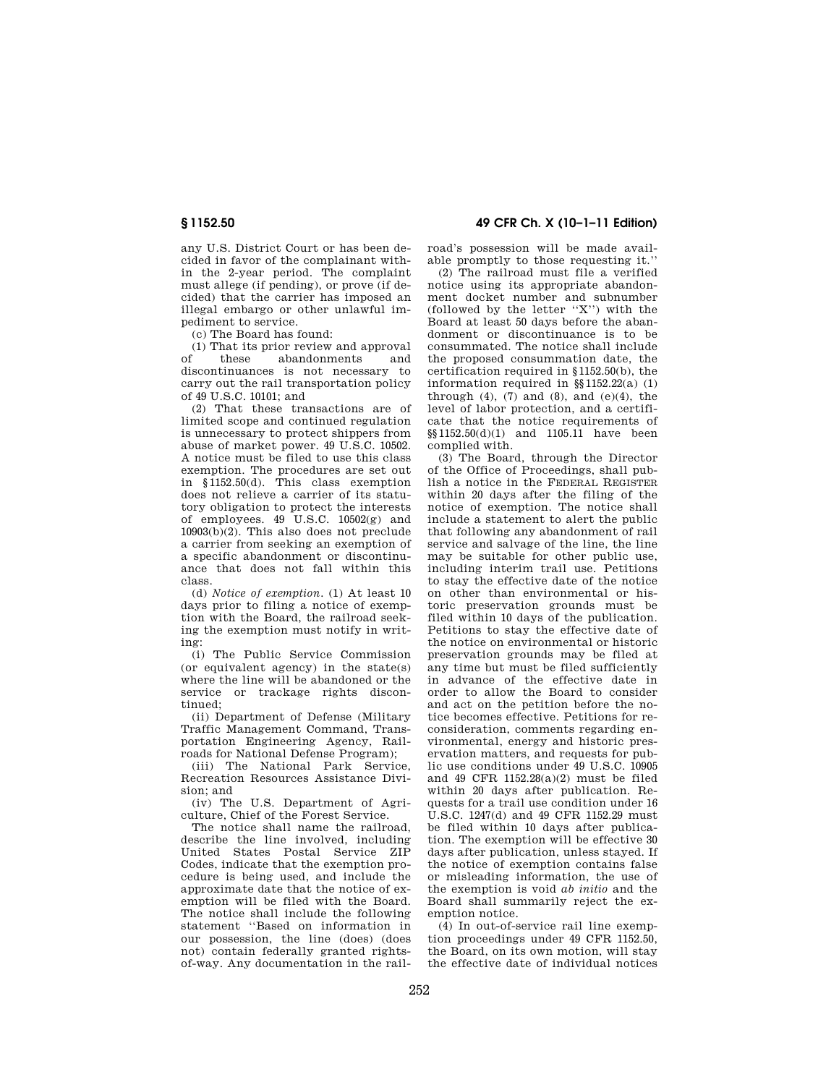any U.S. District Court or has been decided in favor of the complainant within the 2-year period. The complaint must allege (if pending), or prove (if decided) that the carrier has imposed an illegal embargo or other unlawful impediment to service.

(c) The Board has found:

(1) That its prior review and approval<br>of these abandonments and abandonments discontinuances is not necessary to carry out the rail transportation policy of 49 U.S.C. 10101; and

(2) That these transactions are of limited scope and continued regulation is unnecessary to protect shippers from abuse of market power. 49 U.S.C. 10502. A notice must be filed to use this class exemption. The procedures are set out in §1152.50(d). This class exemption does not relieve a carrier of its statutory obligation to protect the interests of employees.  $49 \text{ U.S.C. } 10502(g)$  and 10903(b)(2). This also does not preclude a carrier from seeking an exemption of a specific abandonment or discontinuance that does not fall within this class.

(d) *Notice of exemption.* (1) At least 10 days prior to filing a notice of exemption with the Board, the railroad seeking the exemption must notify in writing:

(i) The Public Service Commission (or equivalent agency) in the state(s) where the line will be abandoned or the service or trackage rights discontinued;

(ii) Department of Defense (Military Traffic Management Command, Transportation Engineering Agency, Railroads for National Defense Program);

(iii) The National Park Service, Recreation Resources Assistance Division; and

(iv) The U.S. Department of Agriculture, Chief of the Forest Service.

The notice shall name the railroad, describe the line involved, including United States Postal Service ZIP Codes, indicate that the exemption procedure is being used, and include the approximate date that the notice of exemption will be filed with the Board. The notice shall include the following statement ''Based on information in our possession, the line (does) (does not) contain federally granted rightsof-way. Any documentation in the rail-

**§ 1152.50 49 CFR Ch. X (10–1–11 Edition)** 

road's possession will be made available promptly to those requesting it.''

(2) The railroad must file a verified notice using its appropriate abandonment docket number and subnumber (followed by the letter ''X'') with the Board at least 50 days before the abandonment or discontinuance is to be consummated. The notice shall include the proposed consummation date, the certification required in §1152.50(b), the information required in §§1152.22(a) (1) through  $(4)$ ,  $(7)$  and  $(8)$ , and  $(e)(4)$ , the level of labor protection, and a certificate that the notice requirements of §§1152.50(d)(1) and 1105.11 have been complied with.

(3) The Board, through the Director of the Office of Proceedings, shall publish a notice in the FEDERAL REGISTER within 20 days after the filing of the notice of exemption. The notice shall include a statement to alert the public that following any abandonment of rail service and salvage of the line, the line may be suitable for other public use, including interim trail use. Petitions to stay the effective date of the notice on other than environmental or historic preservation grounds must be filed within 10 days of the publication. Petitions to stay the effective date of the notice on environmental or historic preservation grounds may be filed at any time but must be filed sufficiently in advance of the effective date in order to allow the Board to consider and act on the petition before the notice becomes effective. Petitions for reconsideration, comments regarding environmental, energy and historic preservation matters, and requests for public use conditions under 49 U.S.C. 10905 and 49 CFR 1152.28(a)(2) must be filed within 20 days after publication. Requests for a trail use condition under 16 U.S.C. 1247(d) and 49 CFR 1152.29 must be filed within 10 days after publication. The exemption will be effective 30 days after publication, unless stayed. If the notice of exemption contains false or misleading information, the use of the exemption is void *ab initio* and the Board shall summarily reject the exemption notice.

(4) In out-of-service rail line exemption proceedings under 49 CFR 1152.50, the Board, on its own motion, will stay the effective date of individual notices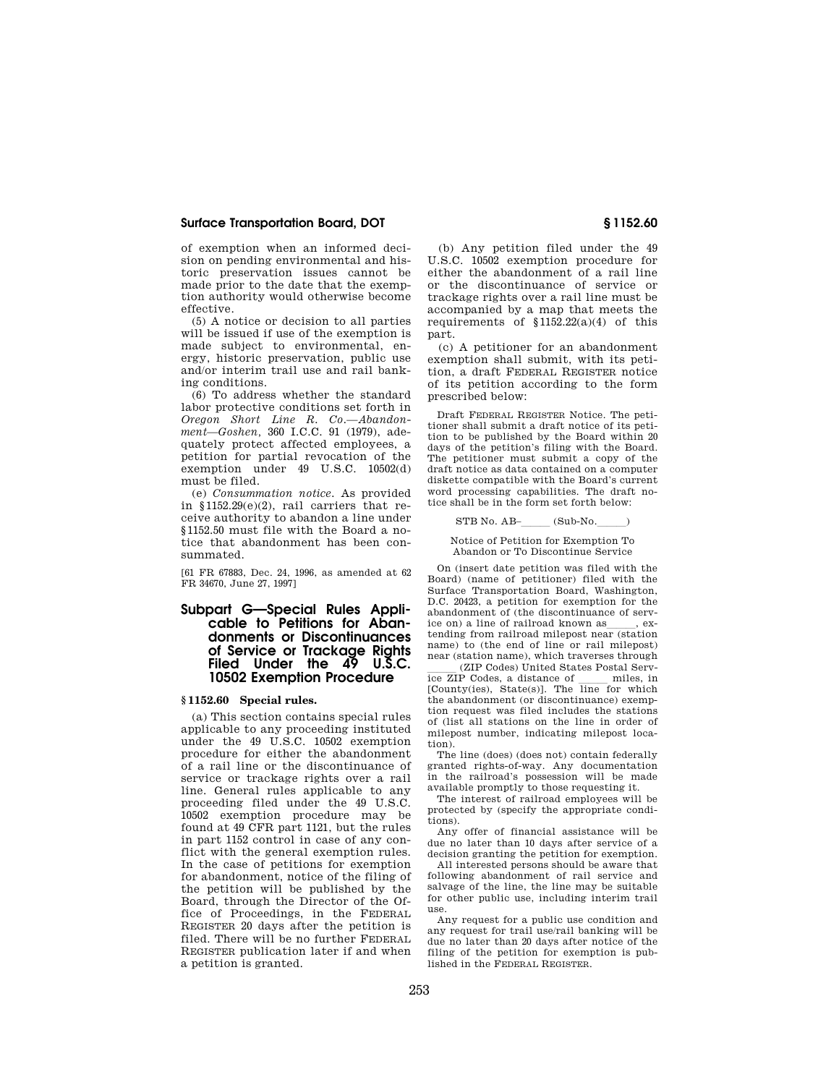of exemption when an informed decision on pending environmental and historic preservation issues cannot be made prior to the date that the exemption authority would otherwise become effective.

(5) A notice or decision to all parties will be issued if use of the exemption is made subject to environmental, energy, historic preservation, public use and/or interim trail use and rail banking conditions.

(6) To address whether the standard labor protective conditions set forth in *Oregon Short Line R. Co.—Abandonment—Goshen,* 360 I.C.C. 91 (1979), adequately protect affected employees, a petition for partial revocation of the exemption under 49 U.S.C. 10502(d) must be filed.

(e) *Consummation notice.* As provided in §1152.29(e)(2), rail carriers that receive authority to abandon a line under §1152.50 must file with the Board a notice that abandonment has been consummated.

[61 FR 67883, Dec. 24, 1996, as amended at 62 FR 34670, June 27, 1997]

## **Subpart G—Special Rules Applicable to Petitions for Abandonments or Discontinuances of Service or Trackage Rights Filed Under the 49 U.S.C. 10502 Exemption Procedure**

### **§ 1152.60 Special rules.**

(a) This section contains special rules applicable to any proceeding instituted under the 49 U.S.C. 10502 exemption procedure for either the abandonment of a rail line or the discontinuance of service or trackage rights over a rail line. General rules applicable to any proceeding filed under the 49 U.S.C. 10502 exemption procedure may be found at 49 CFR part 1121, but the rules in part 1152 control in case of any conflict with the general exemption rules. In the case of petitions for exemption for abandonment, notice of the filing of the petition will be published by the Board, through the Director of the Office of Proceedings, in the FEDERAL REGISTER 20 days after the petition is filed. There will be no further FEDERAL REGISTER publication later if and when a petition is granted.

(b) Any petition filed under the 49 U.S.C. 10502 exemption procedure for either the abandonment of a rail line or the discontinuance of service or trackage rights over a rail line must be accompanied by a map that meets the requirements of  $$1152.22(a)(4)$  of this part.

(c) A petitioner for an abandonment exemption shall submit, with its petition, a draft FEDERAL REGISTER notice of its petition according to the form prescribed below:

Draft FEDERAL REGISTER Notice. The petitioner shall submit a draft notice of its petition to be published by the Board within 20 days of the petition's filing with the Board. The petitioner must submit a copy of the draft notice as data contained on a computer diskette compatible with the Board's current word processing capabilities. The draft notice shall be in the form set forth below:

### $STB$  No.  $AB-$  (Sub-No.

Notice of Petition for Exemption To Abandon or To Discontinue Service

On (insert date petition was filed with the Board) (name of petitioner) filed with the Surface Transportation Board, Washington, D.C. 20423, a petition for exemption for the abandonment of (the discontinuance of serv-<br>ice on) a line of railroad known as ice on) a line of railroad known as \_\_\_\_, extending from railroad milepost near (station name) to (the end of line or rail milepost) near (station name), which traverses through

(ZIP Codes) United States Postal Serv-<br>ice ZIP Codes, a distance of miles, in ice ZIP Codes, a distance of  $\quad$  miles, in [County(ies), State(s)]. The line for which the abandonment (or discontinuance) exemption request was filed includes the stations of (list all stations on the line in order of milepost number, indicating milepost location).

The line (does) (does not) contain federally granted rights-of-way. Any documentation in the railroad's possession will be made available promptly to those requesting it.

The interest of railroad employees will be protected by (specify the appropriate conditions).

Any offer of financial assistance will be due no later than 10 days after service of a decision granting the petition for exemption.

All interested persons should be aware that following abandonment of rail service and salvage of the line, the line may be suitable for other public use, including interim trail use.

Any request for a public use condition and any request for trail use/rail banking will be due no later than 20 days after notice of the filing of the petition for exemption is published in the FEDERAL REGISTER.